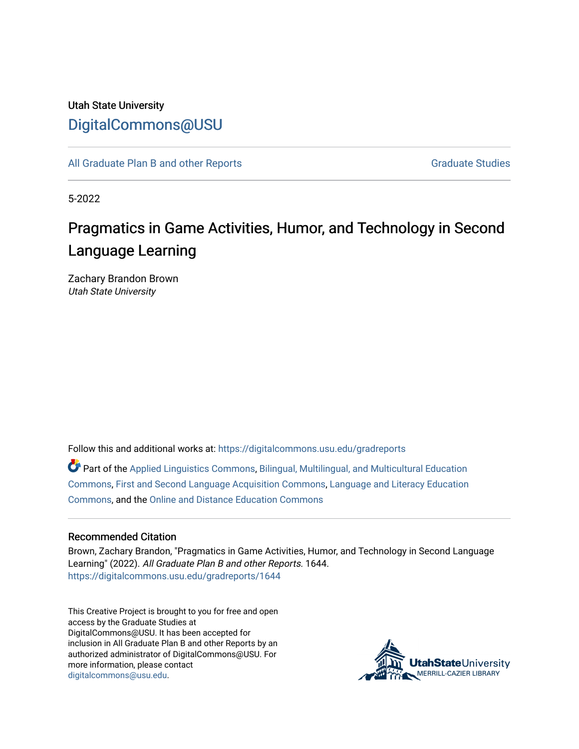## Utah State University [DigitalCommons@USU](https://digitalcommons.usu.edu/)

[All Graduate Plan B and other Reports](https://digitalcommons.usu.edu/gradreports) **Graduate Studies** Graduate Studies

5-2022

# Pragmatics in Game Activities, Humor, and Technology in Second Language Learning

Zachary Brandon Brown Utah State University

Follow this and additional works at: [https://digitalcommons.usu.edu/gradreports](https://digitalcommons.usu.edu/gradreports?utm_source=digitalcommons.usu.edu%2Fgradreports%2F1644&utm_medium=PDF&utm_campaign=PDFCoverPages)

Part of the [Applied Linguistics Commons,](http://network.bepress.com/hgg/discipline/373?utm_source=digitalcommons.usu.edu%2Fgradreports%2F1644&utm_medium=PDF&utm_campaign=PDFCoverPages) [Bilingual, Multilingual, and Multicultural Education](http://network.bepress.com/hgg/discipline/785?utm_source=digitalcommons.usu.edu%2Fgradreports%2F1644&utm_medium=PDF&utm_campaign=PDFCoverPages) [Commons](http://network.bepress.com/hgg/discipline/785?utm_source=digitalcommons.usu.edu%2Fgradreports%2F1644&utm_medium=PDF&utm_campaign=PDFCoverPages), [First and Second Language Acquisition Commons](http://network.bepress.com/hgg/discipline/377?utm_source=digitalcommons.usu.edu%2Fgradreports%2F1644&utm_medium=PDF&utm_campaign=PDFCoverPages), [Language and Literacy Education](http://network.bepress.com/hgg/discipline/1380?utm_source=digitalcommons.usu.edu%2Fgradreports%2F1644&utm_medium=PDF&utm_campaign=PDFCoverPages)  [Commons](http://network.bepress.com/hgg/discipline/1380?utm_source=digitalcommons.usu.edu%2Fgradreports%2F1644&utm_medium=PDF&utm_campaign=PDFCoverPages), and the [Online and Distance Education Commons](http://network.bepress.com/hgg/discipline/1296?utm_source=digitalcommons.usu.edu%2Fgradreports%2F1644&utm_medium=PDF&utm_campaign=PDFCoverPages) 

#### Recommended Citation

Brown, Zachary Brandon, "Pragmatics in Game Activities, Humor, and Technology in Second Language Learning" (2022). All Graduate Plan B and other Reports. 1644. [https://digitalcommons.usu.edu/gradreports/1644](https://digitalcommons.usu.edu/gradreports/1644?utm_source=digitalcommons.usu.edu%2Fgradreports%2F1644&utm_medium=PDF&utm_campaign=PDFCoverPages) 

This Creative Project is brought to you for free and open access by the Graduate Studies at DigitalCommons@USU. It has been accepted for inclusion in All Graduate Plan B and other Reports by an authorized administrator of DigitalCommons@USU. For more information, please contact [digitalcommons@usu.edu.](mailto:digitalcommons@usu.edu)

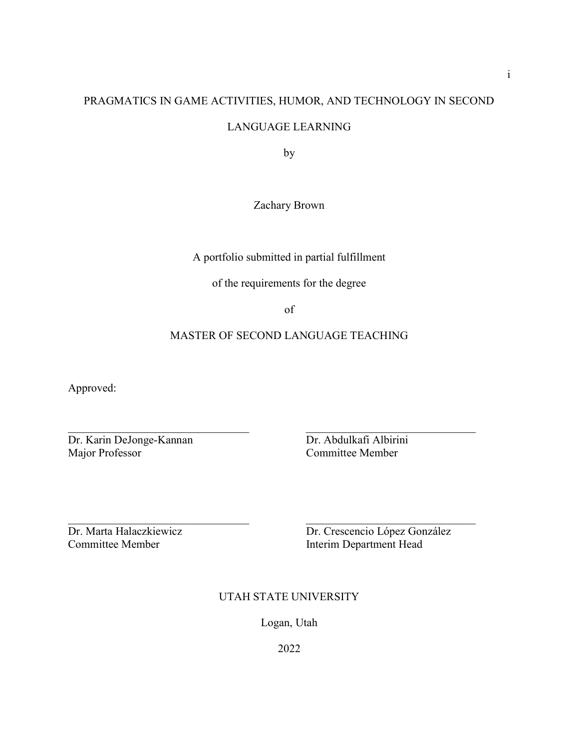## PRAGMATICS IN GAME ACTIVITIES, HUMOR, AND TECHNOLOGY IN SECOND

### LANGUAGE LEARNING

by

Zachary Brown

A portfolio submitted in partial fulfillment

of the requirements for the degree

of

### MASTER OF SECOND LANGUAGE TEACHING

Approved:

Dr. Karin DeJonge-Kannan Dr. Abdulkafi Albirini Major Professor Committee Member

Dr. Marta Halaczkiewicz Dr. Crescencio López González Committee Member 11 and 12 and 12 and 13 and 13 and 14 and 15 and 16 and 16 and 16 and 16 and 16 and 16 and 16 and 16 and 16 and 16 and 16 and 16 and 16 and 16 and 16 and 16 and 16 and 16 and 16 and 16 and 16 and 16 and 16

### UTAH STATE UNIVERSITY

Logan, Utah

2022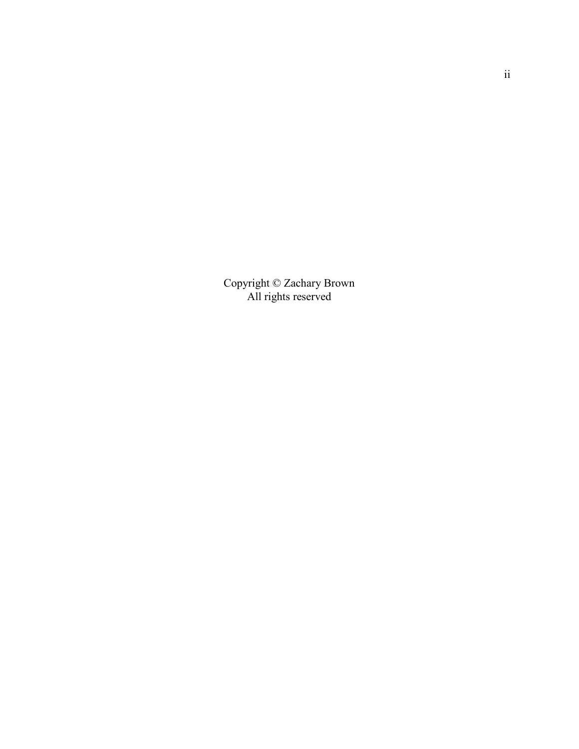Copyright © Zachary Brown All rights reserved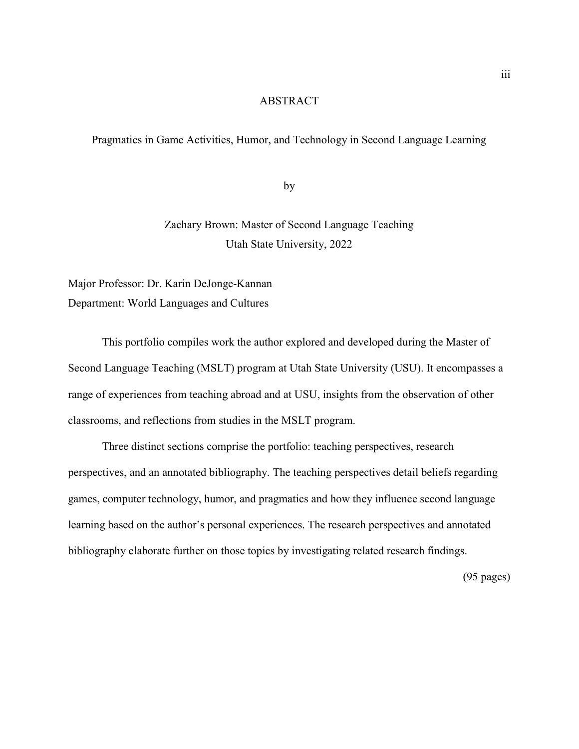#### ABSTRACT

#### Pragmatics in Game Activities, Humor, and Technology in Second Language Learning

by

## Zachary Brown: Master of Second Language Teaching Utah State University, 2022

Major Professor: Dr. Karin DeJonge-Kannan Department: World Languages and Cultures

This portfolio compiles work the author explored and developed during the Master of Second Language Teaching (MSLT) program at Utah State University (USU). It encompasses a range of experiences from teaching abroad and at USU, insights from the observation of other classrooms, and reflections from studies in the MSLT program.

Three distinct sections comprise the portfolio: teaching perspectives, research perspectives, and an annotated bibliography. The teaching perspectives detail beliefs regarding games, computer technology, humor, and pragmatics and how they influence second language learning based on the author's personal experiences. The research perspectives and annotated bibliography elaborate further on those topics by investigating related research findings.

(95 pages)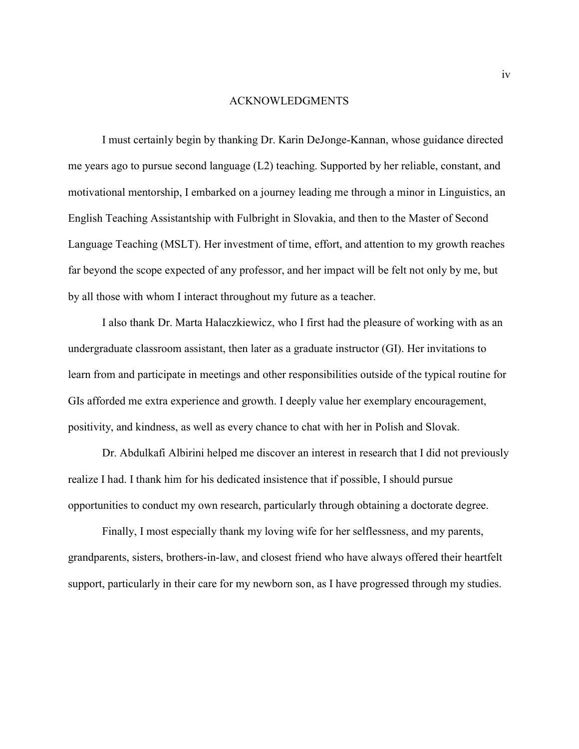#### ACKNOWLEDGMENTS

 I must certainly begin by thanking Dr. Karin DeJonge-Kannan, whose guidance directed me years ago to pursue second language (L2) teaching. Supported by her reliable, constant, and motivational mentorship, I embarked on a journey leading me through a minor in Linguistics, an English Teaching Assistantship with Fulbright in Slovakia, and then to the Master of Second Language Teaching (MSLT). Her investment of time, effort, and attention to my growth reaches far beyond the scope expected of any professor, and her impact will be felt not only by me, but by all those with whom I interact throughout my future as a teacher.

 I also thank Dr. Marta Halaczkiewicz, who I first had the pleasure of working with as an undergraduate classroom assistant, then later as a graduate instructor (GI). Her invitations to learn from and participate in meetings and other responsibilities outside of the typical routine for GIs afforded me extra experience and growth. I deeply value her exemplary encouragement, positivity, and kindness, as well as every chance to chat with her in Polish and Slovak.

 Dr. Abdulkafi Albirini helped me discover an interest in research that I did not previously realize I had. I thank him for his dedicated insistence that if possible, I should pursue opportunities to conduct my own research, particularly through obtaining a doctorate degree.

 Finally, I most especially thank my loving wife for her selflessness, and my parents, grandparents, sisters, brothers-in-law, and closest friend who have always offered their heartfelt support, particularly in their care for my newborn son, as I have progressed through my studies.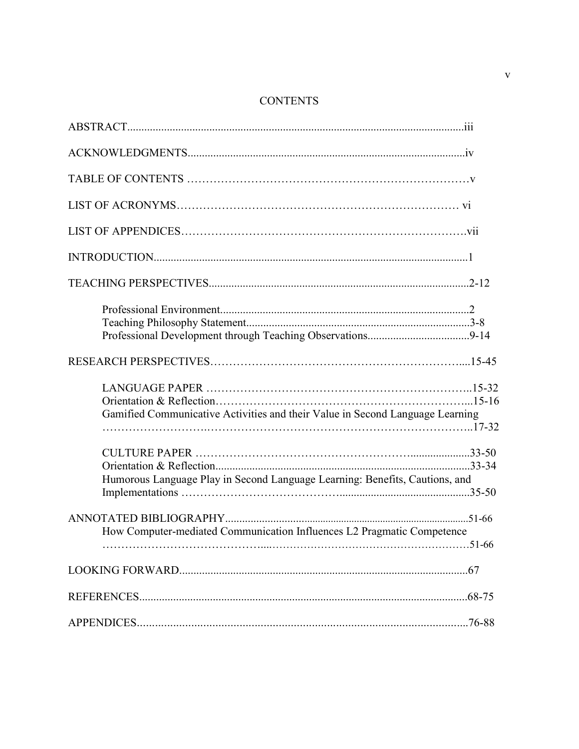## **CONTENTS**

| Gamified Communicative Activities and their Value in Second Language Learning |  |
|-------------------------------------------------------------------------------|--|
| Humorous Language Play in Second Language Learning: Benefits, Cautions, and   |  |
| How Computer-mediated Communication Influences L2 Pragmatic Competence        |  |
|                                                                               |  |
|                                                                               |  |
|                                                                               |  |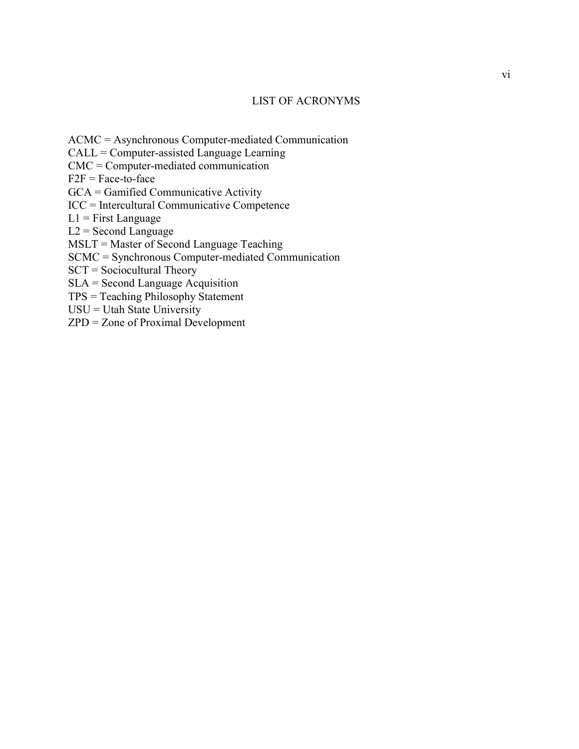#### LIST OF ACRONYMS

ACMC = Asynchronous Computer-mediated Communication

CALL = Computer-assisted Language Learning

CMC = Computer-mediated communication

 $F2F = Face-to-face$ 

GCA = Gamified Communicative Activity

ICC = Intercultural Communicative Competence

 $L1$  = First Language

 $L2 =$  Second Language

MSLT = Master of Second Language Teaching

SCMC = Synchronous Computer-mediated Communication

SCT = Sociocultural Theory

SLA = Second Language Acquisition

TPS = Teaching Philosophy Statement

USU = Utah State University

ZPD = Zone of Proximal Development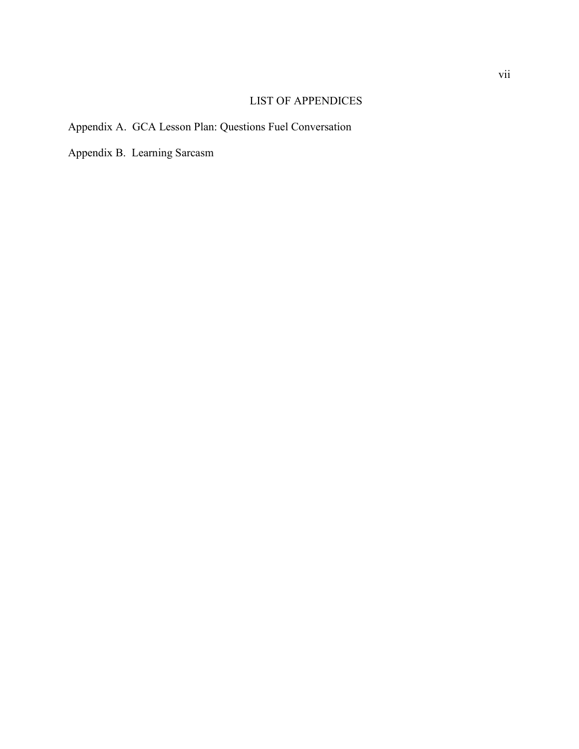## LIST OF APPENDICES

## Appendix A. GCA Lesson Plan: Questions Fuel Conversation

Appendix B. Learning Sarcasm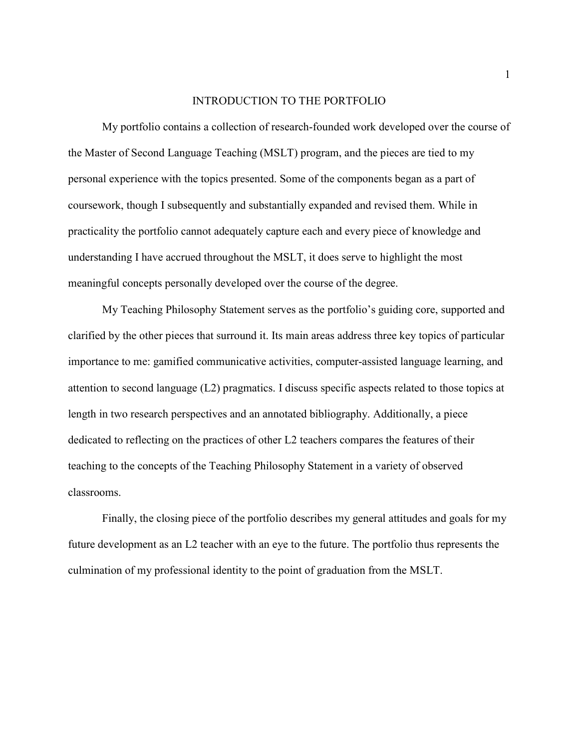#### INTRODUCTION TO THE PORTFOLIO

 My portfolio contains a collection of research-founded work developed over the course of the Master of Second Language Teaching (MSLT) program, and the pieces are tied to my personal experience with the topics presented. Some of the components began as a part of coursework, though I subsequently and substantially expanded and revised them. While in practicality the portfolio cannot adequately capture each and every piece of knowledge and understanding I have accrued throughout the MSLT, it does serve to highlight the most meaningful concepts personally developed over the course of the degree.

 My Teaching Philosophy Statement serves as the portfolio's guiding core, supported and clarified by the other pieces that surround it. Its main areas address three key topics of particular importance to me: gamified communicative activities, computer-assisted language learning, and attention to second language (L2) pragmatics. I discuss specific aspects related to those topics at length in two research perspectives and an annotated bibliography. Additionally, a piece dedicated to reflecting on the practices of other L2 teachers compares the features of their teaching to the concepts of the Teaching Philosophy Statement in a variety of observed classrooms.

 Finally, the closing piece of the portfolio describes my general attitudes and goals for my future development as an L2 teacher with an eye to the future. The portfolio thus represents the culmination of my professional identity to the point of graduation from the MSLT.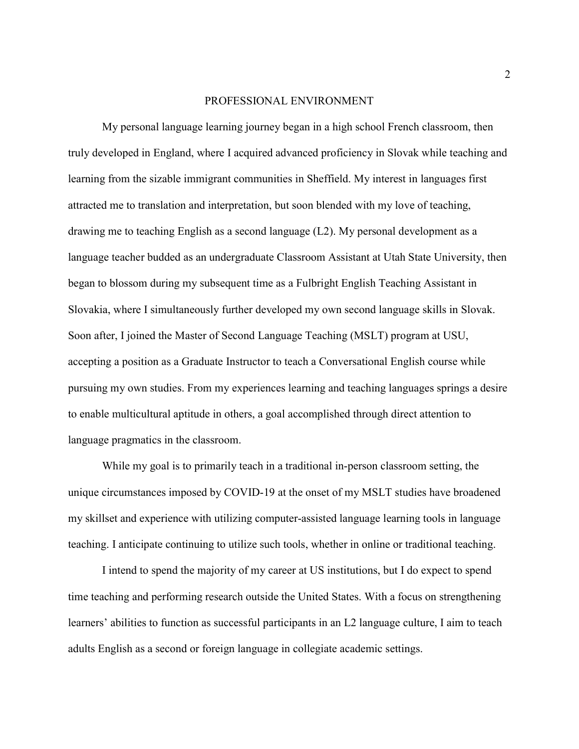#### PROFESSIONAL ENVIRONMENT

 My personal language learning journey began in a high school French classroom, then truly developed in England, where I acquired advanced proficiency in Slovak while teaching and learning from the sizable immigrant communities in Sheffield. My interest in languages first attracted me to translation and interpretation, but soon blended with my love of teaching, drawing me to teaching English as a second language (L2). My personal development as a language teacher budded as an undergraduate Classroom Assistant at Utah State University, then began to blossom during my subsequent time as a Fulbright English Teaching Assistant in Slovakia, where I simultaneously further developed my own second language skills in Slovak. Soon after, I joined the Master of Second Language Teaching (MSLT) program at USU, accepting a position as a Graduate Instructor to teach a Conversational English course while pursuing my own studies. From my experiences learning and teaching languages springs a desire to enable multicultural aptitude in others, a goal accomplished through direct attention to language pragmatics in the classroom.

While my goal is to primarily teach in a traditional in-person classroom setting, the unique circumstances imposed by COVID-19 at the onset of my MSLT studies have broadened my skillset and experience with utilizing computer-assisted language learning tools in language teaching. I anticipate continuing to utilize such tools, whether in online or traditional teaching.

 I intend to spend the majority of my career at US institutions, but I do expect to spend time teaching and performing research outside the United States. With a focus on strengthening learners' abilities to function as successful participants in an L2 language culture, I aim to teach adults English as a second or foreign language in collegiate academic settings.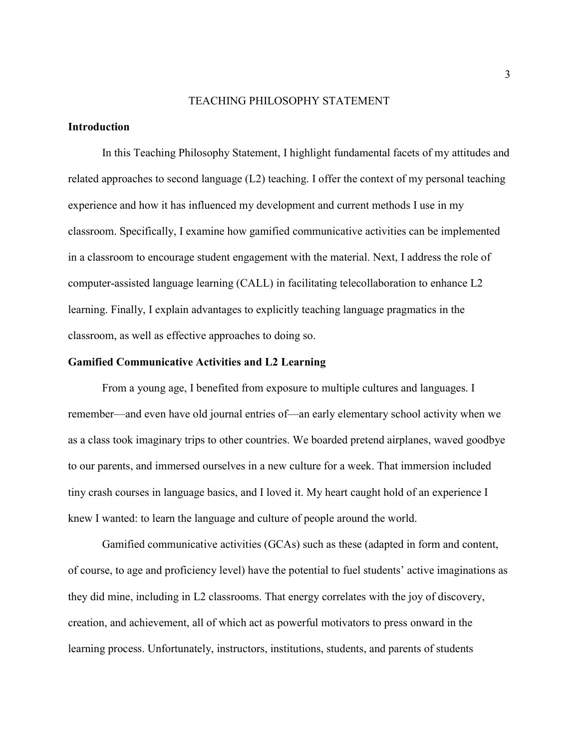#### TEACHING PHILOSOPHY STATEMENT

#### **Introduction**

 In this Teaching Philosophy Statement, I highlight fundamental facets of my attitudes and related approaches to second language (L2) teaching. I offer the context of my personal teaching experience and how it has influenced my development and current methods I use in my classroom. Specifically, I examine how gamified communicative activities can be implemented in a classroom to encourage student engagement with the material. Next, I address the role of computer-assisted language learning (CALL) in facilitating telecollaboration to enhance L2 learning. Finally, I explain advantages to explicitly teaching language pragmatics in the classroom, as well as effective approaches to doing so.

#### Gamified Communicative Activities and L2 Learning

From a young age, I benefited from exposure to multiple cultures and languages. I remember—and even have old journal entries of—an early elementary school activity when we as a class took imaginary trips to other countries. We boarded pretend airplanes, waved goodbye to our parents, and immersed ourselves in a new culture for a week. That immersion included tiny crash courses in language basics, and I loved it. My heart caught hold of an experience I knew I wanted: to learn the language and culture of people around the world.

Gamified communicative activities (GCAs) such as these (adapted in form and content, of course, to age and proficiency level) have the potential to fuel students' active imaginations as they did mine, including in L2 classrooms. That energy correlates with the joy of discovery, creation, and achievement, all of which act as powerful motivators to press onward in the learning process. Unfortunately, instructors, institutions, students, and parents of students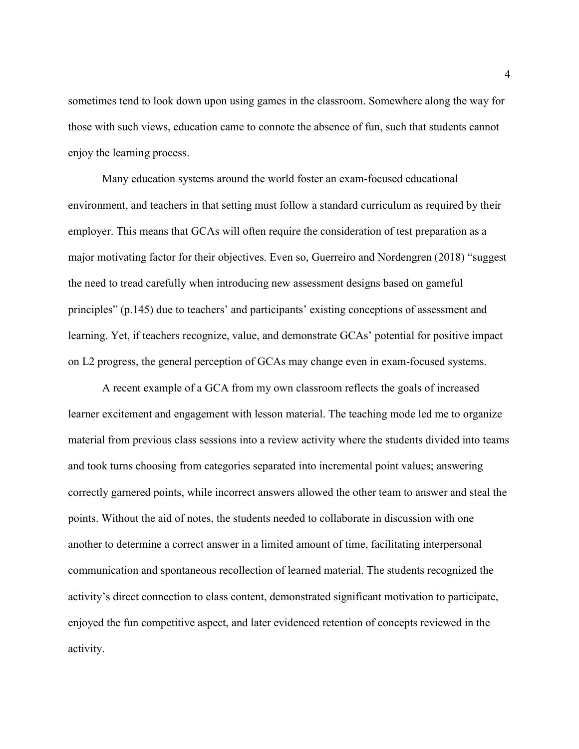sometimes tend to look down upon using games in the classroom. Somewhere along the way for those with such views, education came to connote the absence of fun, such that students cannot enjoy the learning process.

 Many education systems around the world foster an exam-focused educational environment, and teachers in that setting must follow a standard curriculum as required by their employer. This means that GCAs will often require the consideration of test preparation as a major motivating factor for their objectives. Even so, Guerreiro and Nordengren (2018) "suggest the need to tread carefully when introducing new assessment designs based on gameful principles" (p.145) due to teachers' and participants' existing conceptions of assessment and learning. Yet, if teachers recognize, value, and demonstrate GCAs' potential for positive impact on L2 progress, the general perception of GCAs may change even in exam-focused systems.

A recent example of a GCA from my own classroom reflects the goals of increased learner excitement and engagement with lesson material. The teaching mode led me to organize material from previous class sessions into a review activity where the students divided into teams and took turns choosing from categories separated into incremental point values; answering correctly garnered points, while incorrect answers allowed the other team to answer and steal the points. Without the aid of notes, the students needed to collaborate in discussion with one another to determine a correct answer in a limited amount of time, facilitating interpersonal communication and spontaneous recollection of learned material. The students recognized the activity's direct connection to class content, demonstrated significant motivation to participate, enjoyed the fun competitive aspect, and later evidenced retention of concepts reviewed in the activity.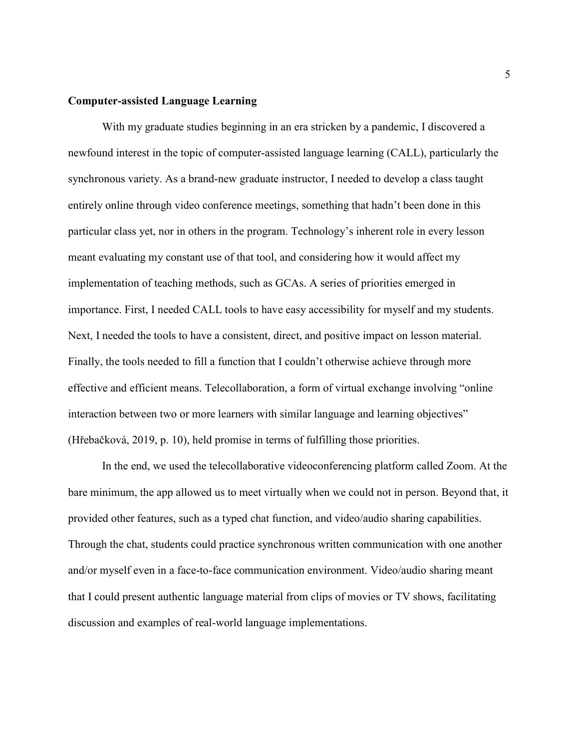#### Computer-assisted Language Learning

 With my graduate studies beginning in an era stricken by a pandemic, I discovered a newfound interest in the topic of computer-assisted language learning (CALL), particularly the synchronous variety. As a brand-new graduate instructor, I needed to develop a class taught entirely online through video conference meetings, something that hadn't been done in this particular class yet, nor in others in the program. Technology's inherent role in every lesson meant evaluating my constant use of that tool, and considering how it would affect my implementation of teaching methods, such as GCAs. A series of priorities emerged in importance. First, I needed CALL tools to have easy accessibility for myself and my students. Next, I needed the tools to have a consistent, direct, and positive impact on lesson material. Finally, the tools needed to fill a function that I couldn't otherwise achieve through more effective and efficient means. Telecollaboration, a form of virtual exchange involving "online interaction between two or more learners with similar language and learning objectives" (Hřebačková, 2019, p. 10), held promise in terms of fulfilling those priorities.

 In the end, we used the telecollaborative videoconferencing platform called Zoom. At the bare minimum, the app allowed us to meet virtually when we could not in person. Beyond that, it provided other features, such as a typed chat function, and video/audio sharing capabilities. Through the chat, students could practice synchronous written communication with one another and/or myself even in a face-to-face communication environment. Video/audio sharing meant that I could present authentic language material from clips of movies or TV shows, facilitating discussion and examples of real-world language implementations.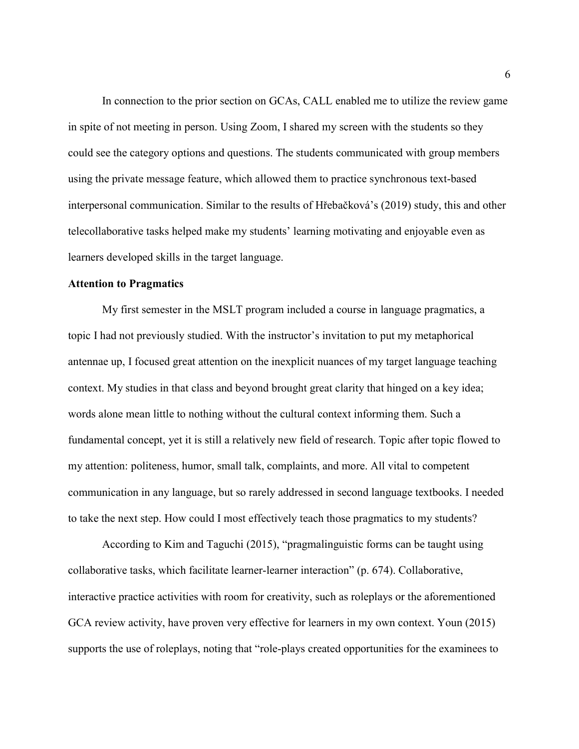In connection to the prior section on GCAs, CALL enabled me to utilize the review game in spite of not meeting in person. Using Zoom, I shared my screen with the students so they could see the category options and questions. The students communicated with group members using the private message feature, which allowed them to practice synchronous text-based interpersonal communication. Similar to the results of Hřebačková's (2019) study, this and other telecollaborative tasks helped make my students' learning motivating and enjoyable even as learners developed skills in the target language.

#### Attention to Pragmatics

 My first semester in the MSLT program included a course in language pragmatics, a topic I had not previously studied. With the instructor's invitation to put my metaphorical antennae up, I focused great attention on the inexplicit nuances of my target language teaching context. My studies in that class and beyond brought great clarity that hinged on a key idea; words alone mean little to nothing without the cultural context informing them. Such a fundamental concept, yet it is still a relatively new field of research. Topic after topic flowed to my attention: politeness, humor, small talk, complaints, and more. All vital to competent communication in any language, but so rarely addressed in second language textbooks. I needed to take the next step. How could I most effectively teach those pragmatics to my students?

According to Kim and Taguchi (2015), "pragmalinguistic forms can be taught using collaborative tasks, which facilitate learner-learner interaction" (p. 674). Collaborative, interactive practice activities with room for creativity, such as roleplays or the aforementioned GCA review activity, have proven very effective for learners in my own context. Youn (2015) supports the use of roleplays, noting that "role-plays created opportunities for the examinees to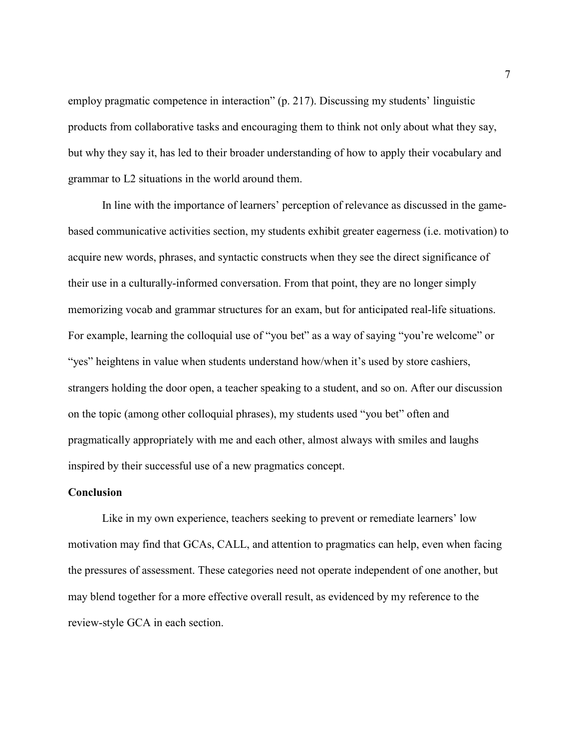employ pragmatic competence in interaction" (p. 217). Discussing my students' linguistic products from collaborative tasks and encouraging them to think not only about what they say, but why they say it, has led to their broader understanding of how to apply their vocabulary and grammar to L2 situations in the world around them.

 In line with the importance of learners' perception of relevance as discussed in the gamebased communicative activities section, my students exhibit greater eagerness (i.e. motivation) to acquire new words, phrases, and syntactic constructs when they see the direct significance of their use in a culturally-informed conversation. From that point, they are no longer simply memorizing vocab and grammar structures for an exam, but for anticipated real-life situations. For example, learning the colloquial use of "you bet" as a way of saying "you're welcome" or "yes" heightens in value when students understand how/when it's used by store cashiers, strangers holding the door open, a teacher speaking to a student, and so on. After our discussion on the topic (among other colloquial phrases), my students used "you bet" often and pragmatically appropriately with me and each other, almost always with smiles and laughs inspired by their successful use of a new pragmatics concept.

#### **Conclusion**

 Like in my own experience, teachers seeking to prevent or remediate learners' low motivation may find that GCAs, CALL, and attention to pragmatics can help, even when facing the pressures of assessment. These categories need not operate independent of one another, but may blend together for a more effective overall result, as evidenced by my reference to the review-style GCA in each section.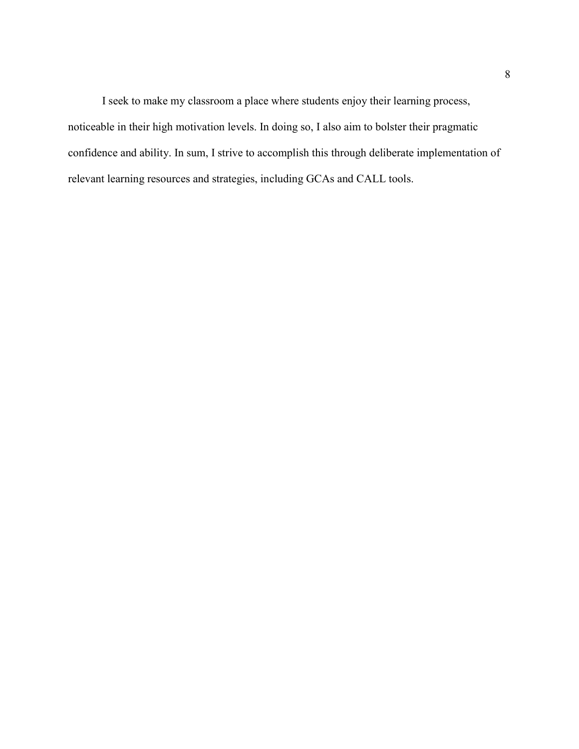I seek to make my classroom a place where students enjoy their learning process, noticeable in their high motivation levels. In doing so, I also aim to bolster their pragmatic confidence and ability. In sum, I strive to accomplish this through deliberate implementation of relevant learning resources and strategies, including GCAs and CALL tools.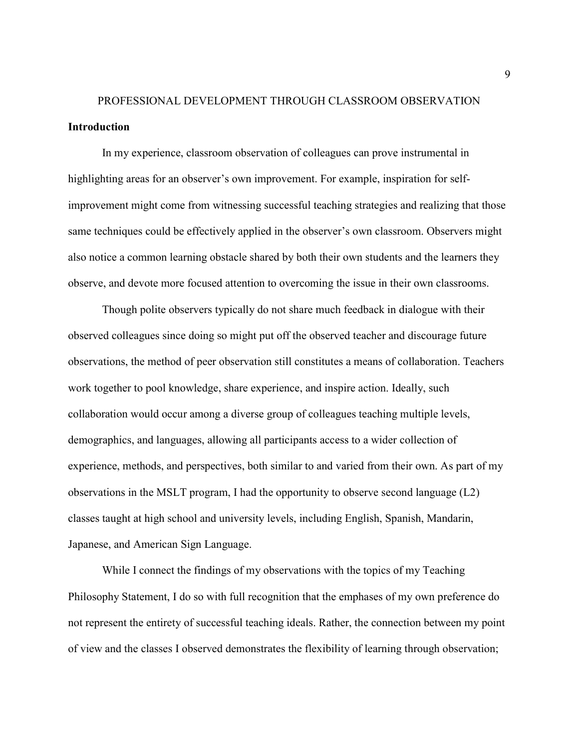## PROFESSIONAL DEVELOPMENT THROUGH CLASSROOM OBSERVATION Introduction

 In my experience, classroom observation of colleagues can prove instrumental in highlighting areas for an observer's own improvement. For example, inspiration for selfimprovement might come from witnessing successful teaching strategies and realizing that those same techniques could be effectively applied in the observer's own classroom. Observers might also notice a common learning obstacle shared by both their own students and the learners they observe, and devote more focused attention to overcoming the issue in their own classrooms.

Though polite observers typically do not share much feedback in dialogue with their observed colleagues since doing so might put off the observed teacher and discourage future observations, the method of peer observation still constitutes a means of collaboration. Teachers work together to pool knowledge, share experience, and inspire action. Ideally, such collaboration would occur among a diverse group of colleagues teaching multiple levels, demographics, and languages, allowing all participants access to a wider collection of experience, methods, and perspectives, both similar to and varied from their own. As part of my observations in the MSLT program, I had the opportunity to observe second language (L2) classes taught at high school and university levels, including English, Spanish, Mandarin, Japanese, and American Sign Language.

While I connect the findings of my observations with the topics of my Teaching Philosophy Statement, I do so with full recognition that the emphases of my own preference do not represent the entirety of successful teaching ideals. Rather, the connection between my point of view and the classes I observed demonstrates the flexibility of learning through observation;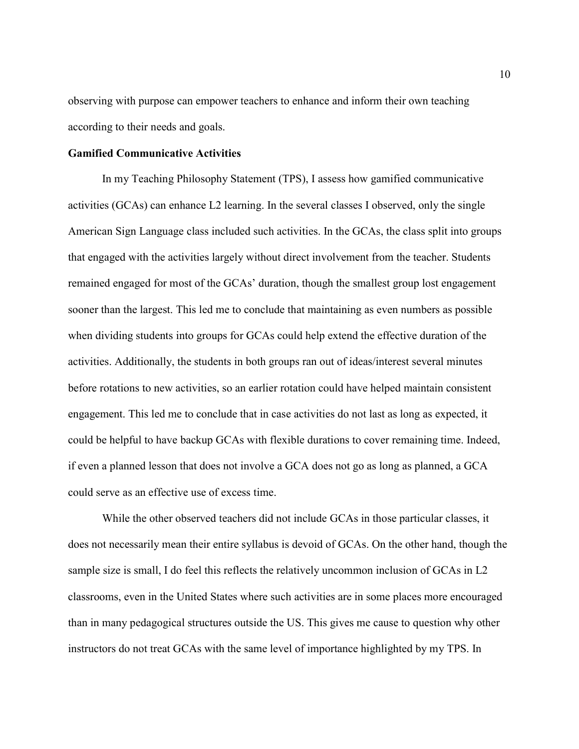observing with purpose can empower teachers to enhance and inform their own teaching according to their needs and goals.

#### Gamified Communicative Activities

 In my Teaching Philosophy Statement (TPS), I assess how gamified communicative activities (GCAs) can enhance L2 learning. In the several classes I observed, only the single American Sign Language class included such activities. In the GCAs, the class split into groups that engaged with the activities largely without direct involvement from the teacher. Students remained engaged for most of the GCAs' duration, though the smallest group lost engagement sooner than the largest. This led me to conclude that maintaining as even numbers as possible when dividing students into groups for GCAs could help extend the effective duration of the activities. Additionally, the students in both groups ran out of ideas/interest several minutes before rotations to new activities, so an earlier rotation could have helped maintain consistent engagement. This led me to conclude that in case activities do not last as long as expected, it could be helpful to have backup GCAs with flexible durations to cover remaining time. Indeed, if even a planned lesson that does not involve a GCA does not go as long as planned, a GCA could serve as an effective use of excess time.

While the other observed teachers did not include GCAs in those particular classes, it does not necessarily mean their entire syllabus is devoid of GCAs. On the other hand, though the sample size is small, I do feel this reflects the relatively uncommon inclusion of GCAs in L2 classrooms, even in the United States where such activities are in some places more encouraged than in many pedagogical structures outside the US. This gives me cause to question why other instructors do not treat GCAs with the same level of importance highlighted by my TPS. In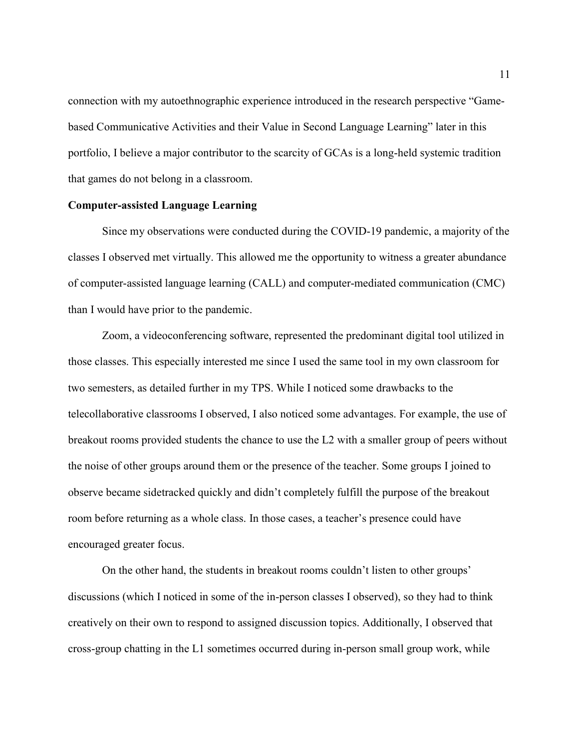connection with my autoethnographic experience introduced in the research perspective "Gamebased Communicative Activities and their Value in Second Language Learning" later in this portfolio, I believe a major contributor to the scarcity of GCAs is a long-held systemic tradition that games do not belong in a classroom.

#### Computer-assisted Language Learning

 Since my observations were conducted during the COVID-19 pandemic, a majority of the classes I observed met virtually. This allowed me the opportunity to witness a greater abundance of computer-assisted language learning (CALL) and computer-mediated communication (CMC) than I would have prior to the pandemic.

 Zoom, a videoconferencing software, represented the predominant digital tool utilized in those classes. This especially interested me since I used the same tool in my own classroom for two semesters, as detailed further in my TPS. While I noticed some drawbacks to the telecollaborative classrooms I observed, I also noticed some advantages. For example, the use of breakout rooms provided students the chance to use the L2 with a smaller group of peers without the noise of other groups around them or the presence of the teacher. Some groups I joined to observe became sidetracked quickly and didn't completely fulfill the purpose of the breakout room before returning as a whole class. In those cases, a teacher's presence could have encouraged greater focus.

On the other hand, the students in breakout rooms couldn't listen to other groups' discussions (which I noticed in some of the in-person classes I observed), so they had to think creatively on their own to respond to assigned discussion topics. Additionally, I observed that cross-group chatting in the L1 sometimes occurred during in-person small group work, while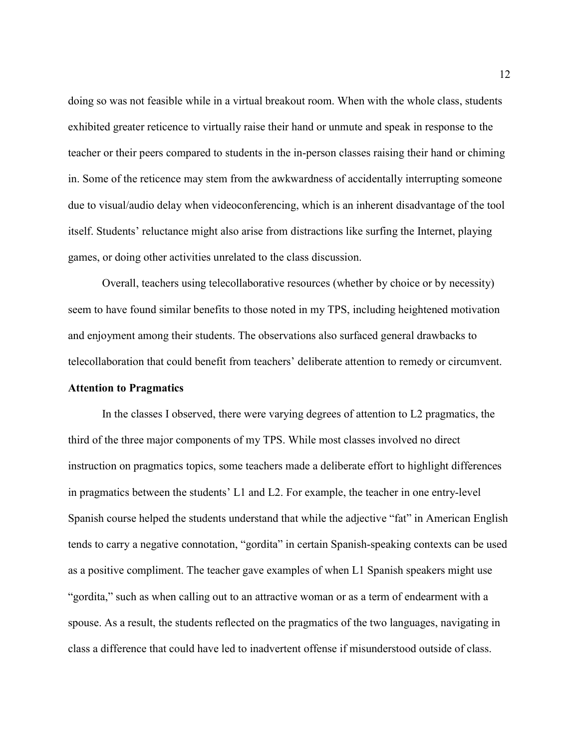doing so was not feasible while in a virtual breakout room. When with the whole class, students exhibited greater reticence to virtually raise their hand or unmute and speak in response to the teacher or their peers compared to students in the in-person classes raising their hand or chiming in. Some of the reticence may stem from the awkwardness of accidentally interrupting someone due to visual/audio delay when videoconferencing, which is an inherent disadvantage of the tool itself. Students' reluctance might also arise from distractions like surfing the Internet, playing games, or doing other activities unrelated to the class discussion.

 Overall, teachers using telecollaborative resources (whether by choice or by necessity) seem to have found similar benefits to those noted in my TPS, including heightened motivation and enjoyment among their students. The observations also surfaced general drawbacks to telecollaboration that could benefit from teachers' deliberate attention to remedy or circumvent.

#### Attention to Pragmatics

 In the classes I observed, there were varying degrees of attention to L2 pragmatics, the third of the three major components of my TPS. While most classes involved no direct instruction on pragmatics topics, some teachers made a deliberate effort to highlight differences in pragmatics between the students' L1 and L2. For example, the teacher in one entry-level Spanish course helped the students understand that while the adjective "fat" in American English tends to carry a negative connotation, "gordita" in certain Spanish-speaking contexts can be used as a positive compliment. The teacher gave examples of when L1 Spanish speakers might use "gordita," such as when calling out to an attractive woman or as a term of endearment with a spouse. As a result, the students reflected on the pragmatics of the two languages, navigating in class a difference that could have led to inadvertent offense if misunderstood outside of class.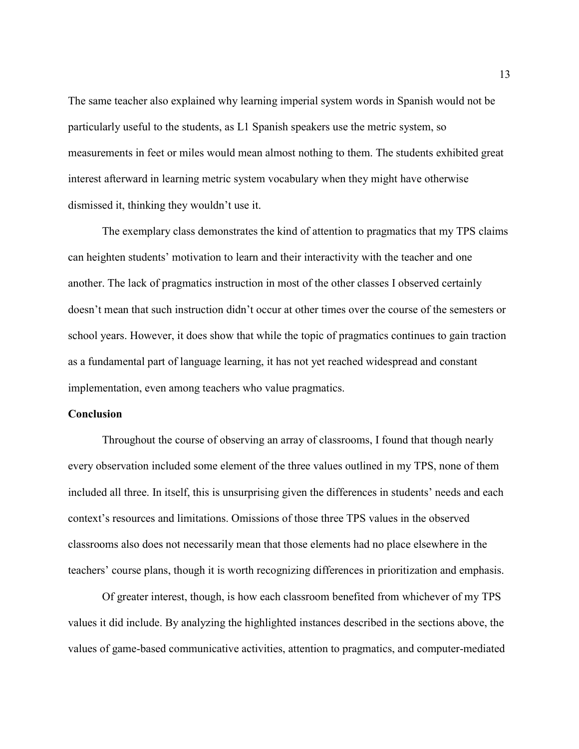The same teacher also explained why learning imperial system words in Spanish would not be particularly useful to the students, as L1 Spanish speakers use the metric system, so measurements in feet or miles would mean almost nothing to them. The students exhibited great interest afterward in learning metric system vocabulary when they might have otherwise dismissed it, thinking they wouldn't use it.

 The exemplary class demonstrates the kind of attention to pragmatics that my TPS claims can heighten students' motivation to learn and their interactivity with the teacher and one another. The lack of pragmatics instruction in most of the other classes I observed certainly doesn't mean that such instruction didn't occur at other times over the course of the semesters or school years. However, it does show that while the topic of pragmatics continues to gain traction as a fundamental part of language learning, it has not yet reached widespread and constant implementation, even among teachers who value pragmatics.

#### **Conclusion**

 Throughout the course of observing an array of classrooms, I found that though nearly every observation included some element of the three values outlined in my TPS, none of them included all three. In itself, this is unsurprising given the differences in students' needs and each context's resources and limitations. Omissions of those three TPS values in the observed classrooms also does not necessarily mean that those elements had no place elsewhere in the teachers' course plans, though it is worth recognizing differences in prioritization and emphasis.

Of greater interest, though, is how each classroom benefited from whichever of my TPS values it did include. By analyzing the highlighted instances described in the sections above, the values of game-based communicative activities, attention to pragmatics, and computer-mediated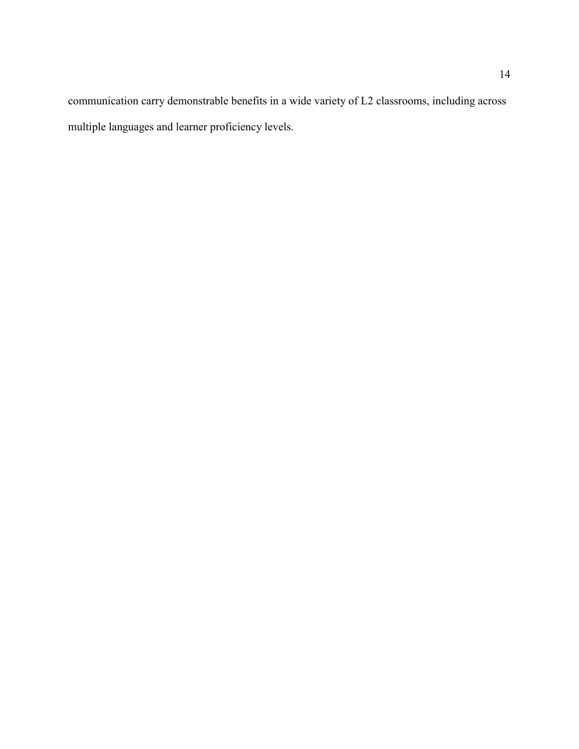communication carry demonstrable benefits in a wide variety of L2 classrooms, including across multiple languages and learner proficiency levels.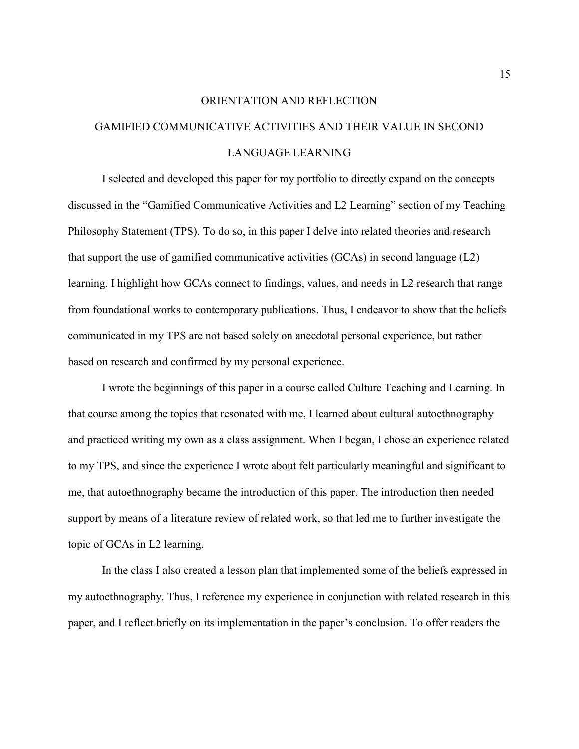# ORIENTATION AND REFLECTION GAMIFIED COMMUNICATIVE ACTIVITIES AND THEIR VALUE IN SECOND LANGUAGE LEARNING

 I selected and developed this paper for my portfolio to directly expand on the concepts discussed in the "Gamified Communicative Activities and L2 Learning" section of my Teaching Philosophy Statement (TPS). To do so, in this paper I delve into related theories and research that support the use of gamified communicative activities (GCAs) in second language (L2) learning. I highlight how GCAs connect to findings, values, and needs in L2 research that range from foundational works to contemporary publications. Thus, I endeavor to show that the beliefs communicated in my TPS are not based solely on anecdotal personal experience, but rather based on research and confirmed by my personal experience.

 I wrote the beginnings of this paper in a course called Culture Teaching and Learning. In that course among the topics that resonated with me, I learned about cultural autoethnography and practiced writing my own as a class assignment. When I began, I chose an experience related to my TPS, and since the experience I wrote about felt particularly meaningful and significant to me, that autoethnography became the introduction of this paper. The introduction then needed support by means of a literature review of related work, so that led me to further investigate the topic of GCAs in L2 learning.

In the class I also created a lesson plan that implemented some of the beliefs expressed in my autoethnography. Thus, I reference my experience in conjunction with related research in this paper, and I reflect briefly on its implementation in the paper's conclusion. To offer readers the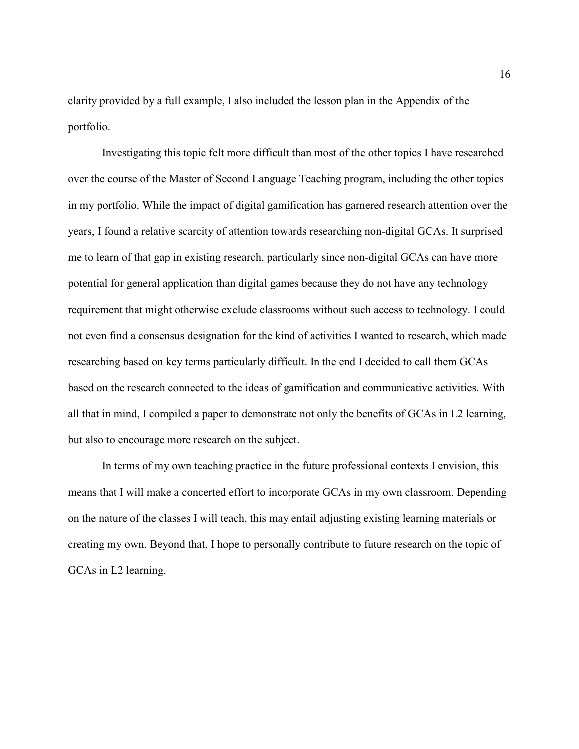clarity provided by a full example, I also included the lesson plan in the Appendix of the portfolio.

 Investigating this topic felt more difficult than most of the other topics I have researched over the course of the Master of Second Language Teaching program, including the other topics in my portfolio. While the impact of digital gamification has garnered research attention over the years, I found a relative scarcity of attention towards researching non-digital GCAs. It surprised me to learn of that gap in existing research, particularly since non-digital GCAs can have more potential for general application than digital games because they do not have any technology requirement that might otherwise exclude classrooms without such access to technology. I could not even find a consensus designation for the kind of activities I wanted to research, which made researching based on key terms particularly difficult. In the end I decided to call them GCAs based on the research connected to the ideas of gamification and communicative activities. With all that in mind, I compiled a paper to demonstrate not only the benefits of GCAs in L2 learning, but also to encourage more research on the subject.

 In terms of my own teaching practice in the future professional contexts I envision, this means that I will make a concerted effort to incorporate GCAs in my own classroom. Depending on the nature of the classes I will teach, this may entail adjusting existing learning materials or creating my own. Beyond that, I hope to personally contribute to future research on the topic of GCAs in L2 learning.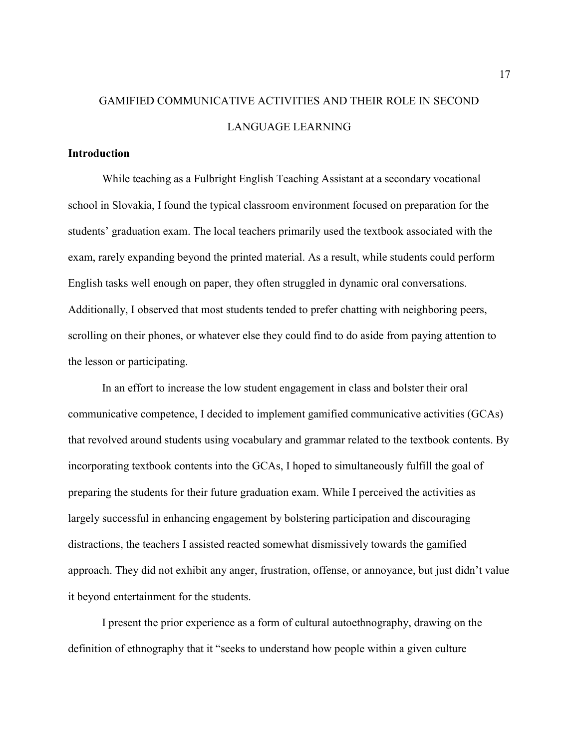## GAMIFIED COMMUNICATIVE ACTIVITIES AND THEIR ROLE IN SECOND LANGUAGE LEARNING

#### **Introduction**

While teaching as a Fulbright English Teaching Assistant at a secondary vocational school in Slovakia, I found the typical classroom environment focused on preparation for the students' graduation exam. The local teachers primarily used the textbook associated with the exam, rarely expanding beyond the printed material. As a result, while students could perform English tasks well enough on paper, they often struggled in dynamic oral conversations. Additionally, I observed that most students tended to prefer chatting with neighboring peers, scrolling on their phones, or whatever else they could find to do aside from paying attention to the lesson or participating.

In an effort to increase the low student engagement in class and bolster their oral communicative competence, I decided to implement gamified communicative activities (GCAs) that revolved around students using vocabulary and grammar related to the textbook contents. By incorporating textbook contents into the GCAs, I hoped to simultaneously fulfill the goal of preparing the students for their future graduation exam. While I perceived the activities as largely successful in enhancing engagement by bolstering participation and discouraging distractions, the teachers I assisted reacted somewhat dismissively towards the gamified approach. They did not exhibit any anger, frustration, offense, or annoyance, but just didn't value it beyond entertainment for the students.

I present the prior experience as a form of cultural autoethnography, drawing on the definition of ethnography that it "seeks to understand how people within a given culture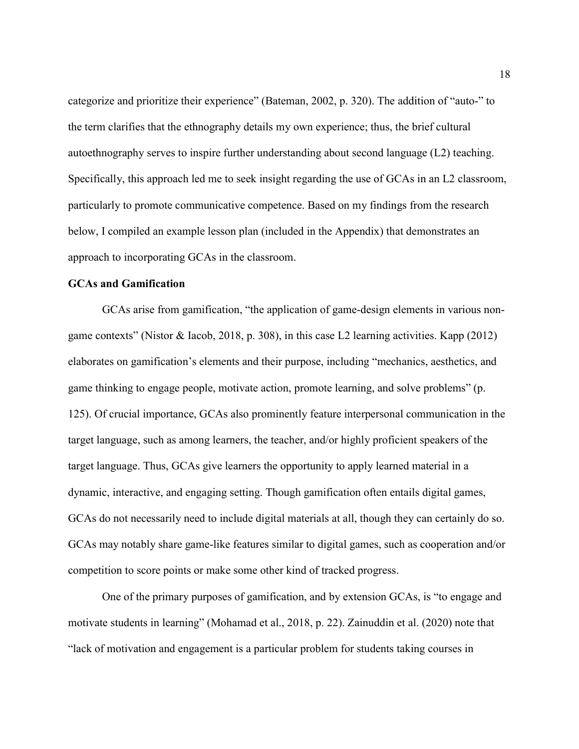categorize and prioritize their experience" (Bateman, 2002, p. 320). The addition of "auto-" to the term clarifies that the ethnography details my own experience; thus, the brief cultural autoethnography serves to inspire further understanding about second language (L2) teaching. Specifically, this approach led me to seek insight regarding the use of GCAs in an L2 classroom, particularly to promote communicative competence. Based on my findings from the research below, I compiled an example lesson plan (included in the Appendix) that demonstrates an approach to incorporating GCAs in the classroom.

#### GCAs and Gamification

GCAs arise from gamification, "the application of game-design elements in various nongame contexts" (Nistor & Iacob, 2018, p. 308), in this case L2 learning activities. Kapp (2012) elaborates on gamification's elements and their purpose, including "mechanics, aesthetics, and game thinking to engage people, motivate action, promote learning, and solve problems" (p. 125). Of crucial importance, GCAs also prominently feature interpersonal communication in the target language, such as among learners, the teacher, and/or highly proficient speakers of the target language. Thus, GCAs give learners the opportunity to apply learned material in a dynamic, interactive, and engaging setting. Though gamification often entails digital games, GCAs do not necessarily need to include digital materials at all, though they can certainly do so. GCAs may notably share game-like features similar to digital games, such as cooperation and/or competition to score points or make some other kind of tracked progress.

One of the primary purposes of gamification, and by extension GCAs, is "to engage and motivate students in learning" (Mohamad et al., 2018, p. 22). Zainuddin et al. (2020) note that "lack of motivation and engagement is a particular problem for students taking courses in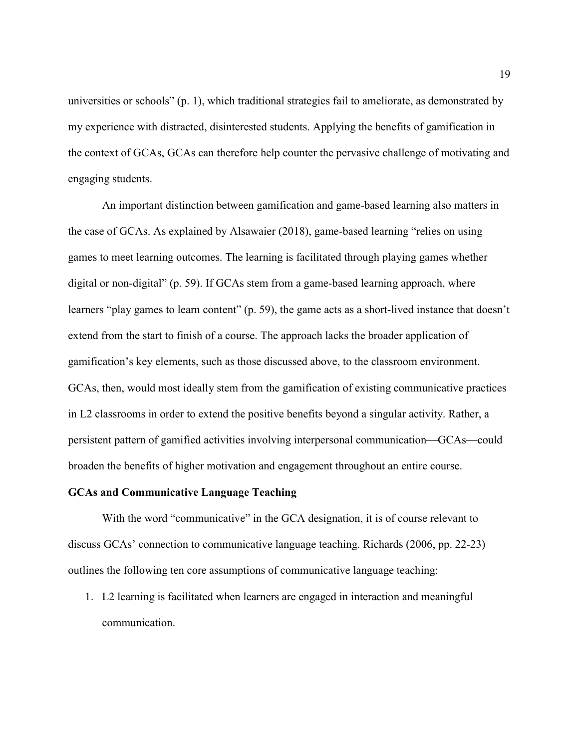universities or schools" (p. 1), which traditional strategies fail to ameliorate, as demonstrated by my experience with distracted, disinterested students. Applying the benefits of gamification in the context of GCAs, GCAs can therefore help counter the pervasive challenge of motivating and engaging students.

An important distinction between gamification and game-based learning also matters in the case of GCAs. As explained by Alsawaier (2018), game-based learning "relies on using games to meet learning outcomes. The learning is facilitated through playing games whether digital or non-digital" (p. 59). If GCAs stem from a game-based learning approach, where learners "play games to learn content" (p. 59), the game acts as a short-lived instance that doesn't extend from the start to finish of a course. The approach lacks the broader application of gamification's key elements, such as those discussed above, to the classroom environment. GCAs, then, would most ideally stem from the gamification of existing communicative practices in L2 classrooms in order to extend the positive benefits beyond a singular activity. Rather, a persistent pattern of gamified activities involving interpersonal communication—GCAs—could broaden the benefits of higher motivation and engagement throughout an entire course.

#### GCAs and Communicative Language Teaching

With the word "communicative" in the GCA designation, it is of course relevant to discuss GCAs' connection to communicative language teaching. Richards (2006, pp. 22-23) outlines the following ten core assumptions of communicative language teaching:

1. L2 learning is facilitated when learners are engaged in interaction and meaningful communication.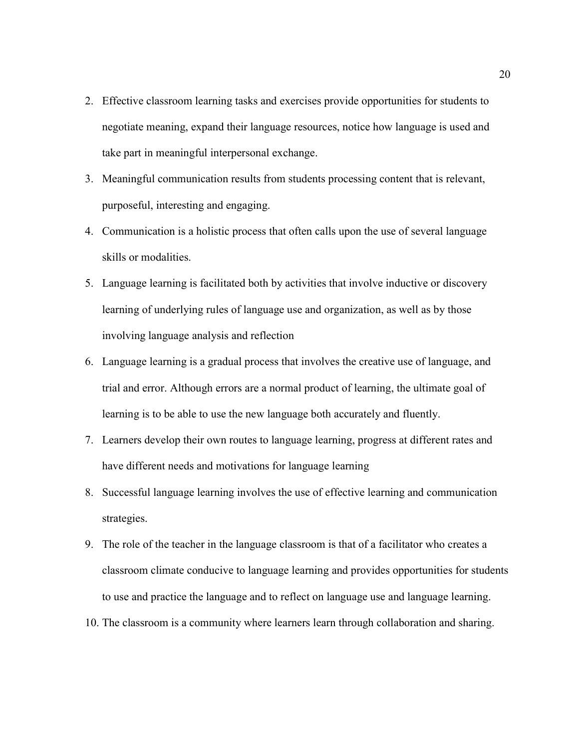- 2. Effective classroom learning tasks and exercises provide opportunities for students to negotiate meaning, expand their language resources, notice how language is used and take part in meaningful interpersonal exchange.
- 3. Meaningful communication results from students processing content that is relevant, purposeful, interesting and engaging.
- 4. Communication is a holistic process that often calls upon the use of several language skills or modalities.
- 5. Language learning is facilitated both by activities that involve inductive or discovery learning of underlying rules of language use and organization, as well as by those involving language analysis and reflection
- 6. Language learning is a gradual process that involves the creative use of language, and trial and error. Although errors are a normal product of learning, the ultimate goal of learning is to be able to use the new language both accurately and fluently.
- 7. Learners develop their own routes to language learning, progress at different rates and have different needs and motivations for language learning
- 8. Successful language learning involves the use of effective learning and communication strategies.
- 9. The role of the teacher in the language classroom is that of a facilitator who creates a classroom climate conducive to language learning and provides opportunities for students to use and practice the language and to reflect on language use and language learning.
- 10. The classroom is a community where learners learn through collaboration and sharing.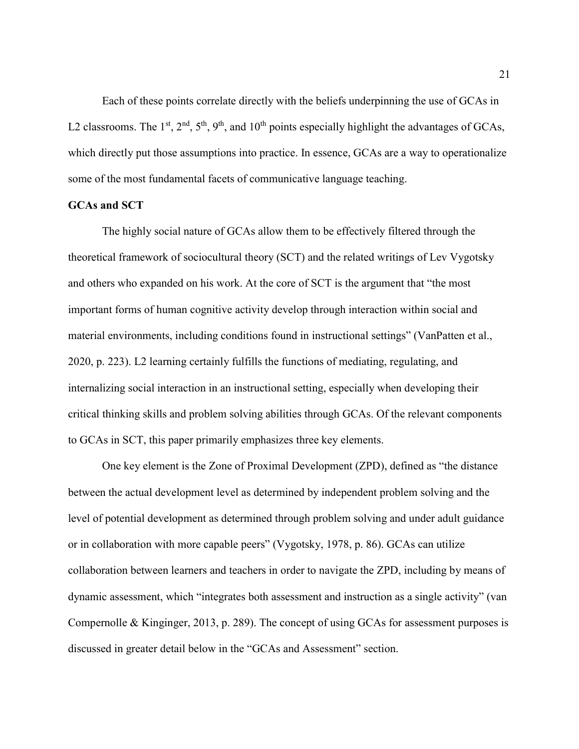Each of these points correlate directly with the beliefs underpinning the use of GCAs in L2 classrooms. The 1<sup>st</sup>, 2<sup>nd</sup>, 5<sup>th</sup>, 9<sup>th</sup>, and 10<sup>th</sup> points especially highlight the advantages of GCAs, which directly put those assumptions into practice. In essence, GCAs are a way to operationalize some of the most fundamental facets of communicative language teaching.

#### GCAs and SCT

 The highly social nature of GCAs allow them to be effectively filtered through the theoretical framework of sociocultural theory (SCT) and the related writings of Lev Vygotsky and others who expanded on his work. At the core of SCT is the argument that "the most important forms of human cognitive activity develop through interaction within social and material environments, including conditions found in instructional settings" (VanPatten et al., 2020, p. 223). L2 learning certainly fulfills the functions of mediating, regulating, and internalizing social interaction in an instructional setting, especially when developing their critical thinking skills and problem solving abilities through GCAs. Of the relevant components to GCAs in SCT, this paper primarily emphasizes three key elements.

One key element is the Zone of Proximal Development (ZPD), defined as "the distance between the actual development level as determined by independent problem solving and the level of potential development as determined through problem solving and under adult guidance or in collaboration with more capable peers" (Vygotsky, 1978, p. 86). GCAs can utilize collaboration between learners and teachers in order to navigate the ZPD, including by means of dynamic assessment, which "integrates both assessment and instruction as a single activity" (van Compernolle & Kinginger, 2013, p. 289). The concept of using GCAs for assessment purposes is discussed in greater detail below in the "GCAs and Assessment" section.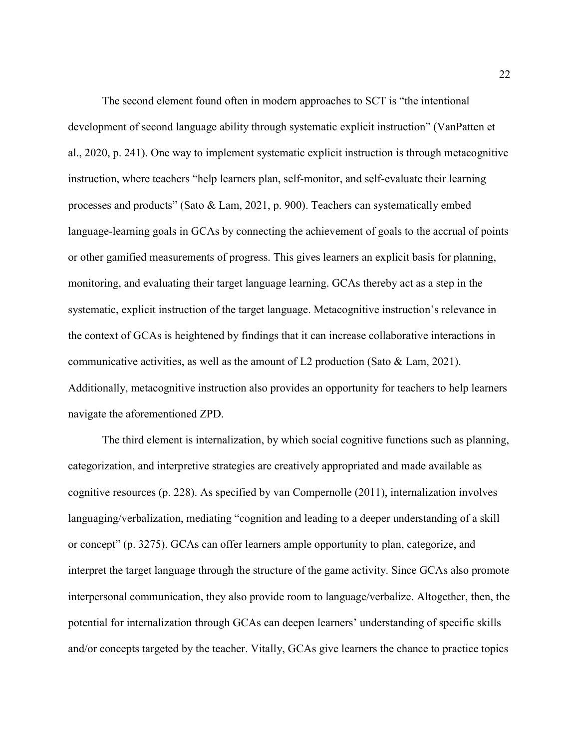The second element found often in modern approaches to SCT is "the intentional development of second language ability through systematic explicit instruction" (VanPatten et al., 2020, p. 241). One way to implement systematic explicit instruction is through metacognitive instruction, where teachers "help learners plan, self-monitor, and self-evaluate their learning processes and products" (Sato & Lam, 2021, p. 900). Teachers can systematically embed language-learning goals in GCAs by connecting the achievement of goals to the accrual of points or other gamified measurements of progress. This gives learners an explicit basis for planning, monitoring, and evaluating their target language learning. GCAs thereby act as a step in the systematic, explicit instruction of the target language. Metacognitive instruction's relevance in the context of GCAs is heightened by findings that it can increase collaborative interactions in communicative activities, as well as the amount of L2 production (Sato & Lam, 2021). Additionally, metacognitive instruction also provides an opportunity for teachers to help learners navigate the aforementioned ZPD.

The third element is internalization, by which social cognitive functions such as planning, categorization, and interpretive strategies are creatively appropriated and made available as cognitive resources (p. 228). As specified by van Compernolle (2011), internalization involves languaging/verbalization, mediating "cognition and leading to a deeper understanding of a skill or concept" (p. 3275). GCAs can offer learners ample opportunity to plan, categorize, and interpret the target language through the structure of the game activity. Since GCAs also promote interpersonal communication, they also provide room to language/verbalize. Altogether, then, the potential for internalization through GCAs can deepen learners' understanding of specific skills and/or concepts targeted by the teacher. Vitally, GCAs give learners the chance to practice topics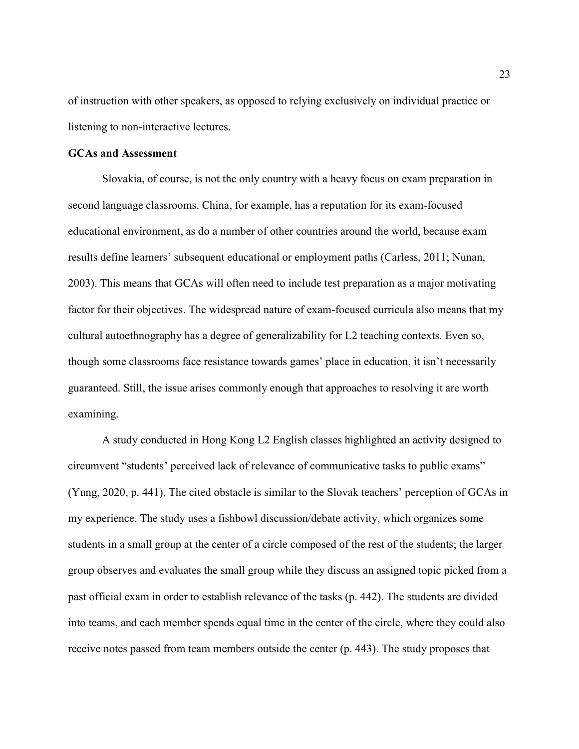of instruction with other speakers, as opposed to relying exclusively on individual practice or listening to non-interactive lectures.

#### GCAs and Assessment

 Slovakia, of course, is not the only country with a heavy focus on exam preparation in second language classrooms. China, for example, has a reputation for its exam-focused educational environment, as do a number of other countries around the world, because exam results define learners' subsequent educational or employment paths (Carless, 2011; Nunan, 2003). This means that GCAs will often need to include test preparation as a major motivating factor for their objectives. The widespread nature of exam-focused curricula also means that my cultural autoethnography has a degree of generalizability for L2 teaching contexts. Even so, though some classrooms face resistance towards games' place in education, it isn't necessarily guaranteed. Still, the issue arises commonly enough that approaches to resolving it are worth examining.

 A study conducted in Hong Kong L2 English classes highlighted an activity designed to circumvent "students' perceived lack of relevance of communicative tasks to public exams" (Yung, 2020, p. 441). The cited obstacle is similar to the Slovak teachers' perception of GCAs in my experience. The study uses a fishbowl discussion/debate activity, which organizes some students in a small group at the center of a circle composed of the rest of the students; the larger group observes and evaluates the small group while they discuss an assigned topic picked from a past official exam in order to establish relevance of the tasks (p. 442). The students are divided into teams, and each member spends equal time in the center of the circle, where they could also receive notes passed from team members outside the center (p. 443). The study proposes that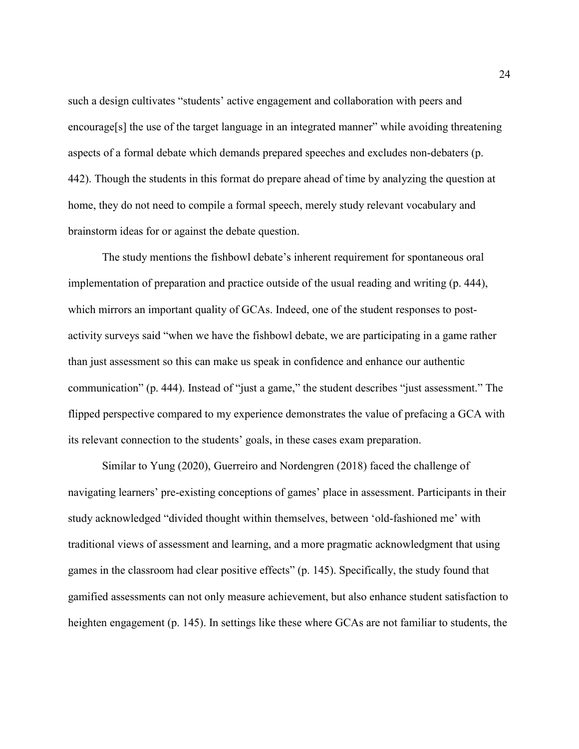such a design cultivates "students' active engagement and collaboration with peers and encourage[s] the use of the target language in an integrated manner" while avoiding threatening aspects of a formal debate which demands prepared speeches and excludes non-debaters (p. 442). Though the students in this format do prepare ahead of time by analyzing the question at home, they do not need to compile a formal speech, merely study relevant vocabulary and brainstorm ideas for or against the debate question.

 The study mentions the fishbowl debate's inherent requirement for spontaneous oral implementation of preparation and practice outside of the usual reading and writing (p. 444), which mirrors an important quality of GCAs. Indeed, one of the student responses to postactivity surveys said "when we have the fishbowl debate, we are participating in a game rather than just assessment so this can make us speak in confidence and enhance our authentic communication" (p. 444). Instead of "just a game," the student describes "just assessment." The flipped perspective compared to my experience demonstrates the value of prefacing a GCA with its relevant connection to the students' goals, in these cases exam preparation.

Similar to Yung (2020), Guerreiro and Nordengren (2018) faced the challenge of navigating learners' pre-existing conceptions of games' place in assessment. Participants in their study acknowledged "divided thought within themselves, between 'old-fashioned me' with traditional views of assessment and learning, and a more pragmatic acknowledgment that using games in the classroom had clear positive effects" (p. 145). Specifically, the study found that gamified assessments can not only measure achievement, but also enhance student satisfaction to heighten engagement (p. 145). In settings like these where GCAs are not familiar to students, the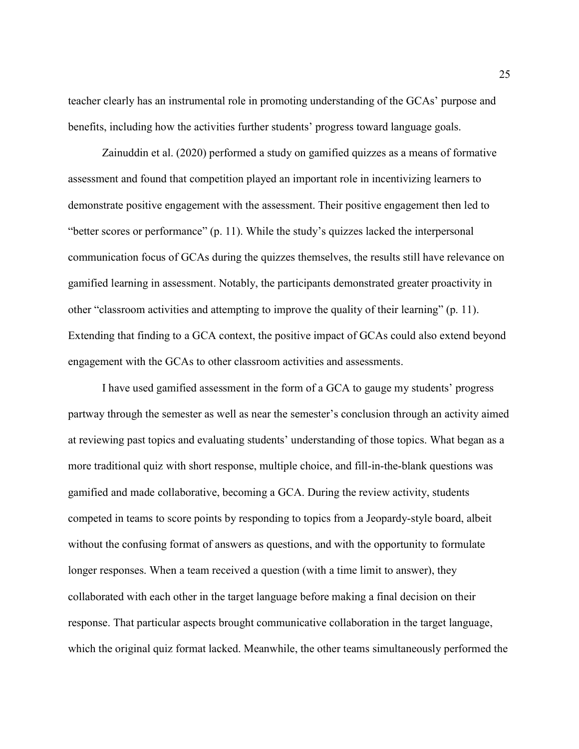teacher clearly has an instrumental role in promoting understanding of the GCAs' purpose and benefits, including how the activities further students' progress toward language goals.

Zainuddin et al. (2020) performed a study on gamified quizzes as a means of formative assessment and found that competition played an important role in incentivizing learners to demonstrate positive engagement with the assessment. Their positive engagement then led to "better scores or performance" (p. 11). While the study's quizzes lacked the interpersonal communication focus of GCAs during the quizzes themselves, the results still have relevance on gamified learning in assessment. Notably, the participants demonstrated greater proactivity in other "classroom activities and attempting to improve the quality of their learning" (p. 11). Extending that finding to a GCA context, the positive impact of GCAs could also extend beyond engagement with the GCAs to other classroom activities and assessments.

I have used gamified assessment in the form of a GCA to gauge my students' progress partway through the semester as well as near the semester's conclusion through an activity aimed at reviewing past topics and evaluating students' understanding of those topics. What began as a more traditional quiz with short response, multiple choice, and fill-in-the-blank questions was gamified and made collaborative, becoming a GCA. During the review activity, students competed in teams to score points by responding to topics from a Jeopardy-style board, albeit without the confusing format of answers as questions, and with the opportunity to formulate longer responses. When a team received a question (with a time limit to answer), they collaborated with each other in the target language before making a final decision on their response. That particular aspects brought communicative collaboration in the target language, which the original quiz format lacked. Meanwhile, the other teams simultaneously performed the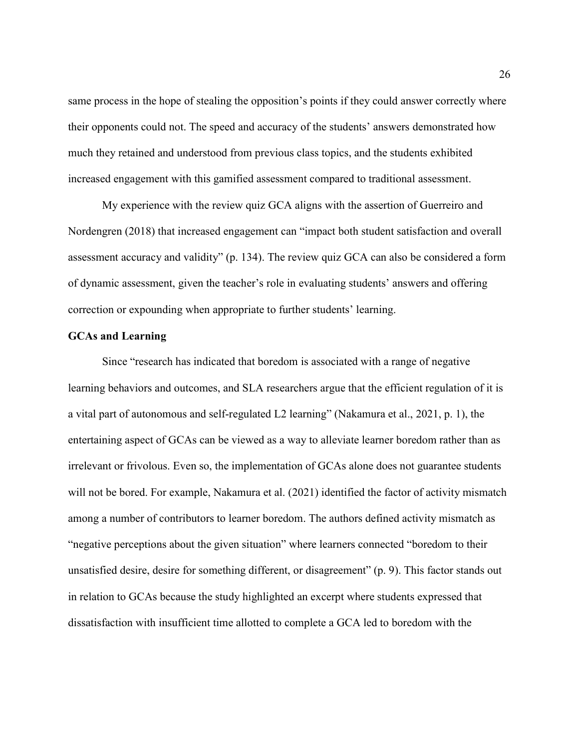same process in the hope of stealing the opposition's points if they could answer correctly where their opponents could not. The speed and accuracy of the students' answers demonstrated how much they retained and understood from previous class topics, and the students exhibited increased engagement with this gamified assessment compared to traditional assessment.

My experience with the review quiz GCA aligns with the assertion of Guerreiro and Nordengren (2018) that increased engagement can "impact both student satisfaction and overall assessment accuracy and validity" (p. 134). The review quiz GCA can also be considered a form of dynamic assessment, given the teacher's role in evaluating students' answers and offering correction or expounding when appropriate to further students' learning.

#### GCAs and Learning

Since "research has indicated that boredom is associated with a range of negative learning behaviors and outcomes, and SLA researchers argue that the efficient regulation of it is a vital part of autonomous and self-regulated L2 learning" (Nakamura et al., 2021, p. 1), the entertaining aspect of GCAs can be viewed as a way to alleviate learner boredom rather than as irrelevant or frivolous. Even so, the implementation of GCAs alone does not guarantee students will not be bored. For example, Nakamura et al. (2021) identified the factor of activity mismatch among a number of contributors to learner boredom. The authors defined activity mismatch as "negative perceptions about the given situation" where learners connected "boredom to their unsatisfied desire, desire for something different, or disagreement" (p. 9). This factor stands out in relation to GCAs because the study highlighted an excerpt where students expressed that dissatisfaction with insufficient time allotted to complete a GCA led to boredom with the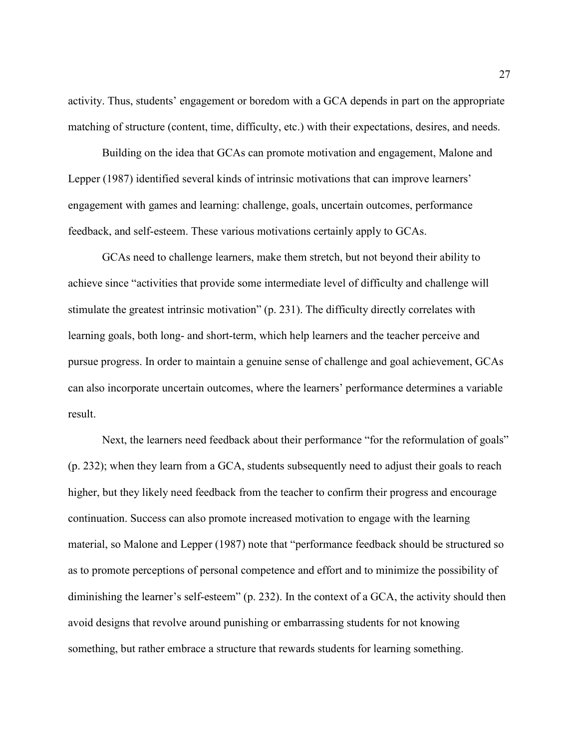activity. Thus, students' engagement or boredom with a GCA depends in part on the appropriate matching of structure (content, time, difficulty, etc.) with their expectations, desires, and needs.

Building on the idea that GCAs can promote motivation and engagement, Malone and Lepper (1987) identified several kinds of intrinsic motivations that can improve learners' engagement with games and learning: challenge, goals, uncertain outcomes, performance feedback, and self-esteem. These various motivations certainly apply to GCAs.

GCAs need to challenge learners, make them stretch, but not beyond their ability to achieve since "activities that provide some intermediate level of difficulty and challenge will stimulate the greatest intrinsic motivation" (p. 231). The difficulty directly correlates with learning goals, both long- and short-term, which help learners and the teacher perceive and pursue progress. In order to maintain a genuine sense of challenge and goal achievement, GCAs can also incorporate uncertain outcomes, where the learners' performance determines a variable result.

Next, the learners need feedback about their performance "for the reformulation of goals" (p. 232); when they learn from a GCA, students subsequently need to adjust their goals to reach higher, but they likely need feedback from the teacher to confirm their progress and encourage continuation. Success can also promote increased motivation to engage with the learning material, so Malone and Lepper (1987) note that "performance feedback should be structured so as to promote perceptions of personal competence and effort and to minimize the possibility of diminishing the learner's self-esteem" (p. 232). In the context of a GCA, the activity should then avoid designs that revolve around punishing or embarrassing students for not knowing something, but rather embrace a structure that rewards students for learning something.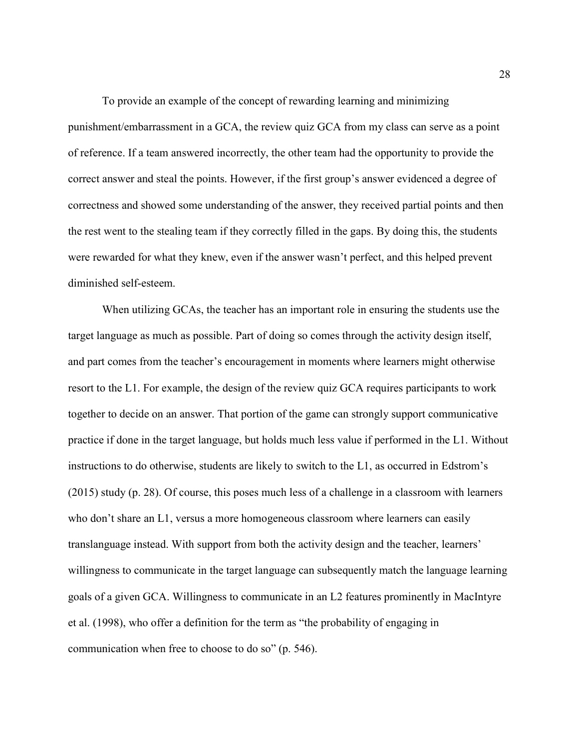To provide an example of the concept of rewarding learning and minimizing punishment/embarrassment in a GCA, the review quiz GCA from my class can serve as a point of reference. If a team answered incorrectly, the other team had the opportunity to provide the correct answer and steal the points. However, if the first group's answer evidenced a degree of correctness and showed some understanding of the answer, they received partial points and then the rest went to the stealing team if they correctly filled in the gaps. By doing this, the students were rewarded for what they knew, even if the answer wasn't perfect, and this helped prevent diminished self-esteem.

When utilizing GCAs, the teacher has an important role in ensuring the students use the target language as much as possible. Part of doing so comes through the activity design itself, and part comes from the teacher's encouragement in moments where learners might otherwise resort to the L1. For example, the design of the review quiz GCA requires participants to work together to decide on an answer. That portion of the game can strongly support communicative practice if done in the target language, but holds much less value if performed in the L1. Without instructions to do otherwise, students are likely to switch to the L1, as occurred in Edstrom's (2015) study (p. 28). Of course, this poses much less of a challenge in a classroom with learners who don't share an L1, versus a more homogeneous classroom where learners can easily translanguage instead. With support from both the activity design and the teacher, learners' willingness to communicate in the target language can subsequently match the language learning goals of a given GCA. Willingness to communicate in an L2 features prominently in MacIntyre et al. (1998), who offer a definition for the term as "the probability of engaging in communication when free to choose to do so" (p. 546).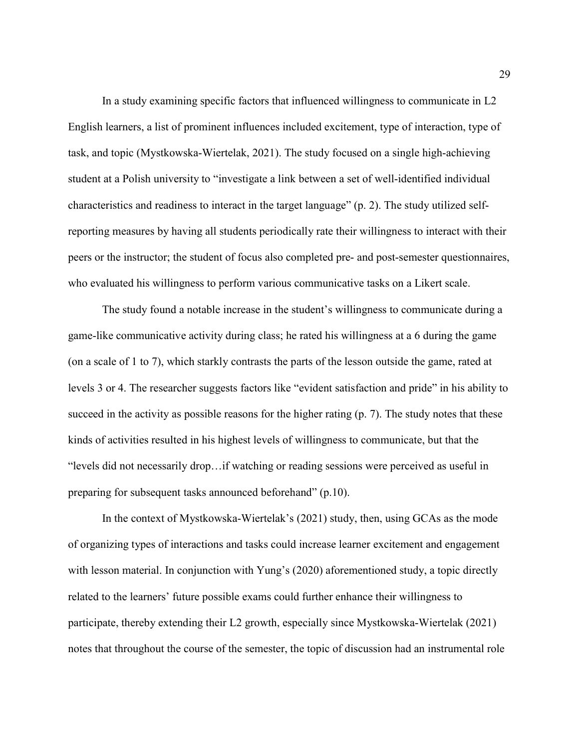In a study examining specific factors that influenced willingness to communicate in L2 English learners, a list of prominent influences included excitement, type of interaction, type of task, and topic (Mystkowska-Wiertelak, 2021). The study focused on a single high-achieving student at a Polish university to "investigate a link between a set of well-identified individual characteristics and readiness to interact in the target language" (p. 2). The study utilized selfreporting measures by having all students periodically rate their willingness to interact with their peers or the instructor; the student of focus also completed pre- and post-semester questionnaires, who evaluated his willingness to perform various communicative tasks on a Likert scale.

 The study found a notable increase in the student's willingness to communicate during a game-like communicative activity during class; he rated his willingness at a 6 during the game (on a scale of 1 to 7), which starkly contrasts the parts of the lesson outside the game, rated at levels 3 or 4. The researcher suggests factors like "evident satisfaction and pride" in his ability to succeed in the activity as possible reasons for the higher rating (p. 7). The study notes that these kinds of activities resulted in his highest levels of willingness to communicate, but that the "levels did not necessarily drop…if watching or reading sessions were perceived as useful in preparing for subsequent tasks announced beforehand" (p.10).

 In the context of Mystkowska-Wiertelak's (2021) study, then, using GCAs as the mode of organizing types of interactions and tasks could increase learner excitement and engagement with lesson material. In conjunction with Yung's (2020) aforementioned study, a topic directly related to the learners' future possible exams could further enhance their willingness to participate, thereby extending their L2 growth, especially since Mystkowska-Wiertelak (2021) notes that throughout the course of the semester, the topic of discussion had an instrumental role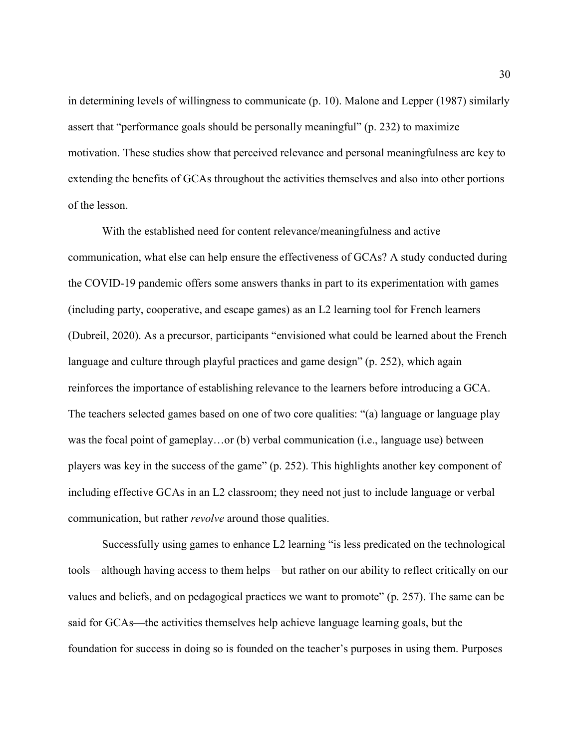in determining levels of willingness to communicate (p. 10). Malone and Lepper (1987) similarly assert that "performance goals should be personally meaningful" (p. 232) to maximize motivation. These studies show that perceived relevance and personal meaningfulness are key to extending the benefits of GCAs throughout the activities themselves and also into other portions of the lesson.

 With the established need for content relevance/meaningfulness and active communication, what else can help ensure the effectiveness of GCAs? A study conducted during the COVID-19 pandemic offers some answers thanks in part to its experimentation with games (including party, cooperative, and escape games) as an L2 learning tool for French learners (Dubreil, 2020). As a precursor, participants "envisioned what could be learned about the French language and culture through playful practices and game design" (p. 252), which again reinforces the importance of establishing relevance to the learners before introducing a GCA. The teachers selected games based on one of two core qualities: "(a) language or language play was the focal point of gameplay…or (b) verbal communication (i.e., language use) between players was key in the success of the game" (p. 252). This highlights another key component of including effective GCAs in an L2 classroom; they need not just to include language or verbal communication, but rather *revolve* around those qualities.

 Successfully using games to enhance L2 learning "is less predicated on the technological tools—although having access to them helps—but rather on our ability to reflect critically on our values and beliefs, and on pedagogical practices we want to promote" (p. 257). The same can be said for GCAs—the activities themselves help achieve language learning goals, but the foundation for success in doing so is founded on the teacher's purposes in using them. Purposes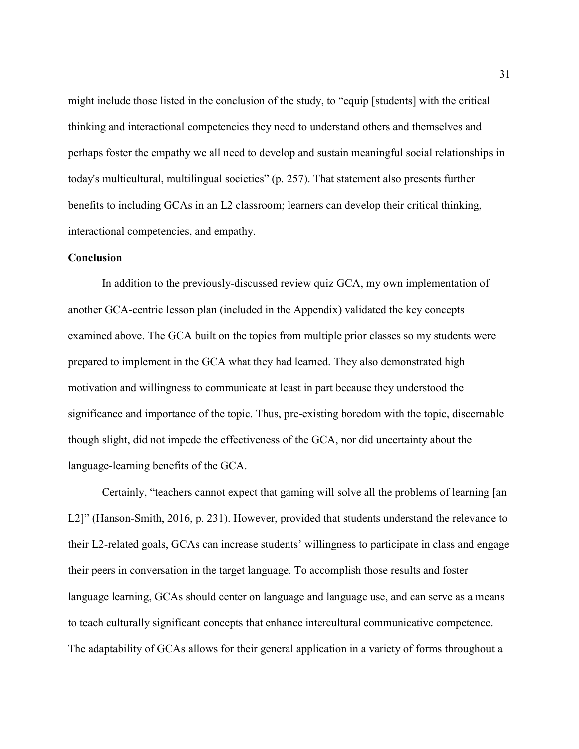might include those listed in the conclusion of the study, to "equip [students] with the critical thinking and interactional competencies they need to understand others and themselves and perhaps foster the empathy we all need to develop and sustain meaningful social relationships in today's multicultural, multilingual societies" (p. 257). That statement also presents further benefits to including GCAs in an L2 classroom; learners can develop their critical thinking, interactional competencies, and empathy.

#### **Conclusion**

 In addition to the previously-discussed review quiz GCA, my own implementation of another GCA-centric lesson plan (included in the Appendix) validated the key concepts examined above. The GCA built on the topics from multiple prior classes so my students were prepared to implement in the GCA what they had learned. They also demonstrated high motivation and willingness to communicate at least in part because they understood the significance and importance of the topic. Thus, pre-existing boredom with the topic, discernable though slight, did not impede the effectiveness of the GCA, nor did uncertainty about the language-learning benefits of the GCA.

Certainly, "teachers cannot expect that gaming will solve all the problems of learning [an L2]" (Hanson-Smith, 2016, p. 231). However, provided that students understand the relevance to their L2-related goals, GCAs can increase students' willingness to participate in class and engage their peers in conversation in the target language. To accomplish those results and foster language learning, GCAs should center on language and language use, and can serve as a means to teach culturally significant concepts that enhance intercultural communicative competence. The adaptability of GCAs allows for their general application in a variety of forms throughout a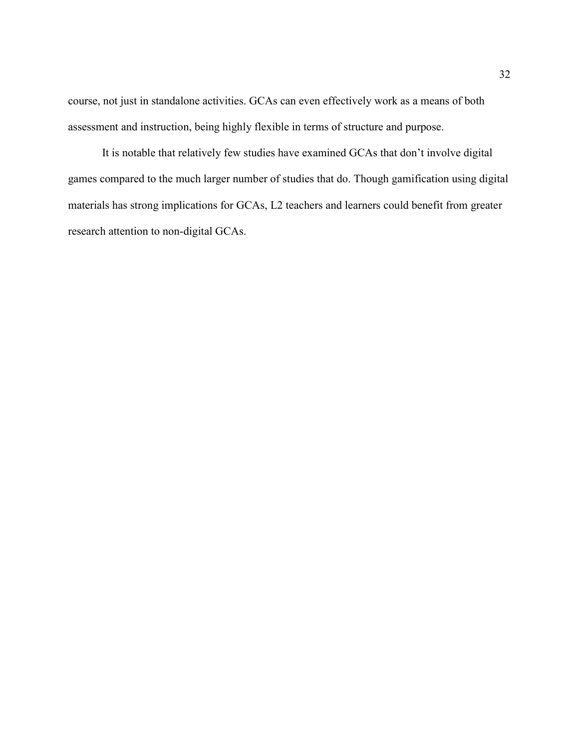course, not just in standalone activities. GCAs can even effectively work as a means of both assessment and instruction, being highly flexible in terms of structure and purpose.

It is notable that relatively few studies have examined GCAs that don't involve digital games compared to the much larger number of studies that do. Though gamification using digital materials has strong implications for GCAs, L2 teachers and learners could benefit from greater research attention to non-digital GCAs.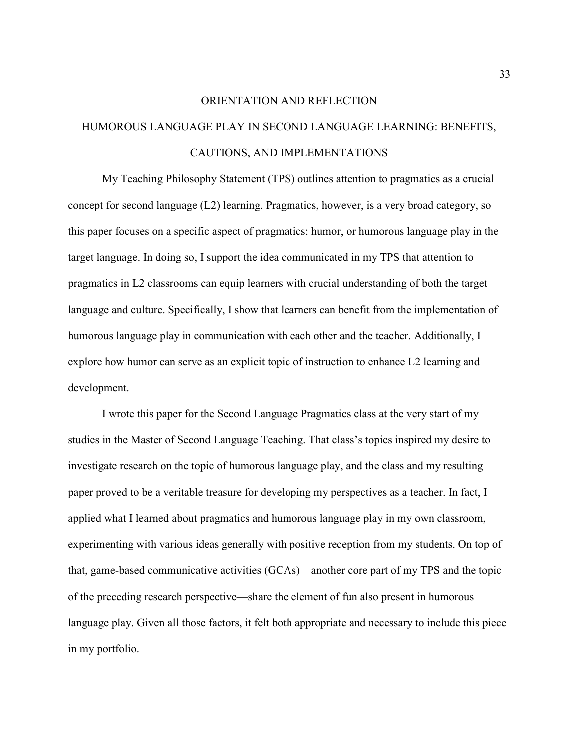### ORIENTATION AND REFLECTION

# HUMOROUS LANGUAGE PLAY IN SECOND LANGUAGE LEARNING: BENEFITS, CAUTIONS, AND IMPLEMENTATIONS

 My Teaching Philosophy Statement (TPS) outlines attention to pragmatics as a crucial concept for second language (L2) learning. Pragmatics, however, is a very broad category, so this paper focuses on a specific aspect of pragmatics: humor, or humorous language play in the target language. In doing so, I support the idea communicated in my TPS that attention to pragmatics in L2 classrooms can equip learners with crucial understanding of both the target language and culture. Specifically, I show that learners can benefit from the implementation of humorous language play in communication with each other and the teacher. Additionally, I explore how humor can serve as an explicit topic of instruction to enhance L2 learning and development.

 I wrote this paper for the Second Language Pragmatics class at the very start of my studies in the Master of Second Language Teaching. That class's topics inspired my desire to investigate research on the topic of humorous language play, and the class and my resulting paper proved to be a veritable treasure for developing my perspectives as a teacher. In fact, I applied what I learned about pragmatics and humorous language play in my own classroom, experimenting with various ideas generally with positive reception from my students. On top of that, game-based communicative activities (GCAs)—another core part of my TPS and the topic of the preceding research perspective—share the element of fun also present in humorous language play. Given all those factors, it felt both appropriate and necessary to include this piece in my portfolio.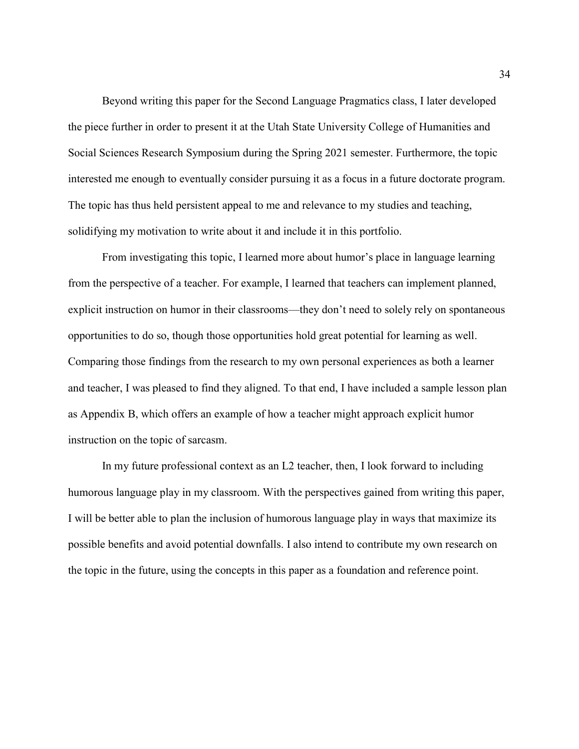Beyond writing this paper for the Second Language Pragmatics class, I later developed the piece further in order to present it at the Utah State University College of Humanities and Social Sciences Research Symposium during the Spring 2021 semester. Furthermore, the topic interested me enough to eventually consider pursuing it as a focus in a future doctorate program. The topic has thus held persistent appeal to me and relevance to my studies and teaching, solidifying my motivation to write about it and include it in this portfolio.

 From investigating this topic, I learned more about humor's place in language learning from the perspective of a teacher. For example, I learned that teachers can implement planned, explicit instruction on humor in their classrooms—they don't need to solely rely on spontaneous opportunities to do so, though those opportunities hold great potential for learning as well. Comparing those findings from the research to my own personal experiences as both a learner and teacher, I was pleased to find they aligned. To that end, I have included a sample lesson plan as Appendix B, which offers an example of how a teacher might approach explicit humor instruction on the topic of sarcasm.

 In my future professional context as an L2 teacher, then, I look forward to including humorous language play in my classroom. With the perspectives gained from writing this paper, I will be better able to plan the inclusion of humorous language play in ways that maximize its possible benefits and avoid potential downfalls. I also intend to contribute my own research on the topic in the future, using the concepts in this paper as a foundation and reference point.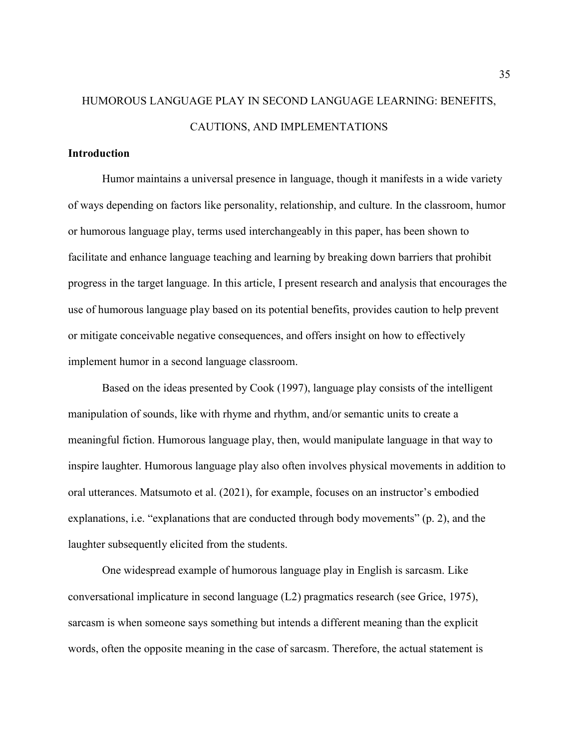# HUMOROUS LANGUAGE PLAY IN SECOND LANGUAGE LEARNING: BENEFITS, CAUTIONS, AND IMPLEMENTATIONS

#### **Introduction**

Humor maintains a universal presence in language, though it manifests in a wide variety of ways depending on factors like personality, relationship, and culture. In the classroom, humor or humorous language play, terms used interchangeably in this paper, has been shown to facilitate and enhance language teaching and learning by breaking down barriers that prohibit progress in the target language. In this article, I present research and analysis that encourages the use of humorous language play based on its potential benefits, provides caution to help prevent or mitigate conceivable negative consequences, and offers insight on how to effectively implement humor in a second language classroom.

Based on the ideas presented by Cook (1997), language play consists of the intelligent manipulation of sounds, like with rhyme and rhythm, and/or semantic units to create a meaningful fiction. Humorous language play, then, would manipulate language in that way to inspire laughter. Humorous language play also often involves physical movements in addition to oral utterances. Matsumoto et al. (2021), for example, focuses on an instructor's embodied explanations, i.e. "explanations that are conducted through body movements" (p. 2), and the laughter subsequently elicited from the students.

One widespread example of humorous language play in English is sarcasm. Like conversational implicature in second language (L2) pragmatics research (see Grice, 1975), sarcasm is when someone says something but intends a different meaning than the explicit words, often the opposite meaning in the case of sarcasm. Therefore, the actual statement is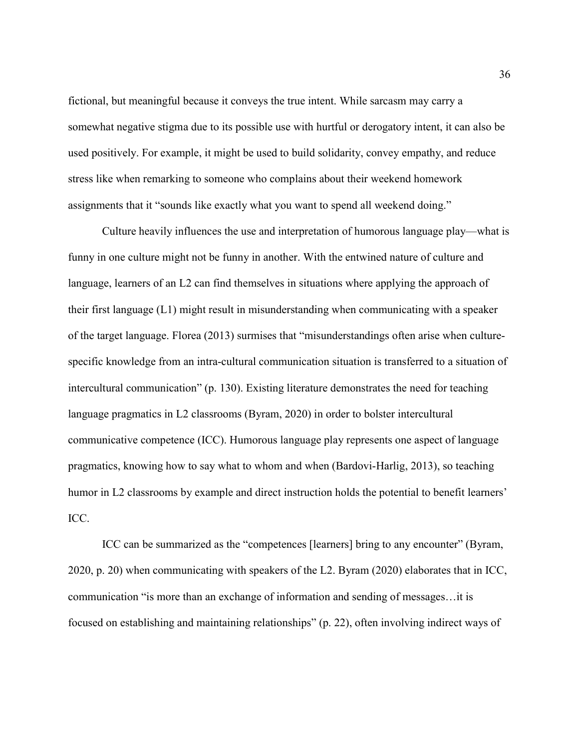fictional, but meaningful because it conveys the true intent. While sarcasm may carry a somewhat negative stigma due to its possible use with hurtful or derogatory intent, it can also be used positively. For example, it might be used to build solidarity, convey empathy, and reduce stress like when remarking to someone who complains about their weekend homework assignments that it "sounds like exactly what you want to spend all weekend doing."

Culture heavily influences the use and interpretation of humorous language play—what is funny in one culture might not be funny in another. With the entwined nature of culture and language, learners of an L2 can find themselves in situations where applying the approach of their first language (L1) might result in misunderstanding when communicating with a speaker of the target language. Florea (2013) surmises that "misunderstandings often arise when culturespecific knowledge from an intra-cultural communication situation is transferred to a situation of intercultural communication" (p. 130). Existing literature demonstrates the need for teaching language pragmatics in L2 classrooms (Byram, 2020) in order to bolster intercultural communicative competence (ICC). Humorous language play represents one aspect of language pragmatics, knowing how to say what to whom and when (Bardovi-Harlig, 2013), so teaching humor in L2 classrooms by example and direct instruction holds the potential to benefit learners' ICC.

ICC can be summarized as the "competences [learners] bring to any encounter" (Byram, 2020, p. 20) when communicating with speakers of the L2. Byram (2020) elaborates that in ICC, communication "is more than an exchange of information and sending of messages…it is focused on establishing and maintaining relationships" (p. 22), often involving indirect ways of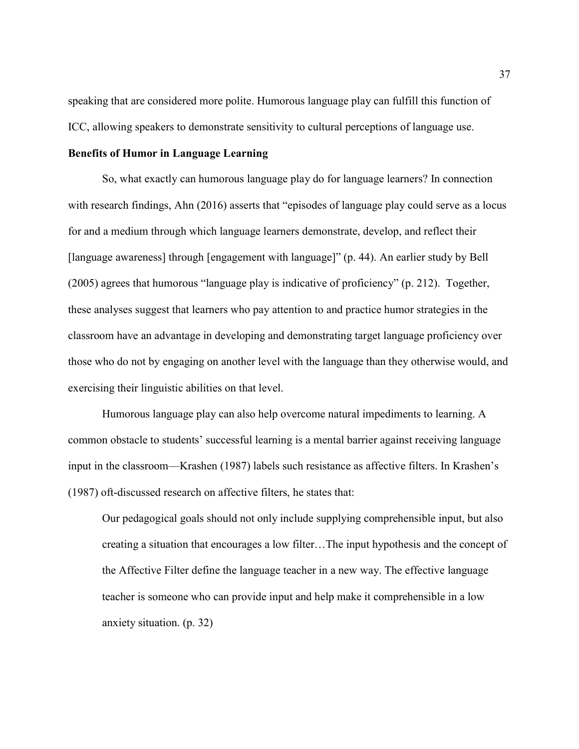speaking that are considered more polite. Humorous language play can fulfill this function of ICC, allowing speakers to demonstrate sensitivity to cultural perceptions of language use.

#### Benefits of Humor in Language Learning

 So, what exactly can humorous language play do for language learners? In connection with research findings, Ahn (2016) asserts that "episodes of language play could serve as a locus for and a medium through which language learners demonstrate, develop, and reflect their [language awareness] through [engagement with language]" (p. 44). An earlier study by Bell (2005) agrees that humorous "language play is indicative of proficiency" (p. 212). Together, these analyses suggest that learners who pay attention to and practice humor strategies in the classroom have an advantage in developing and demonstrating target language proficiency over those who do not by engaging on another level with the language than they otherwise would, and exercising their linguistic abilities on that level.

Humorous language play can also help overcome natural impediments to learning. A common obstacle to students' successful learning is a mental barrier against receiving language input in the classroom—Krashen (1987) labels such resistance as affective filters. In Krashen's (1987) oft-discussed research on affective filters, he states that:

Our pedagogical goals should not only include supplying comprehensible input, but also creating a situation that encourages a low filter…The input hypothesis and the concept of the Affective Filter define the language teacher in a new way. The effective language teacher is someone who can provide input and help make it comprehensible in a low anxiety situation. (p. 32)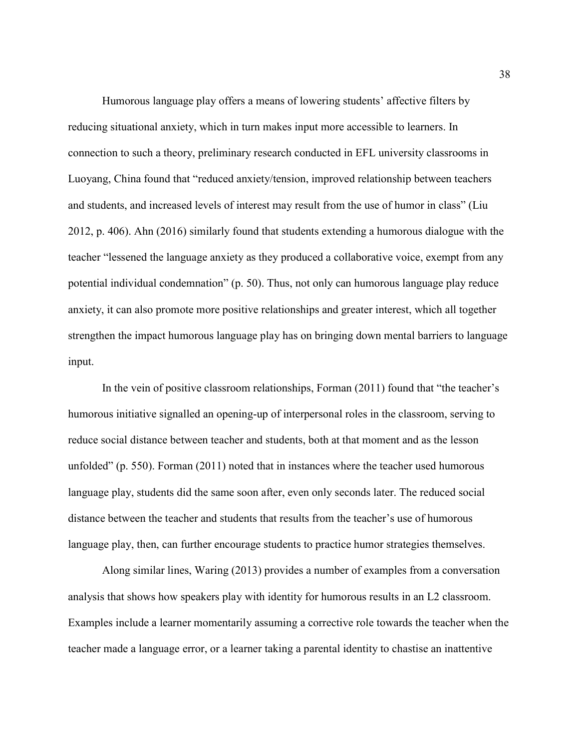Humorous language play offers a means of lowering students' affective filters by reducing situational anxiety, which in turn makes input more accessible to learners. In connection to such a theory, preliminary research conducted in EFL university classrooms in Luoyang, China found that "reduced anxiety/tension, improved relationship between teachers and students, and increased levels of interest may result from the use of humor in class" (Liu 2012, p. 406). Ahn (2016) similarly found that students extending a humorous dialogue with the teacher "lessened the language anxiety as they produced a collaborative voice, exempt from any potential individual condemnation" (p. 50). Thus, not only can humorous language play reduce anxiety, it can also promote more positive relationships and greater interest, which all together strengthen the impact humorous language play has on bringing down mental barriers to language input.

 In the vein of positive classroom relationships, Forman (2011) found that "the teacher's humorous initiative signalled an opening-up of interpersonal roles in the classroom, serving to reduce social distance between teacher and students, both at that moment and as the lesson unfolded" (p. 550). Forman (2011) noted that in instances where the teacher used humorous language play, students did the same soon after, even only seconds later. The reduced social distance between the teacher and students that results from the teacher's use of humorous language play, then, can further encourage students to practice humor strategies themselves.

Along similar lines, Waring (2013) provides a number of examples from a conversation analysis that shows how speakers play with identity for humorous results in an L2 classroom. Examples include a learner momentarily assuming a corrective role towards the teacher when the teacher made a language error, or a learner taking a parental identity to chastise an inattentive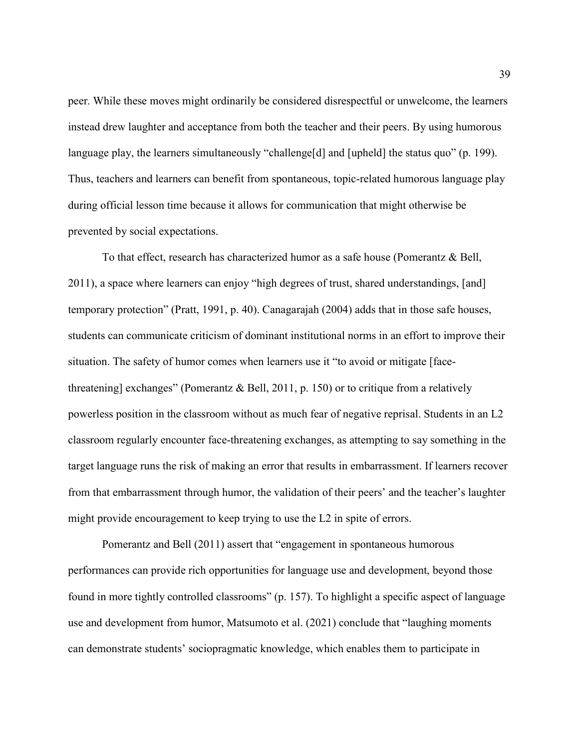peer. While these moves might ordinarily be considered disrespectful or unwelcome, the learners instead drew laughter and acceptance from both the teacher and their peers. By using humorous language play, the learners simultaneously "challenge[d] and [upheld] the status quo" (p. 199). Thus, teachers and learners can benefit from spontaneous, topic-related humorous language play during official lesson time because it allows for communication that might otherwise be prevented by social expectations.

To that effect, research has characterized humor as a safe house (Pomerantz & Bell, 2011), a space where learners can enjoy "high degrees of trust, shared understandings, [and] temporary protection" (Pratt, 1991, p. 40). Canagarajah (2004) adds that in those safe houses, students can communicate criticism of dominant institutional norms in an effort to improve their situation. The safety of humor comes when learners use it "to avoid or mitigate [facethreatening] exchanges" (Pomerantz & Bell, 2011, p. 150) or to critique from a relatively powerless position in the classroom without as much fear of negative reprisal. Students in an L2 classroom regularly encounter face-threatening exchanges, as attempting to say something in the target language runs the risk of making an error that results in embarrassment. If learners recover from that embarrassment through humor, the validation of their peers' and the teacher's laughter might provide encouragement to keep trying to use the L2 in spite of errors.

Pomerantz and Bell (2011) assert that "engagement in spontaneous humorous performances can provide rich opportunities for language use and development, beyond those found in more tightly controlled classrooms" (p. 157). To highlight a specific aspect of language use and development from humor, Matsumoto et al. (2021) conclude that "laughing moments can demonstrate students' sociopragmatic knowledge, which enables them to participate in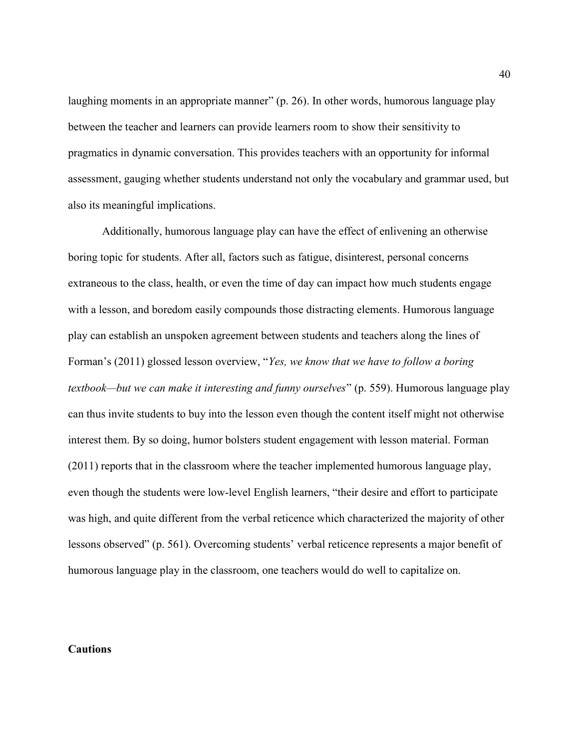laughing moments in an appropriate manner" (p. 26). In other words, humorous language play between the teacher and learners can provide learners room to show their sensitivity to pragmatics in dynamic conversation. This provides teachers with an opportunity for informal assessment, gauging whether students understand not only the vocabulary and grammar used, but also its meaningful implications.

 Additionally, humorous language play can have the effect of enlivening an otherwise boring topic for students. After all, factors such as fatigue, disinterest, personal concerns extraneous to the class, health, or even the time of day can impact how much students engage with a lesson, and boredom easily compounds those distracting elements. Humorous language play can establish an unspoken agreement between students and teachers along the lines of Forman's (2011) glossed lesson overview, "Yes, we know that we have to follow a boring textbook—but we can make it interesting and funny ourselves" (p. 559). Humorous language play can thus invite students to buy into the lesson even though the content itself might not otherwise interest them. By so doing, humor bolsters student engagement with lesson material. Forman (2011) reports that in the classroom where the teacher implemented humorous language play, even though the students were low-level English learners, "their desire and effort to participate was high, and quite different from the verbal reticence which characterized the majority of other lessons observed" (p. 561). Overcoming students' verbal reticence represents a major benefit of humorous language play in the classroom, one teachers would do well to capitalize on.

#### Cautions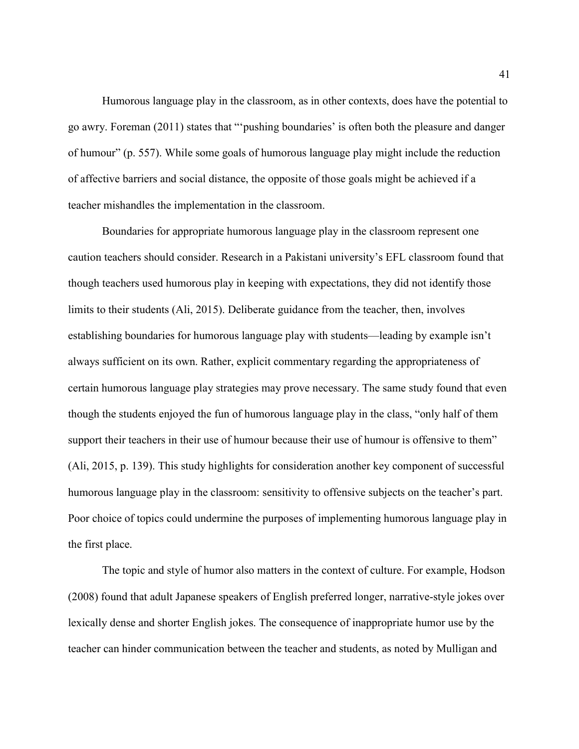Humorous language play in the classroom, as in other contexts, does have the potential to go awry. Foreman (2011) states that "'pushing boundaries' is often both the pleasure and danger of humour" (p. 557). While some goals of humorous language play might include the reduction of affective barriers and social distance, the opposite of those goals might be achieved if a teacher mishandles the implementation in the classroom.

Boundaries for appropriate humorous language play in the classroom represent one caution teachers should consider. Research in a Pakistani university's EFL classroom found that though teachers used humorous play in keeping with expectations, they did not identify those limits to their students (Ali, 2015). Deliberate guidance from the teacher, then, involves establishing boundaries for humorous language play with students—leading by example isn't always sufficient on its own. Rather, explicit commentary regarding the appropriateness of certain humorous language play strategies may prove necessary. The same study found that even though the students enjoyed the fun of humorous language play in the class, "only half of them support their teachers in their use of humour because their use of humour is offensive to them" (Ali, 2015, p. 139). This study highlights for consideration another key component of successful humorous language play in the classroom: sensitivity to offensive subjects on the teacher's part. Poor choice of topics could undermine the purposes of implementing humorous language play in the first place.

The topic and style of humor also matters in the context of culture. For example, Hodson (2008) found that adult Japanese speakers of English preferred longer, narrative-style jokes over lexically dense and shorter English jokes. The consequence of inappropriate humor use by the teacher can hinder communication between the teacher and students, as noted by Mulligan and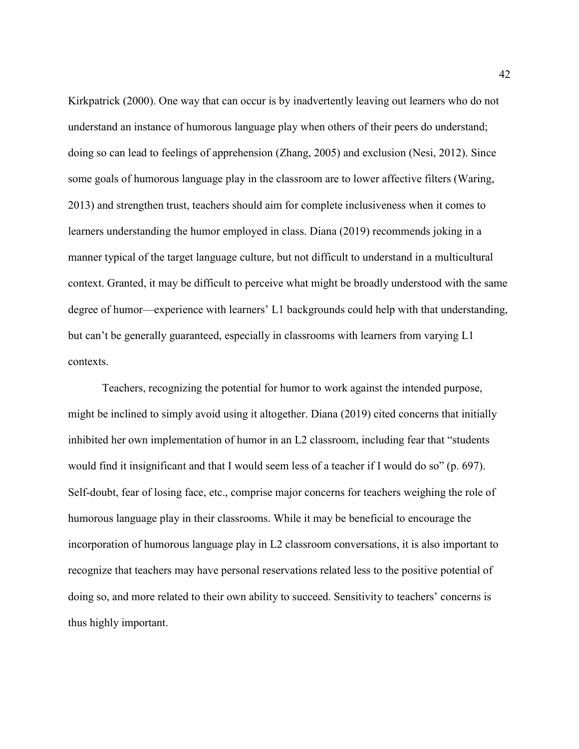Kirkpatrick (2000). One way that can occur is by inadvertently leaving out learners who do not understand an instance of humorous language play when others of their peers do understand; doing so can lead to feelings of apprehension (Zhang, 2005) and exclusion (Nesi, 2012). Since some goals of humorous language play in the classroom are to lower affective filters (Waring, 2013) and strengthen trust, teachers should aim for complete inclusiveness when it comes to learners understanding the humor employed in class. Diana (2019) recommends joking in a manner typical of the target language culture, but not difficult to understand in a multicultural context. Granted, it may be difficult to perceive what might be broadly understood with the same degree of humor—experience with learners' L1 backgrounds could help with that understanding, but can't be generally guaranteed, especially in classrooms with learners from varying L1 contexts.

Teachers, recognizing the potential for humor to work against the intended purpose, might be inclined to simply avoid using it altogether. Diana (2019) cited concerns that initially inhibited her own implementation of humor in an L2 classroom, including fear that "students would find it insignificant and that I would seem less of a teacher if I would do so" (p. 697). Self-doubt, fear of losing face, etc., comprise major concerns for teachers weighing the role of humorous language play in their classrooms. While it may be beneficial to encourage the incorporation of humorous language play in L2 classroom conversations, it is also important to recognize that teachers may have personal reservations related less to the positive potential of doing so, and more related to their own ability to succeed. Sensitivity to teachers' concerns is thus highly important.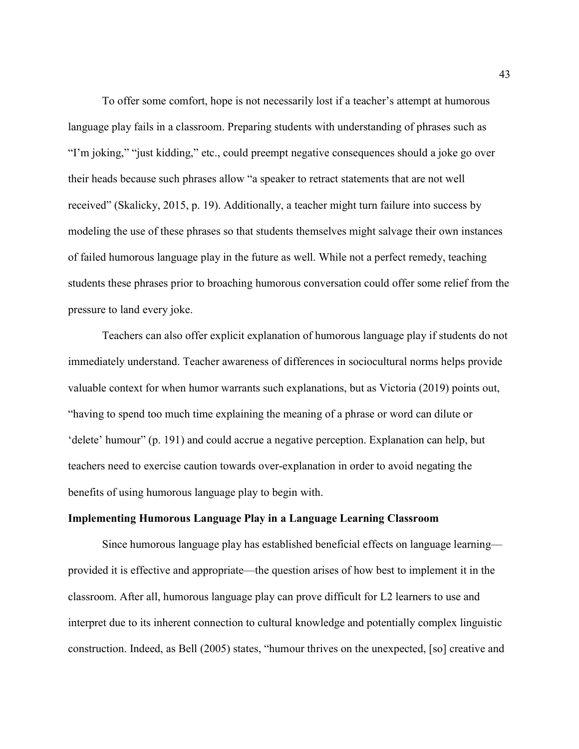To offer some comfort, hope is not necessarily lost if a teacher's attempt at humorous language play fails in a classroom. Preparing students with understanding of phrases such as "I'm joking," "just kidding," etc., could preempt negative consequences should a joke go over their heads because such phrases allow "a speaker to retract statements that are not well received" (Skalicky, 2015, p. 19). Additionally, a teacher might turn failure into success by modeling the use of these phrases so that students themselves might salvage their own instances of failed humorous language play in the future as well. While not a perfect remedy, teaching students these phrases prior to broaching humorous conversation could offer some relief from the pressure to land every joke.

Teachers can also offer explicit explanation of humorous language play if students do not immediately understand. Teacher awareness of differences in sociocultural norms helps provide valuable context for when humor warrants such explanations, but as Victoria (2019) points out, "having to spend too much time explaining the meaning of a phrase or word can dilute or 'delete' humour" (p. 191) and could accrue a negative perception. Explanation can help, but teachers need to exercise caution towards over-explanation in order to avoid negating the benefits of using humorous language play to begin with.

#### Implementing Humorous Language Play in a Language Learning Classroom

 Since humorous language play has established beneficial effects on language learning provided it is effective and appropriate—the question arises of how best to implement it in the classroom. After all, humorous language play can prove difficult for L2 learners to use and interpret due to its inherent connection to cultural knowledge and potentially complex linguistic construction. Indeed, as Bell (2005) states, "humour thrives on the unexpected, [so] creative and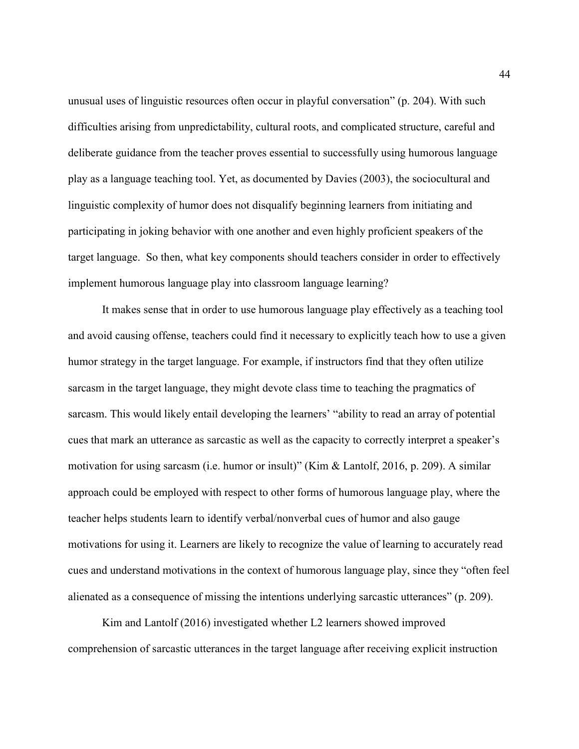unusual uses of linguistic resources often occur in playful conversation" (p. 204). With such difficulties arising from unpredictability, cultural roots, and complicated structure, careful and deliberate guidance from the teacher proves essential to successfully using humorous language play as a language teaching tool. Yet, as documented by Davies (2003), the sociocultural and linguistic complexity of humor does not disqualify beginning learners from initiating and participating in joking behavior with one another and even highly proficient speakers of the target language. So then, what key components should teachers consider in order to effectively implement humorous language play into classroom language learning?

 It makes sense that in order to use humorous language play effectively as a teaching tool and avoid causing offense, teachers could find it necessary to explicitly teach how to use a given humor strategy in the target language. For example, if instructors find that they often utilize sarcasm in the target language, they might devote class time to teaching the pragmatics of sarcasm. This would likely entail developing the learners' "ability to read an array of potential cues that mark an utterance as sarcastic as well as the capacity to correctly interpret a speaker's motivation for using sarcasm (i.e. humor or insult)" (Kim & Lantolf, 2016, p. 209). A similar approach could be employed with respect to other forms of humorous language play, where the teacher helps students learn to identify verbal/nonverbal cues of humor and also gauge motivations for using it. Learners are likely to recognize the value of learning to accurately read cues and understand motivations in the context of humorous language play, since they "often feel alienated as a consequence of missing the intentions underlying sarcastic utterances" (p. 209).

Kim and Lantolf (2016) investigated whether L2 learners showed improved comprehension of sarcastic utterances in the target language after receiving explicit instruction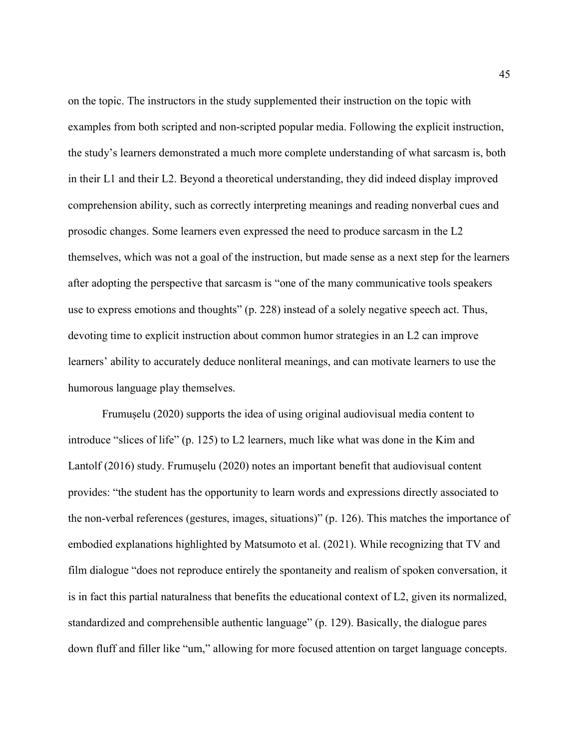on the topic. The instructors in the study supplemented their instruction on the topic with examples from both scripted and non-scripted popular media. Following the explicit instruction, the study's learners demonstrated a much more complete understanding of what sarcasm is, both in their L1 and their L2. Beyond a theoretical understanding, they did indeed display improved comprehension ability, such as correctly interpreting meanings and reading nonverbal cues and prosodic changes. Some learners even expressed the need to produce sarcasm in the L2 themselves, which was not a goal of the instruction, but made sense as a next step for the learners after adopting the perspective that sarcasm is "one of the many communicative tools speakers use to express emotions and thoughts" (p. 228) instead of a solely negative speech act. Thus, devoting time to explicit instruction about common humor strategies in an L2 can improve learners' ability to accurately deduce nonliteral meanings, and can motivate learners to use the humorous language play themselves.

Frumușelu (2020) supports the idea of using original audiovisual media content to introduce "slices of life" (p. 125) to L2 learners, much like what was done in the Kim and Lantolf (2016) study. Frumușelu (2020) notes an important benefit that audiovisual content provides: "the student has the opportunity to learn words and expressions directly associated to the non-verbal references (gestures, images, situations)" (p. 126). This matches the importance of embodied explanations highlighted by Matsumoto et al. (2021). While recognizing that TV and film dialogue "does not reproduce entirely the spontaneity and realism of spoken conversation, it is in fact this partial naturalness that benefits the educational context of L2, given its normalized, standardized and comprehensible authentic language" (p. 129). Basically, the dialogue pares down fluff and filler like "um," allowing for more focused attention on target language concepts.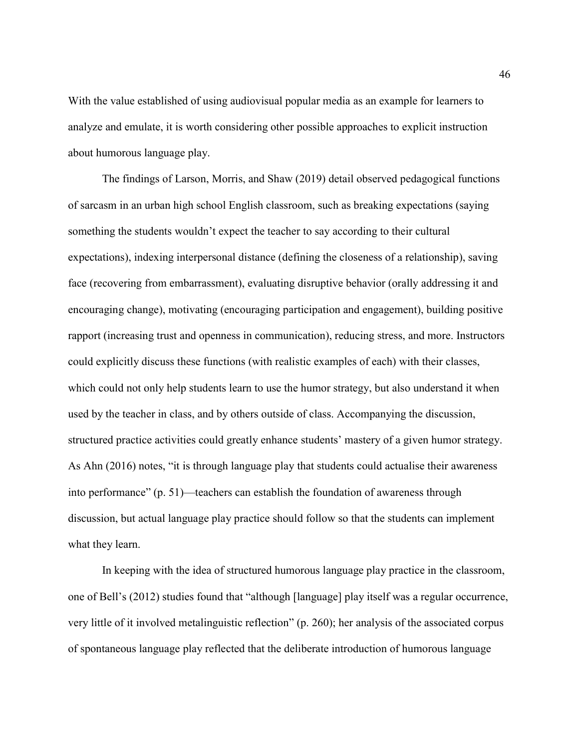With the value established of using audiovisual popular media as an example for learners to analyze and emulate, it is worth considering other possible approaches to explicit instruction about humorous language play.

The findings of Larson, Morris, and Shaw (2019) detail observed pedagogical functions of sarcasm in an urban high school English classroom, such as breaking expectations (saying something the students wouldn't expect the teacher to say according to their cultural expectations), indexing interpersonal distance (defining the closeness of a relationship), saving face (recovering from embarrassment), evaluating disruptive behavior (orally addressing it and encouraging change), motivating (encouraging participation and engagement), building positive rapport (increasing trust and openness in communication), reducing stress, and more. Instructors could explicitly discuss these functions (with realistic examples of each) with their classes, which could not only help students learn to use the humor strategy, but also understand it when used by the teacher in class, and by others outside of class. Accompanying the discussion, structured practice activities could greatly enhance students' mastery of a given humor strategy. As Ahn (2016) notes, "it is through language play that students could actualise their awareness into performance" (p. 51)—teachers can establish the foundation of awareness through discussion, but actual language play practice should follow so that the students can implement what they learn.

 In keeping with the idea of structured humorous language play practice in the classroom, one of Bell's (2012) studies found that "although [language] play itself was a regular occurrence, very little of it involved metalinguistic reflection" (p. 260); her analysis of the associated corpus of spontaneous language play reflected that the deliberate introduction of humorous language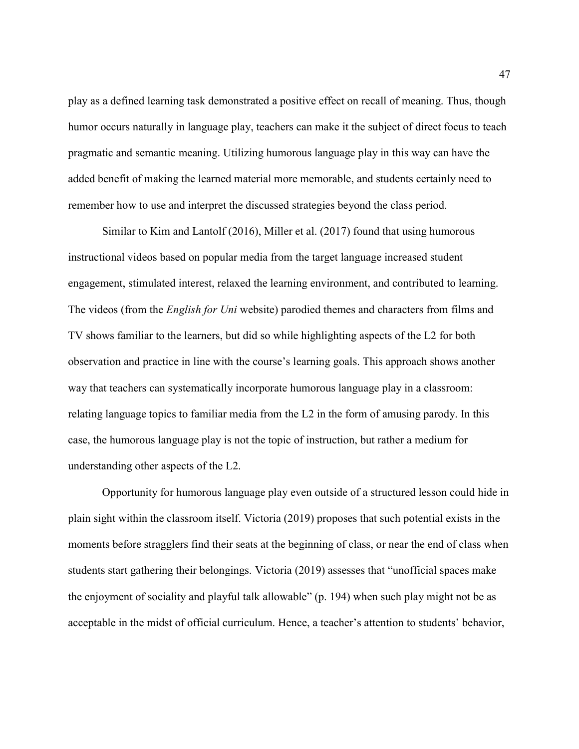play as a defined learning task demonstrated a positive effect on recall of meaning. Thus, though humor occurs naturally in language play, teachers can make it the subject of direct focus to teach pragmatic and semantic meaning. Utilizing humorous language play in this way can have the added benefit of making the learned material more memorable, and students certainly need to remember how to use and interpret the discussed strategies beyond the class period.

Similar to Kim and Lantolf (2016), Miller et al. (2017) found that using humorous instructional videos based on popular media from the target language increased student engagement, stimulated interest, relaxed the learning environment, and contributed to learning. The videos (from the *English for Uni* website) parodied themes and characters from films and TV shows familiar to the learners, but did so while highlighting aspects of the L2 for both observation and practice in line with the course's learning goals. This approach shows another way that teachers can systematically incorporate humorous language play in a classroom: relating language topics to familiar media from the L2 in the form of amusing parody. In this case, the humorous language play is not the topic of instruction, but rather a medium for understanding other aspects of the L2.

Opportunity for humorous language play even outside of a structured lesson could hide in plain sight within the classroom itself. Victoria (2019) proposes that such potential exists in the moments before stragglers find their seats at the beginning of class, or near the end of class when students start gathering their belongings. Victoria (2019) assesses that "unofficial spaces make the enjoyment of sociality and playful talk allowable" (p. 194) when such play might not be as acceptable in the midst of official curriculum. Hence, a teacher's attention to students' behavior,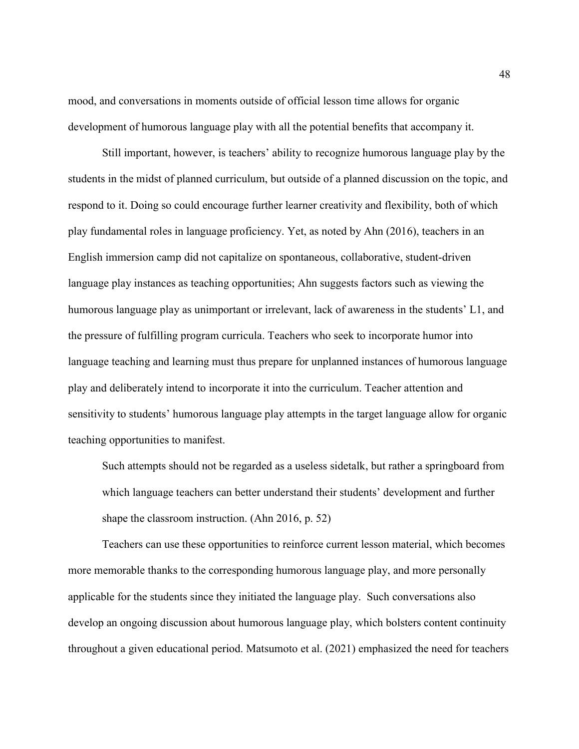mood, and conversations in moments outside of official lesson time allows for organic development of humorous language play with all the potential benefits that accompany it.

Still important, however, is teachers' ability to recognize humorous language play by the students in the midst of planned curriculum, but outside of a planned discussion on the topic, and respond to it. Doing so could encourage further learner creativity and flexibility, both of which play fundamental roles in language proficiency. Yet, as noted by Ahn (2016), teachers in an English immersion camp did not capitalize on spontaneous, collaborative, student-driven language play instances as teaching opportunities; Ahn suggests factors such as viewing the humorous language play as unimportant or irrelevant, lack of awareness in the students' L1, and the pressure of fulfilling program curricula. Teachers who seek to incorporate humor into language teaching and learning must thus prepare for unplanned instances of humorous language play and deliberately intend to incorporate it into the curriculum. Teacher attention and sensitivity to students' humorous language play attempts in the target language allow for organic teaching opportunities to manifest.

Such attempts should not be regarded as a useless sidetalk, but rather a springboard from which language teachers can better understand their students' development and further shape the classroom instruction. (Ahn 2016, p. 52)

Teachers can use these opportunities to reinforce current lesson material, which becomes more memorable thanks to the corresponding humorous language play, and more personally applicable for the students since they initiated the language play. Such conversations also develop an ongoing discussion about humorous language play, which bolsters content continuity throughout a given educational period. Matsumoto et al. (2021) emphasized the need for teachers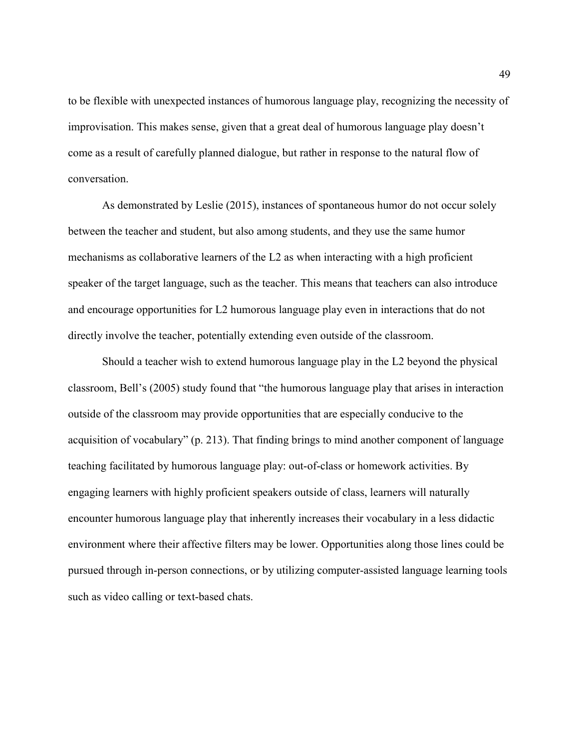to be flexible with unexpected instances of humorous language play, recognizing the necessity of improvisation. This makes sense, given that a great deal of humorous language play doesn't come as a result of carefully planned dialogue, but rather in response to the natural flow of conversation.

As demonstrated by Leslie (2015), instances of spontaneous humor do not occur solely between the teacher and student, but also among students, and they use the same humor mechanisms as collaborative learners of the L2 as when interacting with a high proficient speaker of the target language, such as the teacher. This means that teachers can also introduce and encourage opportunities for L2 humorous language play even in interactions that do not directly involve the teacher, potentially extending even outside of the classroom.

 Should a teacher wish to extend humorous language play in the L2 beyond the physical classroom, Bell's (2005) study found that "the humorous language play that arises in interaction outside of the classroom may provide opportunities that are especially conducive to the acquisition of vocabulary" (p. 213). That finding brings to mind another component of language teaching facilitated by humorous language play: out-of-class or homework activities. By engaging learners with highly proficient speakers outside of class, learners will naturally encounter humorous language play that inherently increases their vocabulary in a less didactic environment where their affective filters may be lower. Opportunities along those lines could be pursued through in-person connections, or by utilizing computer-assisted language learning tools such as video calling or text-based chats.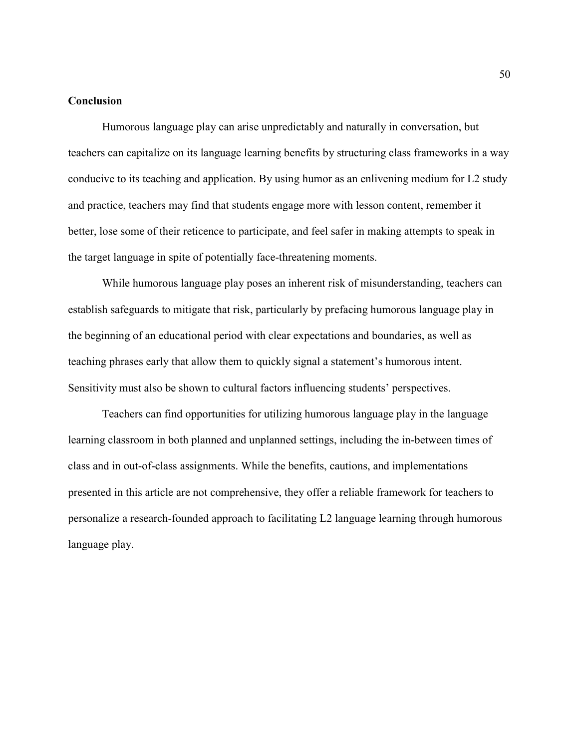#### Conclusion

 Humorous language play can arise unpredictably and naturally in conversation, but teachers can capitalize on its language learning benefits by structuring class frameworks in a way conducive to its teaching and application. By using humor as an enlivening medium for L2 study and practice, teachers may find that students engage more with lesson content, remember it better, lose some of their reticence to participate, and feel safer in making attempts to speak in the target language in spite of potentially face-threatening moments.

While humorous language play poses an inherent risk of misunderstanding, teachers can establish safeguards to mitigate that risk, particularly by prefacing humorous language play in the beginning of an educational period with clear expectations and boundaries, as well as teaching phrases early that allow them to quickly signal a statement's humorous intent. Sensitivity must also be shown to cultural factors influencing students' perspectives.

Teachers can find opportunities for utilizing humorous language play in the language learning classroom in both planned and unplanned settings, including the in-between times of class and in out-of-class assignments. While the benefits, cautions, and implementations presented in this article are not comprehensive, they offer a reliable framework for teachers to personalize a research-founded approach to facilitating L2 language learning through humorous language play.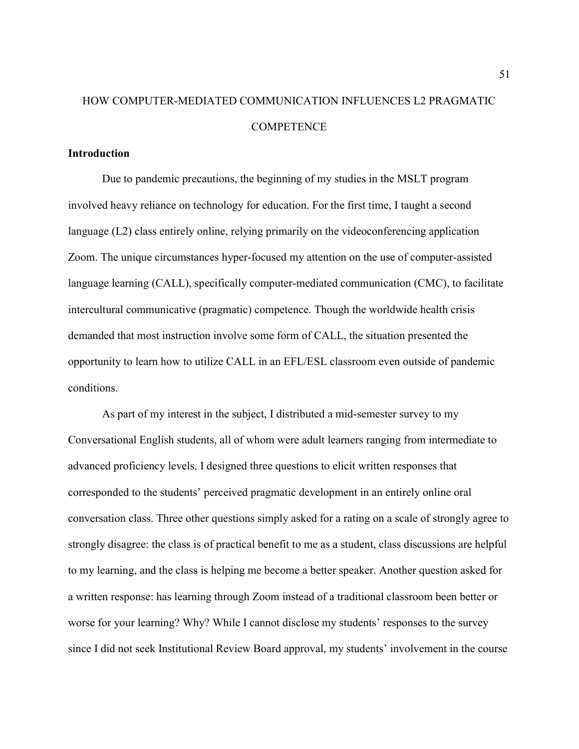## HOW COMPUTER-MEDIATED COMMUNICATION INFLUENCES L2 PRAGMATIC **COMPETENCE**

#### **Introduction**

Due to pandemic precautions, the beginning of my studies in the MSLT program involved heavy reliance on technology for education. For the first time, I taught a second language (L2) class entirely online, relying primarily on the videoconferencing application Zoom. The unique circumstances hyper-focused my attention on the use of computer-assisted language learning (CALL), specifically computer-mediated communication (CMC), to facilitate intercultural communicative (pragmatic) competence. Though the worldwide health crisis demanded that most instruction involve some form of CALL, the situation presented the opportunity to learn how to utilize CALL in an EFL/ESL classroom even outside of pandemic conditions.

As part of my interest in the subject, I distributed a mid-semester survey to my Conversational English students, all of whom were adult learners ranging from intermediate to advanced proficiency levels. I designed three questions to elicit written responses that corresponded to the students' perceived pragmatic development in an entirely online oral conversation class. Three other questions simply asked for a rating on a scale of strongly agree to strongly disagree: the class is of practical benefit to me as a student, class discussions are helpful to my learning, and the class is helping me become a better speaker. Another question asked for a written response: has learning through Zoom instead of a traditional classroom been better or worse for your learning? Why? While I cannot disclose my students' responses to the survey since I did not seek Institutional Review Board approval, my students' involvement in the course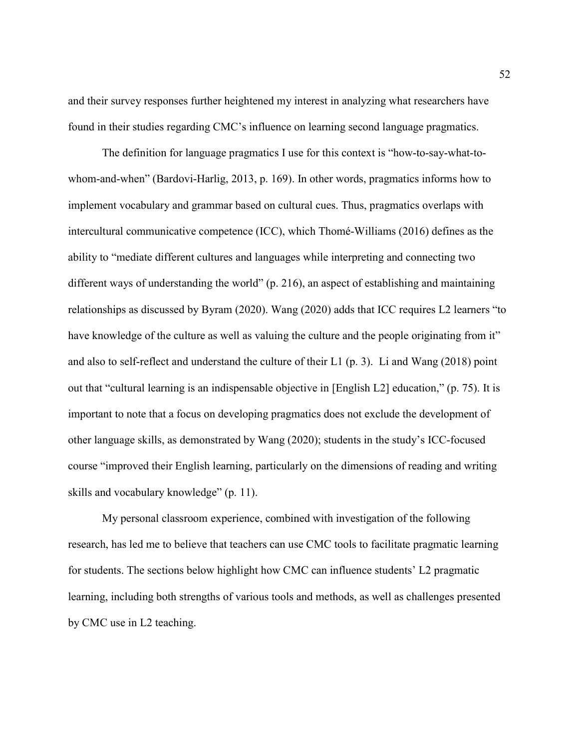and their survey responses further heightened my interest in analyzing what researchers have found in their studies regarding CMC's influence on learning second language pragmatics.

The definition for language pragmatics I use for this context is "how-to-say-what-towhom-and-when" (Bardovi-Harlig, 2013, p. 169). In other words, pragmatics informs how to implement vocabulary and grammar based on cultural cues. Thus, pragmatics overlaps with intercultural communicative competence (ICC), which Thomé-Williams (2016) defines as the ability to "mediate different cultures and languages while interpreting and connecting two different ways of understanding the world" (p. 216), an aspect of establishing and maintaining relationships as discussed by Byram (2020). Wang (2020) adds that ICC requires L2 learners "to have knowledge of the culture as well as valuing the culture and the people originating from it" and also to self-reflect and understand the culture of their L1 (p. 3). Li and Wang (2018) point out that "cultural learning is an indispensable objective in [English L2] education," (p. 75). It is important to note that a focus on developing pragmatics does not exclude the development of other language skills, as demonstrated by Wang (2020); students in the study's ICC-focused course "improved their English learning, particularly on the dimensions of reading and writing skills and vocabulary knowledge" (p. 11).

My personal classroom experience, combined with investigation of the following research, has led me to believe that teachers can use CMC tools to facilitate pragmatic learning for students. The sections below highlight how CMC can influence students' L2 pragmatic learning, including both strengths of various tools and methods, as well as challenges presented by CMC use in L2 teaching.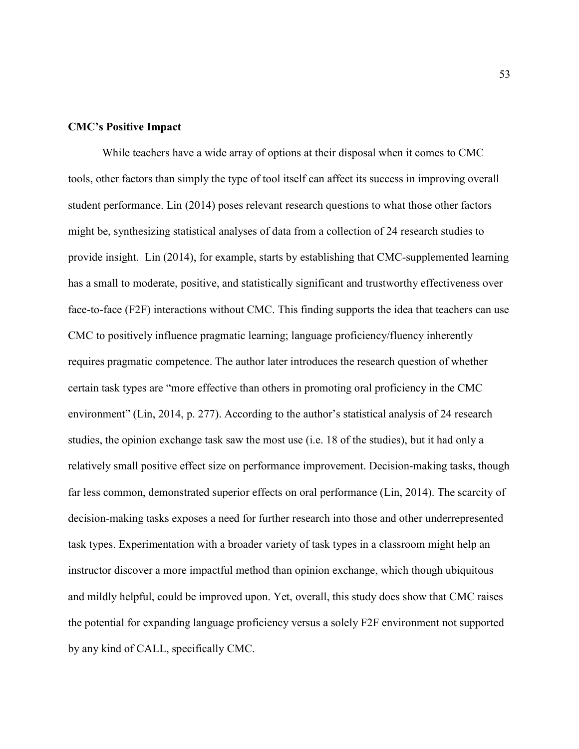#### CMC's Positive Impact

While teachers have a wide array of options at their disposal when it comes to CMC tools, other factors than simply the type of tool itself can affect its success in improving overall student performance. Lin (2014) poses relevant research questions to what those other factors might be, synthesizing statistical analyses of data from a collection of 24 research studies to provide insight. Lin (2014), for example, starts by establishing that CMC-supplemented learning has a small to moderate, positive, and statistically significant and trustworthy effectiveness over face-to-face (F2F) interactions without CMC. This finding supports the idea that teachers can use CMC to positively influence pragmatic learning; language proficiency/fluency inherently requires pragmatic competence. The author later introduces the research question of whether certain task types are "more effective than others in promoting oral proficiency in the CMC environment" (Lin, 2014, p. 277). According to the author's statistical analysis of 24 research studies, the opinion exchange task saw the most use (i.e. 18 of the studies), but it had only a relatively small positive effect size on performance improvement. Decision-making tasks, though far less common, demonstrated superior effects on oral performance (Lin, 2014). The scarcity of decision-making tasks exposes a need for further research into those and other underrepresented task types. Experimentation with a broader variety of task types in a classroom might help an instructor discover a more impactful method than opinion exchange, which though ubiquitous and mildly helpful, could be improved upon. Yet, overall, this study does show that CMC raises the potential for expanding language proficiency versus a solely F2F environment not supported by any kind of CALL, specifically CMC.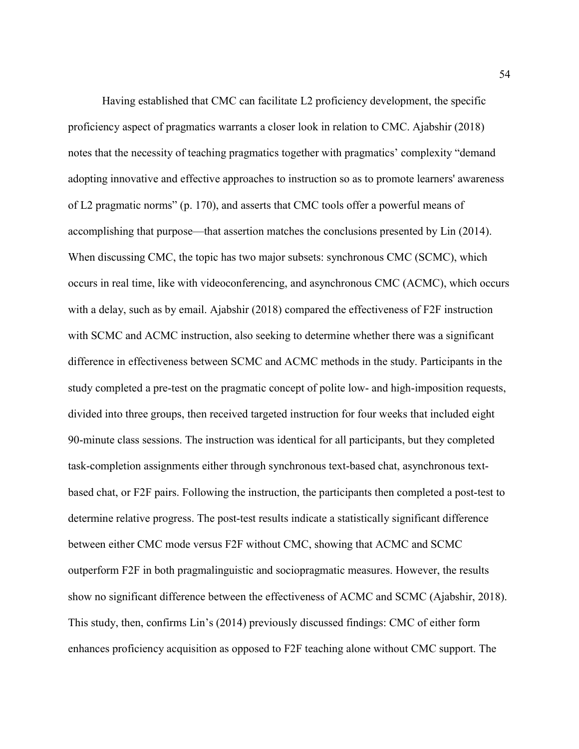Having established that CMC can facilitate L2 proficiency development, the specific proficiency aspect of pragmatics warrants a closer look in relation to CMC. Ajabshir (2018) notes that the necessity of teaching pragmatics together with pragmatics' complexity "demand adopting innovative and effective approaches to instruction so as to promote learners' awareness of L2 pragmatic norms" (p. 170), and asserts that CMC tools offer a powerful means of accomplishing that purpose—that assertion matches the conclusions presented by Lin (2014). When discussing CMC, the topic has two major subsets: synchronous CMC (SCMC), which occurs in real time, like with videoconferencing, and asynchronous CMC (ACMC), which occurs with a delay, such as by email. Ajabshir (2018) compared the effectiveness of F2F instruction with SCMC and ACMC instruction, also seeking to determine whether there was a significant difference in effectiveness between SCMC and ACMC methods in the study. Participants in the study completed a pre-test on the pragmatic concept of polite low- and high-imposition requests, divided into three groups, then received targeted instruction for four weeks that included eight 90-minute class sessions. The instruction was identical for all participants, but they completed task-completion assignments either through synchronous text-based chat, asynchronous textbased chat, or F2F pairs. Following the instruction, the participants then completed a post-test to determine relative progress. The post-test results indicate a statistically significant difference between either CMC mode versus F2F without CMC, showing that ACMC and SCMC outperform F2F in both pragmalinguistic and sociopragmatic measures. However, the results show no significant difference between the effectiveness of ACMC and SCMC (Ajabshir, 2018). This study, then, confirms Lin's (2014) previously discussed findings: CMC of either form enhances proficiency acquisition as opposed to F2F teaching alone without CMC support. The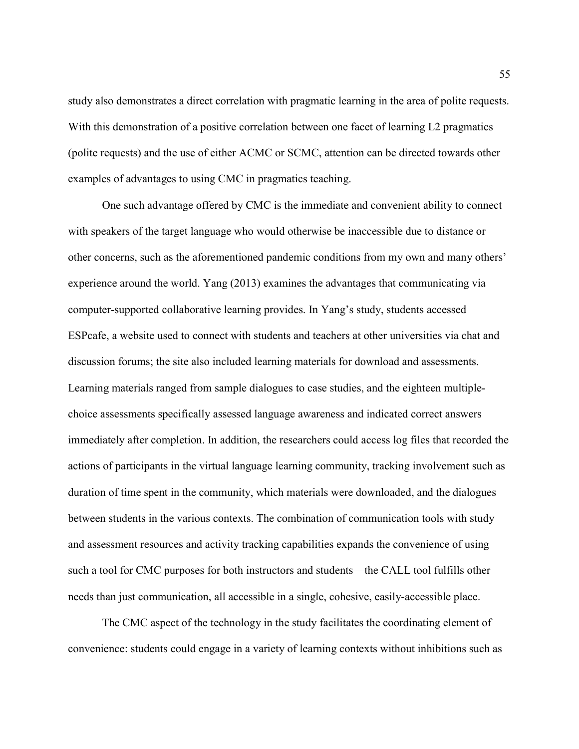study also demonstrates a direct correlation with pragmatic learning in the area of polite requests. With this demonstration of a positive correlation between one facet of learning L2 pragmatics (polite requests) and the use of either ACMC or SCMC, attention can be directed towards other examples of advantages to using CMC in pragmatics teaching.

 One such advantage offered by CMC is the immediate and convenient ability to connect with speakers of the target language who would otherwise be inaccessible due to distance or other concerns, such as the aforementioned pandemic conditions from my own and many others' experience around the world. Yang (2013) examines the advantages that communicating via computer-supported collaborative learning provides. In Yang's study, students accessed ESPcafe, a website used to connect with students and teachers at other universities via chat and discussion forums; the site also included learning materials for download and assessments. Learning materials ranged from sample dialogues to case studies, and the eighteen multiplechoice assessments specifically assessed language awareness and indicated correct answers immediately after completion. In addition, the researchers could access log files that recorded the actions of participants in the virtual language learning community, tracking involvement such as duration of time spent in the community, which materials were downloaded, and the dialogues between students in the various contexts. The combination of communication tools with study and assessment resources and activity tracking capabilities expands the convenience of using such a tool for CMC purposes for both instructors and students—the CALL tool fulfills other needs than just communication, all accessible in a single, cohesive, easily-accessible place.

The CMC aspect of the technology in the study facilitates the coordinating element of convenience: students could engage in a variety of learning contexts without inhibitions such as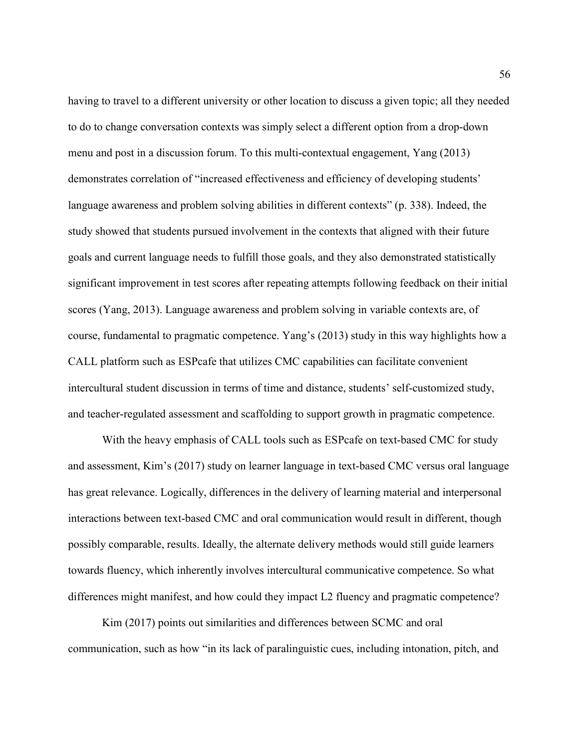having to travel to a different university or other location to discuss a given topic; all they needed to do to change conversation contexts was simply select a different option from a drop-down menu and post in a discussion forum. To this multi-contextual engagement, Yang (2013) demonstrates correlation of "increased effectiveness and efficiency of developing students' language awareness and problem solving abilities in different contexts" (p. 338). Indeed, the study showed that students pursued involvement in the contexts that aligned with their future goals and current language needs to fulfill those goals, and they also demonstrated statistically significant improvement in test scores after repeating attempts following feedback on their initial scores (Yang, 2013). Language awareness and problem solving in variable contexts are, of course, fundamental to pragmatic competence. Yang's (2013) study in this way highlights how a CALL platform such as ESPcafe that utilizes CMC capabilities can facilitate convenient intercultural student discussion in terms of time and distance, students' self-customized study, and teacher-regulated assessment and scaffolding to support growth in pragmatic competence.

With the heavy emphasis of CALL tools such as ESPcafe on text-based CMC for study and assessment, Kim's (2017) study on learner language in text-based CMC versus oral language has great relevance. Logically, differences in the delivery of learning material and interpersonal interactions between text-based CMC and oral communication would result in different, though possibly comparable, results. Ideally, the alternate delivery methods would still guide learners towards fluency, which inherently involves intercultural communicative competence. So what differences might manifest, and how could they impact L2 fluency and pragmatic competence?

Kim (2017) points out similarities and differences between SCMC and oral communication, such as how "in its lack of paralinguistic cues, including intonation, pitch, and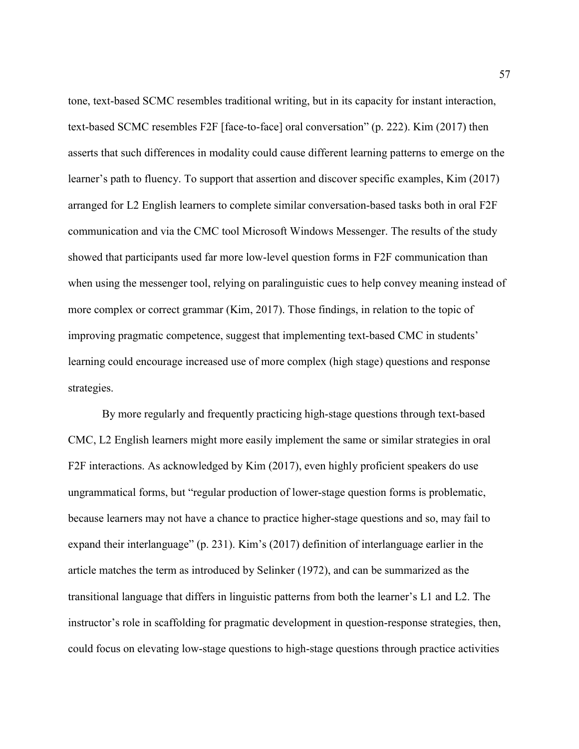tone, text-based SCMC resembles traditional writing, but in its capacity for instant interaction, text-based SCMC resembles F2F [face-to-face] oral conversation" (p. 222). Kim (2017) then asserts that such differences in modality could cause different learning patterns to emerge on the learner's path to fluency. To support that assertion and discover specific examples, Kim (2017) arranged for L2 English learners to complete similar conversation-based tasks both in oral F2F communication and via the CMC tool Microsoft Windows Messenger. The results of the study showed that participants used far more low-level question forms in F2F communication than when using the messenger tool, relying on paralinguistic cues to help convey meaning instead of more complex or correct grammar (Kim, 2017). Those findings, in relation to the topic of improving pragmatic competence, suggest that implementing text-based CMC in students' learning could encourage increased use of more complex (high stage) questions and response strategies.

By more regularly and frequently practicing high-stage questions through text-based CMC, L2 English learners might more easily implement the same or similar strategies in oral F2F interactions. As acknowledged by Kim (2017), even highly proficient speakers do use ungrammatical forms, but "regular production of lower-stage question forms is problematic, because learners may not have a chance to practice higher-stage questions and so, may fail to expand their interlanguage" (p. 231). Kim's (2017) definition of interlanguage earlier in the article matches the term as introduced by Selinker (1972), and can be summarized as the transitional language that differs in linguistic patterns from both the learner's L1 and L2. The instructor's role in scaffolding for pragmatic development in question-response strategies, then, could focus on elevating low-stage questions to high-stage questions through practice activities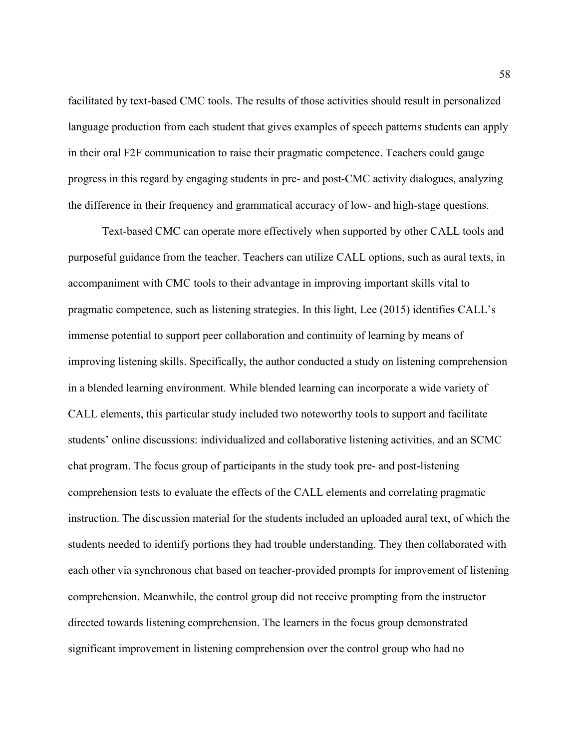facilitated by text-based CMC tools. The results of those activities should result in personalized language production from each student that gives examples of speech patterns students can apply in their oral F2F communication to raise their pragmatic competence. Teachers could gauge progress in this regard by engaging students in pre- and post-CMC activity dialogues, analyzing the difference in their frequency and grammatical accuracy of low- and high-stage questions.

 Text-based CMC can operate more effectively when supported by other CALL tools and purposeful guidance from the teacher. Teachers can utilize CALL options, such as aural texts, in accompaniment with CMC tools to their advantage in improving important skills vital to pragmatic competence, such as listening strategies. In this light, Lee (2015) identifies CALL's immense potential to support peer collaboration and continuity of learning by means of improving listening skills. Specifically, the author conducted a study on listening comprehension in a blended learning environment. While blended learning can incorporate a wide variety of CALL elements, this particular study included two noteworthy tools to support and facilitate students' online discussions: individualized and collaborative listening activities, and an SCMC chat program. The focus group of participants in the study took pre- and post-listening comprehension tests to evaluate the effects of the CALL elements and correlating pragmatic instruction. The discussion material for the students included an uploaded aural text, of which the students needed to identify portions they had trouble understanding. They then collaborated with each other via synchronous chat based on teacher-provided prompts for improvement of listening comprehension. Meanwhile, the control group did not receive prompting from the instructor directed towards listening comprehension. The learners in the focus group demonstrated significant improvement in listening comprehension over the control group who had no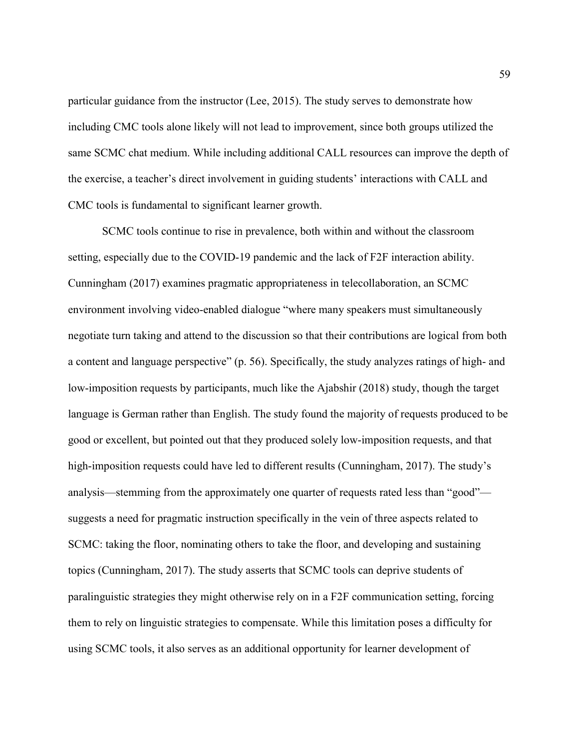particular guidance from the instructor (Lee, 2015). The study serves to demonstrate how including CMC tools alone likely will not lead to improvement, since both groups utilized the same SCMC chat medium. While including additional CALL resources can improve the depth of the exercise, a teacher's direct involvement in guiding students' interactions with CALL and CMC tools is fundamental to significant learner growth.

SCMC tools continue to rise in prevalence, both within and without the classroom setting, especially due to the COVID-19 pandemic and the lack of F2F interaction ability. Cunningham (2017) examines pragmatic appropriateness in telecollaboration, an SCMC environment involving video-enabled dialogue "where many speakers must simultaneously negotiate turn taking and attend to the discussion so that their contributions are logical from both a content and language perspective" (p. 56). Specifically, the study analyzes ratings of high- and low-imposition requests by participants, much like the Ajabshir (2018) study, though the target language is German rather than English. The study found the majority of requests produced to be good or excellent, but pointed out that they produced solely low-imposition requests, and that high-imposition requests could have led to different results (Cunningham, 2017). The study's analysis—stemming from the approximately one quarter of requests rated less than "good" suggests a need for pragmatic instruction specifically in the vein of three aspects related to SCMC: taking the floor, nominating others to take the floor, and developing and sustaining topics (Cunningham, 2017). The study asserts that SCMC tools can deprive students of paralinguistic strategies they might otherwise rely on in a F2F communication setting, forcing them to rely on linguistic strategies to compensate. While this limitation poses a difficulty for using SCMC tools, it also serves as an additional opportunity for learner development of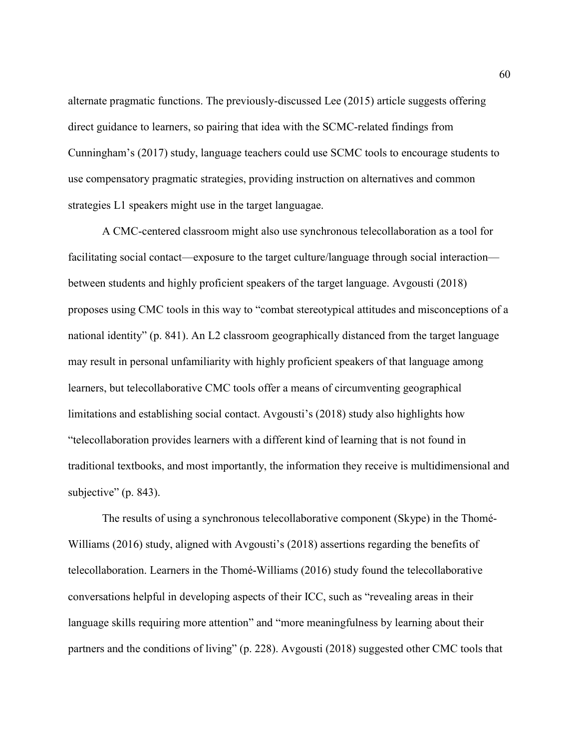alternate pragmatic functions. The previously-discussed Lee (2015) article suggests offering direct guidance to learners, so pairing that idea with the SCMC-related findings from Cunningham's (2017) study, language teachers could use SCMC tools to encourage students to use compensatory pragmatic strategies, providing instruction on alternatives and common strategies L1 speakers might use in the target languagae.

A CMC-centered classroom might also use synchronous telecollaboration as a tool for facilitating social contact—exposure to the target culture/language through social interaction between students and highly proficient speakers of the target language. Avgousti (2018) proposes using CMC tools in this way to "combat stereotypical attitudes and misconceptions of a national identity" (p. 841). An L2 classroom geographically distanced from the target language may result in personal unfamiliarity with highly proficient speakers of that language among learners, but telecollaborative CMC tools offer a means of circumventing geographical limitations and establishing social contact. Avgousti's (2018) study also highlights how "telecollaboration provides learners with a different kind of learning that is not found in traditional textbooks, and most importantly, the information they receive is multidimensional and subjective" (p. 843).

The results of using a synchronous telecollaborative component (Skype) in the Thomé-Williams (2016) study, aligned with Avgousti's (2018) assertions regarding the benefits of telecollaboration. Learners in the Thomé-Williams (2016) study found the telecollaborative conversations helpful in developing aspects of their ICC, such as "revealing areas in their language skills requiring more attention" and "more meaningfulness by learning about their partners and the conditions of living" (p. 228). Avgousti (2018) suggested other CMC tools that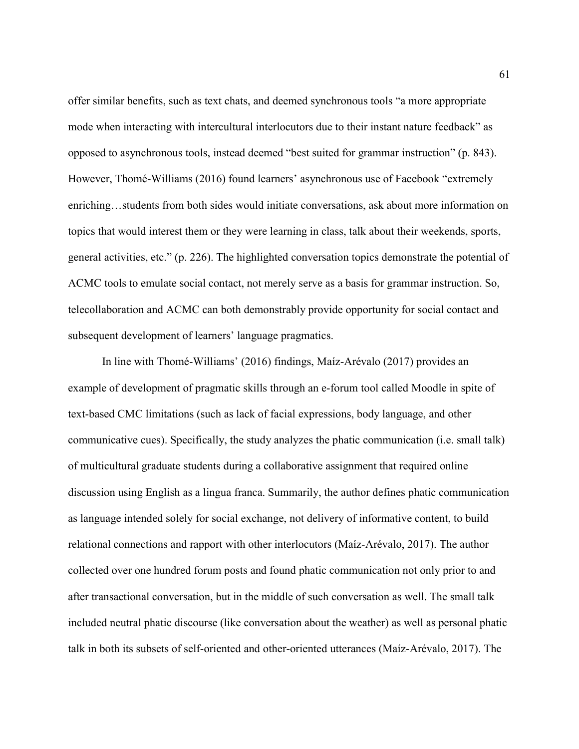offer similar benefits, such as text chats, and deemed synchronous tools "a more appropriate mode when interacting with intercultural interlocutors due to their instant nature feedback" as opposed to asynchronous tools, instead deemed "best suited for grammar instruction" (p. 843). However, Thomé-Williams (2016) found learners' asynchronous use of Facebook "extremely enriching…students from both sides would initiate conversations, ask about more information on topics that would interest them or they were learning in class, talk about their weekends, sports, general activities, etc." (p. 226). The highlighted conversation topics demonstrate the potential of ACMC tools to emulate social contact, not merely serve as a basis for grammar instruction. So, telecollaboration and ACMC can both demonstrably provide opportunity for social contact and subsequent development of learners' language pragmatics.

In line with Thomé-Williams' (2016) findings, Maíz-Arévalo (2017) provides an example of development of pragmatic skills through an e-forum tool called Moodle in spite of text-based CMC limitations (such as lack of facial expressions, body language, and other communicative cues). Specifically, the study analyzes the phatic communication (i.e. small talk) of multicultural graduate students during a collaborative assignment that required online discussion using English as a lingua franca. Summarily, the author defines phatic communication as language intended solely for social exchange, not delivery of informative content, to build relational connections and rapport with other interlocutors (Maíz-Arévalo, 2017). The author collected over one hundred forum posts and found phatic communication not only prior to and after transactional conversation, but in the middle of such conversation as well. The small talk included neutral phatic discourse (like conversation about the weather) as well as personal phatic talk in both its subsets of self-oriented and other-oriented utterances (Maíz-Arévalo, 2017). The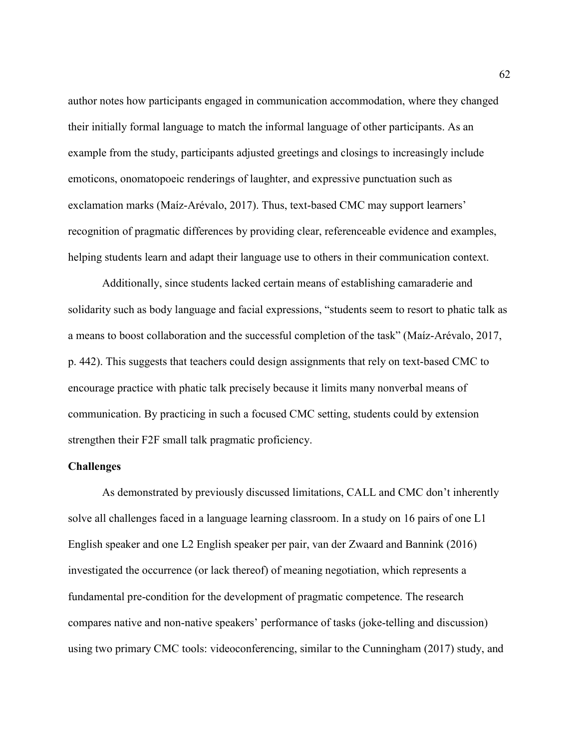author notes how participants engaged in communication accommodation, where they changed their initially formal language to match the informal language of other participants. As an example from the study, participants adjusted greetings and closings to increasingly include emoticons, onomatopoeic renderings of laughter, and expressive punctuation such as exclamation marks (Maíz-Arévalo, 2017). Thus, text-based CMC may support learners' recognition of pragmatic differences by providing clear, referenceable evidence and examples, helping students learn and adapt their language use to others in their communication context.

Additionally, since students lacked certain means of establishing camaraderie and solidarity such as body language and facial expressions, "students seem to resort to phatic talk as a means to boost collaboration and the successful completion of the task" (Maíz-Arévalo, 2017, p. 442). This suggests that teachers could design assignments that rely on text-based CMC to encourage practice with phatic talk precisely because it limits many nonverbal means of communication. By practicing in such a focused CMC setting, students could by extension strengthen their F2F small talk pragmatic proficiency.

#### Challenges

As demonstrated by previously discussed limitations, CALL and CMC don't inherently solve all challenges faced in a language learning classroom. In a study on 16 pairs of one L1 English speaker and one L2 English speaker per pair, van der Zwaard and Bannink (2016) investigated the occurrence (or lack thereof) of meaning negotiation, which represents a fundamental pre-condition for the development of pragmatic competence. The research compares native and non-native speakers' performance of tasks (joke-telling and discussion) using two primary CMC tools: videoconferencing, similar to the Cunningham (2017) study, and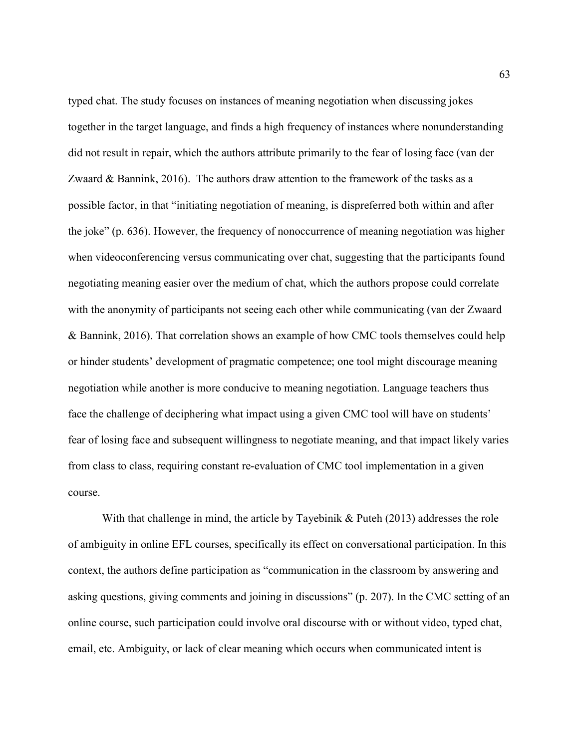typed chat. The study focuses on instances of meaning negotiation when discussing jokes together in the target language, and finds a high frequency of instances where nonunderstanding did not result in repair, which the authors attribute primarily to the fear of losing face (van der Zwaard & Bannink, 2016). The authors draw attention to the framework of the tasks as a possible factor, in that "initiating negotiation of meaning, is dispreferred both within and after the joke" (p. 636). However, the frequency of nonoccurrence of meaning negotiation was higher when videoconferencing versus communicating over chat, suggesting that the participants found negotiating meaning easier over the medium of chat, which the authors propose could correlate with the anonymity of participants not seeing each other while communicating (van der Zwaard & Bannink, 2016). That correlation shows an example of how CMC tools themselves could help or hinder students' development of pragmatic competence; one tool might discourage meaning negotiation while another is more conducive to meaning negotiation. Language teachers thus face the challenge of deciphering what impact using a given CMC tool will have on students' fear of losing face and subsequent willingness to negotiate meaning, and that impact likely varies from class to class, requiring constant re-evaluation of CMC tool implementation in a given course.

With that challenge in mind, the article by Tayebinik & Puteh (2013) addresses the role of ambiguity in online EFL courses, specifically its effect on conversational participation. In this context, the authors define participation as "communication in the classroom by answering and asking questions, giving comments and joining in discussions" (p. 207). In the CMC setting of an online course, such participation could involve oral discourse with or without video, typed chat, email, etc. Ambiguity, or lack of clear meaning which occurs when communicated intent is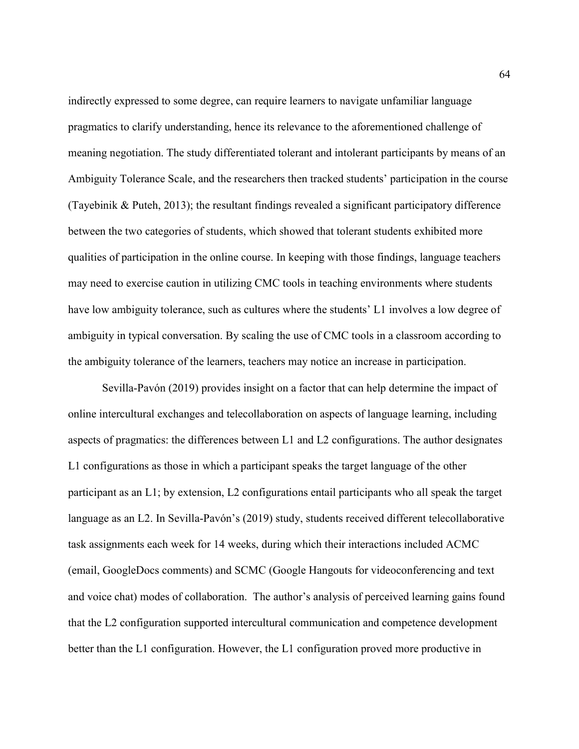indirectly expressed to some degree, can require learners to navigate unfamiliar language pragmatics to clarify understanding, hence its relevance to the aforementioned challenge of meaning negotiation. The study differentiated tolerant and intolerant participants by means of an Ambiguity Tolerance Scale, and the researchers then tracked students' participation in the course (Tayebinik & Puteh, 2013); the resultant findings revealed a significant participatory difference between the two categories of students, which showed that tolerant students exhibited more qualities of participation in the online course. In keeping with those findings, language teachers may need to exercise caution in utilizing CMC tools in teaching environments where students have low ambiguity tolerance, such as cultures where the students' L1 involves a low degree of ambiguity in typical conversation. By scaling the use of CMC tools in a classroom according to the ambiguity tolerance of the learners, teachers may notice an increase in participation.

 Sevilla-Pavón (2019) provides insight on a factor that can help determine the impact of online intercultural exchanges and telecollaboration on aspects of language learning, including aspects of pragmatics: the differences between L1 and L2 configurations. The author designates L1 configurations as those in which a participant speaks the target language of the other participant as an L1; by extension, L2 configurations entail participants who all speak the target language as an L2. In Sevilla-Pavón's (2019) study, students received different telecollaborative task assignments each week for 14 weeks, during which their interactions included ACMC (email, GoogleDocs comments) and SCMC (Google Hangouts for videoconferencing and text and voice chat) modes of collaboration. The author's analysis of perceived learning gains found that the L2 configuration supported intercultural communication and competence development better than the L1 configuration. However, the L1 configuration proved more productive in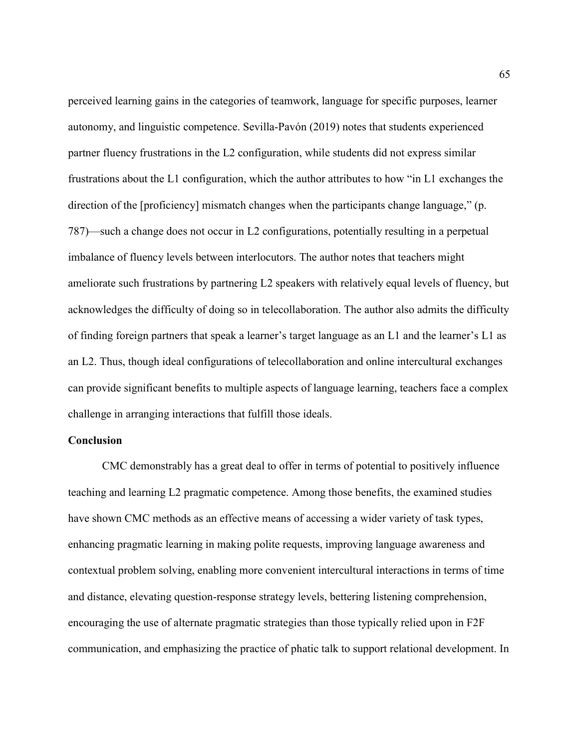perceived learning gains in the categories of teamwork, language for specific purposes, learner autonomy, and linguistic competence. Sevilla-Pavón (2019) notes that students experienced partner fluency frustrations in the L2 configuration, while students did not express similar frustrations about the L1 configuration, which the author attributes to how "in L1 exchanges the direction of the [proficiency] mismatch changes when the participants change language," (p. 787)—such a change does not occur in L2 configurations, potentially resulting in a perpetual imbalance of fluency levels between interlocutors. The author notes that teachers might ameliorate such frustrations by partnering L2 speakers with relatively equal levels of fluency, but acknowledges the difficulty of doing so in telecollaboration. The author also admits the difficulty of finding foreign partners that speak a learner's target language as an L1 and the learner's L1 as an L2. Thus, though ideal configurations of telecollaboration and online intercultural exchanges can provide significant benefits to multiple aspects of language learning, teachers face a complex challenge in arranging interactions that fulfill those ideals.

### Conclusion

 CMC demonstrably has a great deal to offer in terms of potential to positively influence teaching and learning L2 pragmatic competence. Among those benefits, the examined studies have shown CMC methods as an effective means of accessing a wider variety of task types, enhancing pragmatic learning in making polite requests, improving language awareness and contextual problem solving, enabling more convenient intercultural interactions in terms of time and distance, elevating question-response strategy levels, bettering listening comprehension, encouraging the use of alternate pragmatic strategies than those typically relied upon in F2F communication, and emphasizing the practice of phatic talk to support relational development. In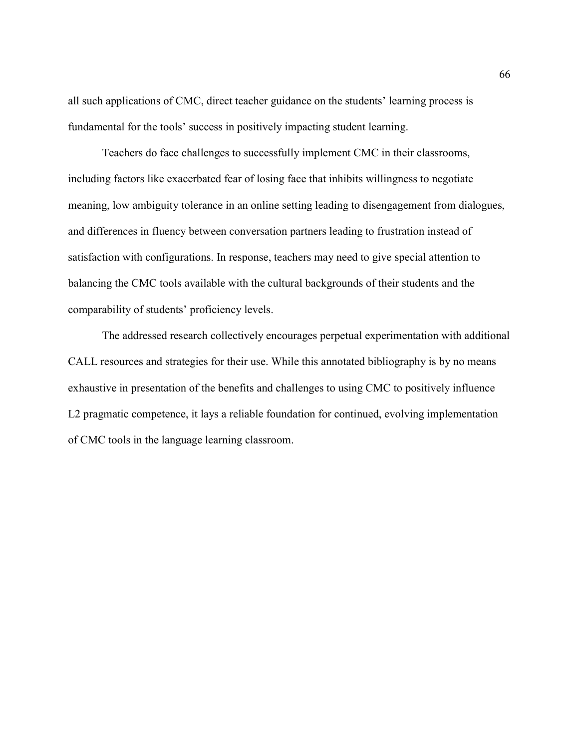all such applications of CMC, direct teacher guidance on the students' learning process is fundamental for the tools' success in positively impacting student learning.

Teachers do face challenges to successfully implement CMC in their classrooms, including factors like exacerbated fear of losing face that inhibits willingness to negotiate meaning, low ambiguity tolerance in an online setting leading to disengagement from dialogues, and differences in fluency between conversation partners leading to frustration instead of satisfaction with configurations. In response, teachers may need to give special attention to balancing the CMC tools available with the cultural backgrounds of their students and the comparability of students' proficiency levels.

The addressed research collectively encourages perpetual experimentation with additional CALL resources and strategies for their use. While this annotated bibliography is by no means exhaustive in presentation of the benefits and challenges to using CMC to positively influence L2 pragmatic competence, it lays a reliable foundation for continued, evolving implementation of CMC tools in the language learning classroom.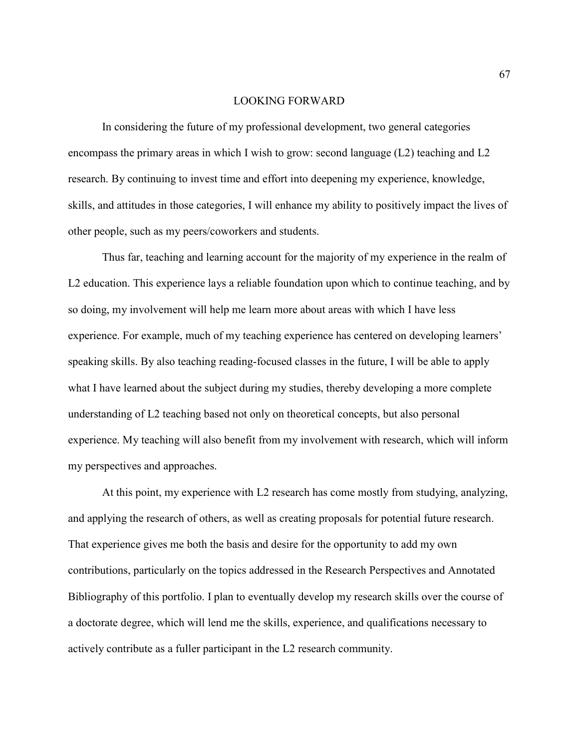### LOOKING FORWARD

 In considering the future of my professional development, two general categories encompass the primary areas in which I wish to grow: second language (L2) teaching and L2 research. By continuing to invest time and effort into deepening my experience, knowledge, skills, and attitudes in those categories, I will enhance my ability to positively impact the lives of other people, such as my peers/coworkers and students.

 Thus far, teaching and learning account for the majority of my experience in the realm of L2 education. This experience lays a reliable foundation upon which to continue teaching, and by so doing, my involvement will help me learn more about areas with which I have less experience. For example, much of my teaching experience has centered on developing learners' speaking skills. By also teaching reading-focused classes in the future, I will be able to apply what I have learned about the subject during my studies, thereby developing a more complete understanding of L2 teaching based not only on theoretical concepts, but also personal experience. My teaching will also benefit from my involvement with research, which will inform my perspectives and approaches.

 At this point, my experience with L2 research has come mostly from studying, analyzing, and applying the research of others, as well as creating proposals for potential future research. That experience gives me both the basis and desire for the opportunity to add my own contributions, particularly on the topics addressed in the Research Perspectives and Annotated Bibliography of this portfolio. I plan to eventually develop my research skills over the course of a doctorate degree, which will lend me the skills, experience, and qualifications necessary to actively contribute as a fuller participant in the L2 research community.

67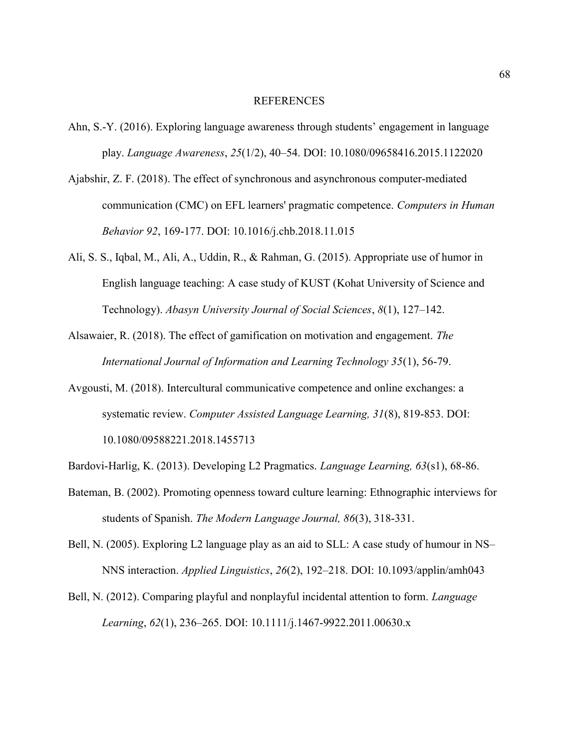#### REFERENCES

- Ahn, S.-Y. (2016). Exploring language awareness through students' engagement in language play. Language Awareness, 25(1/2), 40–54. DOI: 10.1080/09658416.2015.1122020
- Ajabshir, Z. F. (2018). The effect of synchronous and asynchronous computer-mediated communication (CMC) on EFL learners' pragmatic competence. Computers in Human Behavior 92, 169-177. DOI: 10.1016/j.chb.2018.11.015
- Ali, S. S., Iqbal, M., Ali, A., Uddin, R., & Rahman, G. (2015). Appropriate use of humor in English language teaching: A case study of KUST (Kohat University of Science and Technology). Abasyn University Journal of Social Sciences, 8(1), 127–142.
- Alsawaier, R. (2018). The effect of gamification on motivation and engagement. The International Journal of Information and Learning Technology 35(1), 56-79.
- Avgousti, M. (2018). Intercultural communicative competence and online exchanges: a systematic review. Computer Assisted Language Learning, 31(8), 819-853. DOI: 10.1080/09588221.2018.1455713
- Bardovi-Harlig, K. (2013). Developing L2 Pragmatics. Language Learning, 63(s1), 68-86.
- Bateman, B. (2002). Promoting openness toward culture learning: Ethnographic interviews for students of Spanish. The Modern Language Journal, 86(3), 318-331.
- Bell, N. (2005). Exploring L2 language play as an aid to SLL: A case study of humour in NS– NNS interaction. Applied Linguistics, 26(2), 192–218. DOI: 10.1093/applin/amh043
- Bell, N. (2012). Comparing playful and nonplayful incidental attention to form. Language Learning, 62(1), 236–265. DOI: 10.1111/j.1467-9922.2011.00630.x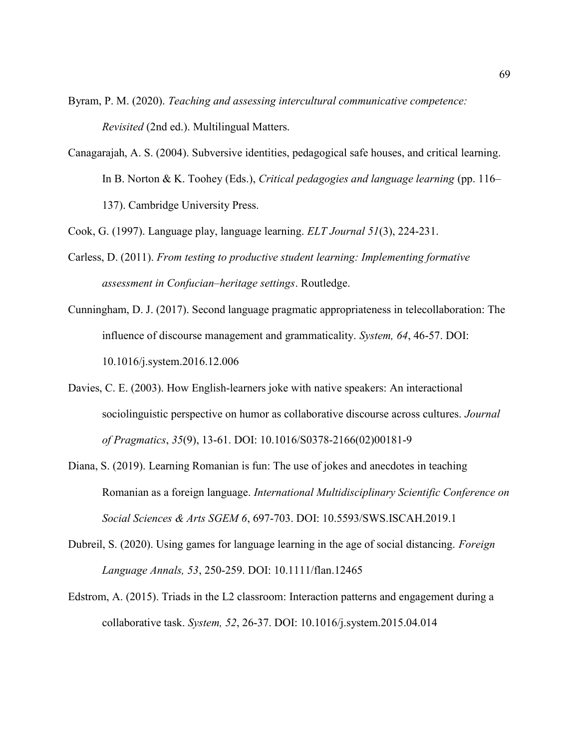Byram, P. M. (2020). Teaching and assessing intercultural communicative competence: Revisited (2nd ed.). Multilingual Matters.

Canagarajah, A. S. (2004). Subversive identities, pedagogical safe houses, and critical learning. In B. Norton & K. Toohey (Eds.), Critical pedagogies and language learning (pp. 116– 137). Cambridge University Press.

Cook, G. (1997). Language play, language learning. ELT Journal 51(3), 224-231.

- Carless, D. (2011). From testing to productive student learning: Implementing formative assessment in Confucian–heritage settings. Routledge.
- Cunningham, D. J. (2017). Second language pragmatic appropriateness in telecollaboration: The influence of discourse management and grammaticality. System, 64, 46-57. DOI: 10.1016/j.system.2016.12.006
- Davies, C. E. (2003). How English-learners joke with native speakers: An interactional sociolinguistic perspective on humor as collaborative discourse across cultures. *Journal* of Pragmatics, 35(9), 13-61. DOI: 10.1016/S0378-2166(02)00181-9
- Diana, S. (2019). Learning Romanian is fun: The use of jokes and anecdotes in teaching Romanian as a foreign language. International Multidisciplinary Scientific Conference on Social Sciences & Arts SGEM 6, 697-703. DOI: 10.5593/SWS.ISCAH.2019.1
- Dubreil, S. (2020). Using games for language learning in the age of social distancing. *Foreign* Language Annals, 53, 250-259. DOI: 10.1111/flan.12465
- Edstrom, A. (2015). Triads in the L2 classroom: Interaction patterns and engagement during a collaborative task. System, 52, 26-37. DOI: 10.1016/j.system.2015.04.014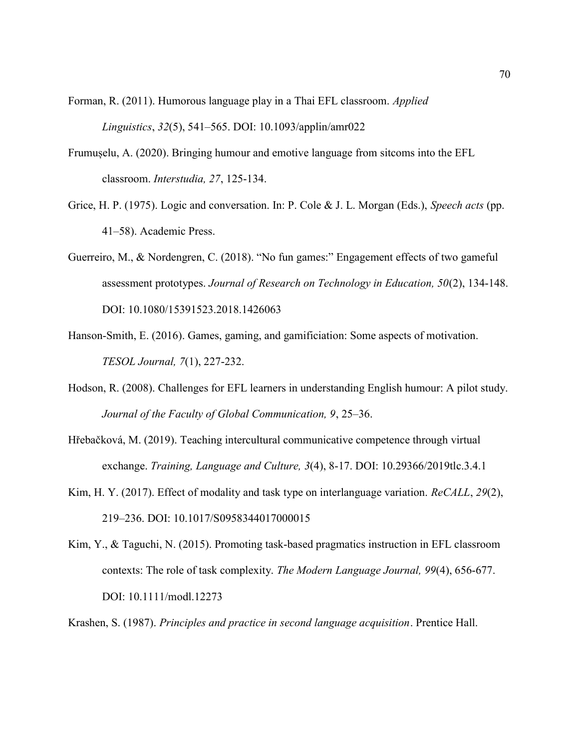Forman, R. (2011). Humorous language play in a Thai EFL classroom. Applied Linguistics, 32(5), 541–565. DOI: 10.1093/applin/amr022

- Frumușelu, A. (2020). Bringing humour and emotive language from sitcoms into the EFL classroom. Interstudia, 27, 125-134.
- Grice, H. P. (1975). Logic and conversation. In: P. Cole & J. L. Morgan (Eds.), Speech acts (pp. 41–58). Academic Press.
- Guerreiro, M., & Nordengren, C. (2018). "No fun games:" Engagement effects of two gameful assessment prototypes. Journal of Research on Technology in Education, 50(2), 134-148. DOI: 10.1080/15391523.2018.1426063
- Hanson-Smith, E. (2016). Games, gaming, and gamificiation: Some aspects of motivation. TESOL Journal, 7(1), 227-232.
- Hodson, R. (2008). Challenges for EFL learners in understanding English humour: A pilot study. Journal of the Faculty of Global Communication, 9, 25–36.
- Hřebačková, M. (2019). Teaching intercultural communicative competence through virtual exchange. Training, Language and Culture, 3(4), 8-17. DOI: 10.29366/2019tlc.3.4.1
- Kim, H. Y. (2017). Effect of modality and task type on interlanguage variation. *ReCALL*, 29(2), 219–236. DOI: 10.1017/S0958344017000015
- Kim, Y., & Taguchi, N. (2015). Promoting task-based pragmatics instruction in EFL classroom contexts: The role of task complexity. The Modern Language Journal, 99(4), 656-677. DOI: 10.1111/modl.12273
- Krashen, S. (1987). Principles and practice in second language acquisition. Prentice Hall.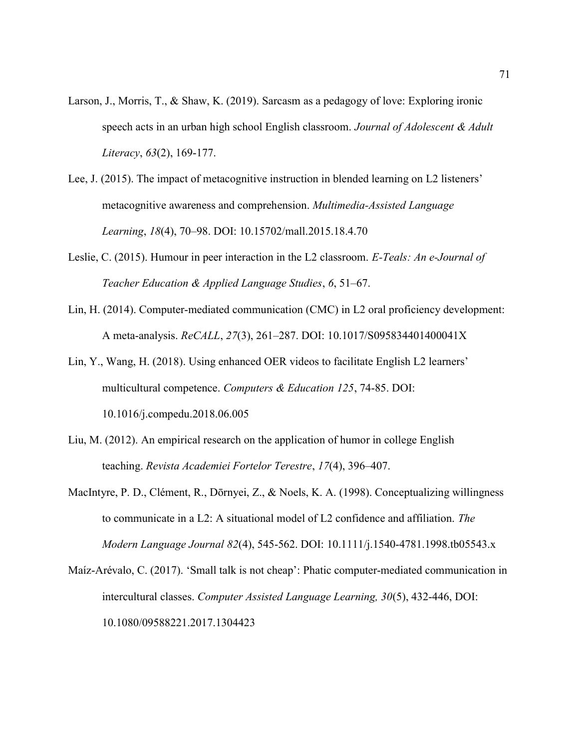- Larson, J., Morris, T., & Shaw, K. (2019). Sarcasm as a pedagogy of love: Exploring ironic speech acts in an urban high school English classroom. Journal of Adolescent  $\&$  Adult Literacy, 63(2), 169-177.
- Lee, J. (2015). The impact of metacognitive instruction in blended learning on L2 listeners' metacognitive awareness and comprehension. Multimedia-Assisted Language Learning, 18(4), 70–98. DOI: 10.15702/mall.2015.18.4.70
- Leslie, C. (2015). Humour in peer interaction in the L2 classroom. E-Teals: An e-Journal of Teacher Education & Applied Language Studies, 6, 51–67.
- Lin, H. (2014). Computer-mediated communication (CMC) in L2 oral proficiency development: A meta-analysis. ReCALL, 27(3), 261–287. DOI: 10.1017/S095834401400041X
- Lin, Y., Wang, H. (2018). Using enhanced OER videos to facilitate English L2 learners' multicultural competence. Computers & Education 125, 74-85. DOI: 10.1016/j.compedu.2018.06.005
- Liu, M. (2012). An empirical research on the application of humor in college English teaching. Revista Academiei Fortelor Terestre, 17(4), 396–407.
- MacIntyre, P. D., Clément, R., Dōrnyei, Z., & Noels, K. A. (1998). Conceptualizing willingness to communicate in a L2: A situational model of L2 confidence and affiliation. The Modern Language Journal 82(4), 545-562. DOI: 10.1111/j.1540-4781.1998.tb05543.x
- Maíz-Arévalo, C. (2017). 'Small talk is not cheap': Phatic computer-mediated communication in intercultural classes. Computer Assisted Language Learning, 30(5), 432-446, DOI: 10.1080/09588221.2017.1304423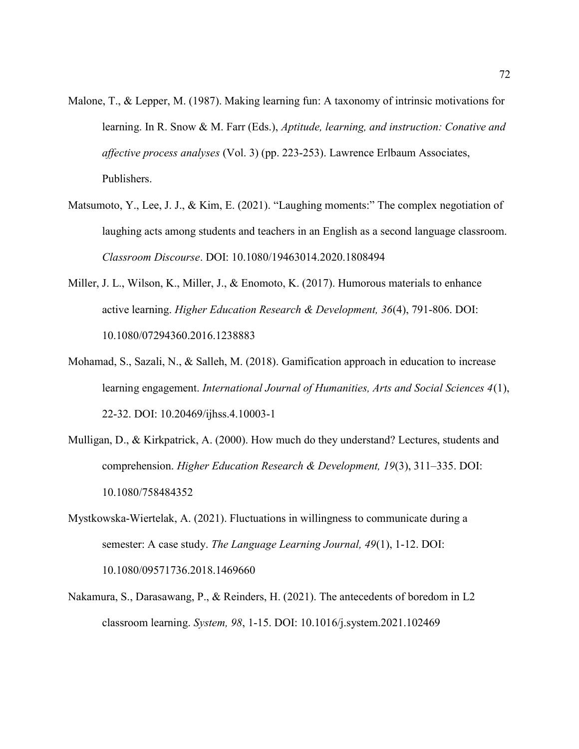- Malone, T., & Lepper, M. (1987). Making learning fun: A taxonomy of intrinsic motivations for learning. In R. Snow & M. Farr (Eds.), *Aptitude, learning, and instruction: Conative and* affective process analyses (Vol. 3) (pp. 223-253). Lawrence Erlbaum Associates, Publishers.
- Matsumoto, Y., Lee, J. J., & Kim, E. (2021). "Laughing moments:" The complex negotiation of laughing acts among students and teachers in an English as a second language classroom. Classroom Discourse. DOI: 10.1080/19463014.2020.1808494
- Miller, J. L., Wilson, K., Miller, J., & Enomoto, K. (2017). Humorous materials to enhance active learning. Higher Education Research & Development, 36(4), 791-806. DOI: 10.1080/07294360.2016.1238883
- Mohamad, S., Sazali, N., & Salleh, M. (2018). Gamification approach in education to increase learning engagement. *International Journal of Humanities, Arts and Social Sciences 4(1)*, 22-32. DOI: 10.20469/ijhss.4.10003-1
- Mulligan, D., & Kirkpatrick, A. (2000). How much do they understand? Lectures, students and comprehension. Higher Education Research & Development, 19(3), 311–335. DOI: 10.1080/758484352
- Mystkowska-Wiertelak, A. (2021). Fluctuations in willingness to communicate during a semester: A case study. The Language Learning Journal, 49(1), 1-12. DOI: 10.1080/09571736.2018.1469660
- Nakamura, S., Darasawang, P., & Reinders, H. (2021). The antecedents of boredom in L2 classroom learning. System, 98, 1-15. DOI: 10.1016/j.system.2021.102469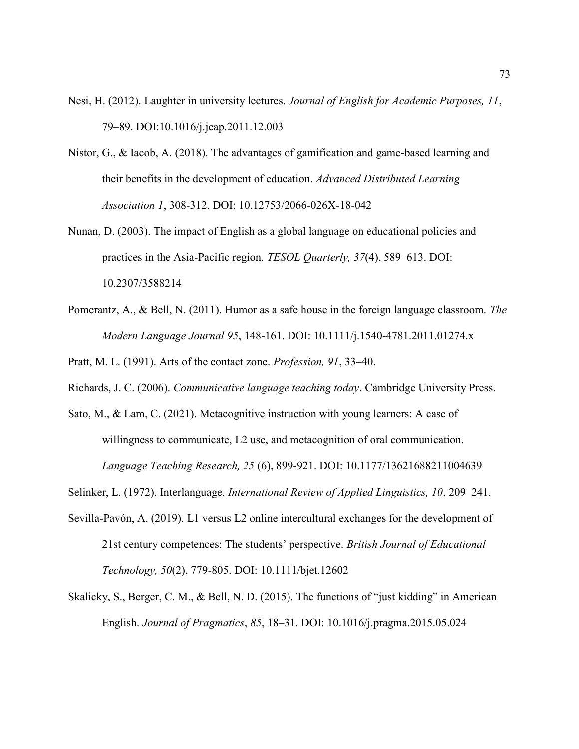- Nesi, H. (2012). Laughter in university lectures. Journal of English for Academic Purposes, 11, 79–89. DOI:10.1016/j.jeap.2011.12.003
- Nistor, G., & Iacob, A. (2018). The advantages of gamification and game-based learning and their benefits in the development of education. Advanced Distributed Learning Association 1, 308-312. DOI: 10.12753/2066-026X-18-042
- Nunan, D. (2003). The impact of English as a global language on educational policies and practices in the Asia-Pacific region. TESOL Quarterly, 37(4), 589–613. DOI: 10.2307/3588214
- Pomerantz, A., & Bell, N. (2011). Humor as a safe house in the foreign language classroom. The Modern Language Journal 95, 148-161. DOI: 10.1111/j.1540-4781.2011.01274.x

Pratt, M. L. (1991). Arts of the contact zone. Profession, 91, 33–40.

- Richards, J. C. (2006). Communicative language teaching today. Cambridge University Press.
- Sato, M., & Lam, C. (2021). Metacognitive instruction with young learners: A case of willingness to communicate, L2 use, and metacognition of oral communication. Language Teaching Research, 25 (6), 899-921. DOI: 10.1177/13621688211004639
- Selinker, L. (1972). Interlanguage. International Review of Applied Linguistics, 10, 209–241.
- Sevilla-Pavón, A. (2019). L1 versus L2 online intercultural exchanges for the development of 21st century competences: The students' perspective. British Journal of Educational Technology, 50(2), 779-805. DOI: 10.1111/bjet.12602
- Skalicky, S., Berger, C. M., & Bell, N. D. (2015). The functions of "just kidding" in American English. Journal of Pragmatics, 85, 18–31. DOI: 10.1016/j.pragma.2015.05.024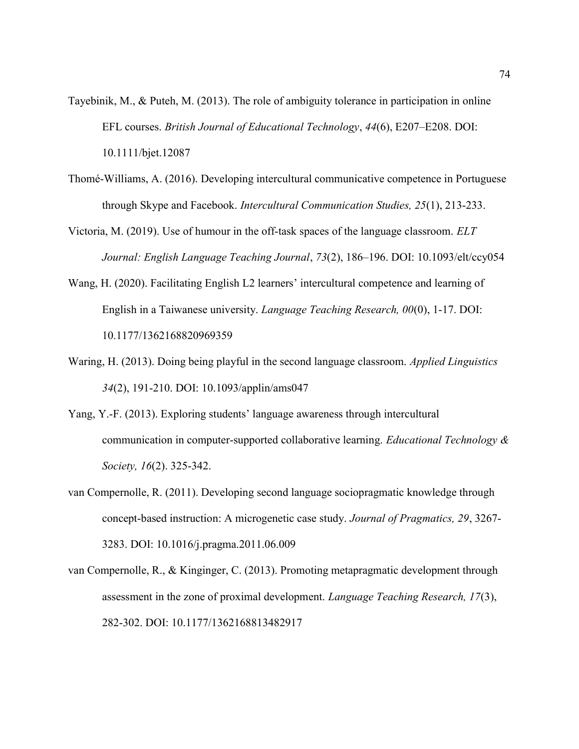- Tayebinik, M., & Puteh, M. (2013). The role of ambiguity tolerance in participation in online EFL courses. British Journal of Educational Technology, 44(6), E207–E208. DOI: 10.1111/bjet.12087
- Thomé-Williams, A. (2016). Developing intercultural communicative competence in Portuguese through Skype and Facebook. Intercultural Communication Studies, 25(1), 213-233.
- Victoria, M. (2019). Use of humour in the off-task spaces of the language classroom. ELT Journal: English Language Teaching Journal, 73(2), 186–196. DOI: 10.1093/elt/ccy054
- Wang, H. (2020). Facilitating English L2 learners' intercultural competence and learning of English in a Taiwanese university. Language Teaching Research, 00(0), 1-17. DOI: 10.1177/1362168820969359
- Waring, H. (2013). Doing being playful in the second language classroom. Applied Linguistics 34(2), 191-210. DOI: 10.1093/applin/ams047
- Yang, Y.-F. (2013). Exploring students' language awareness through intercultural communication in computer-supported collaborative learning. Educational Technology  $\&$ Society, 16(2). 325-342.
- van Compernolle, R. (2011). Developing second language sociopragmatic knowledge through concept-based instruction: A microgenetic case study. Journal of Pragmatics, 29, 3267- 3283. DOI: 10.1016/j.pragma.2011.06.009
- van Compernolle, R., & Kinginger, C. (2013). Promoting metapragmatic development through assessment in the zone of proximal development. Language Teaching Research, 17(3), 282-302. DOI: 10.1177/1362168813482917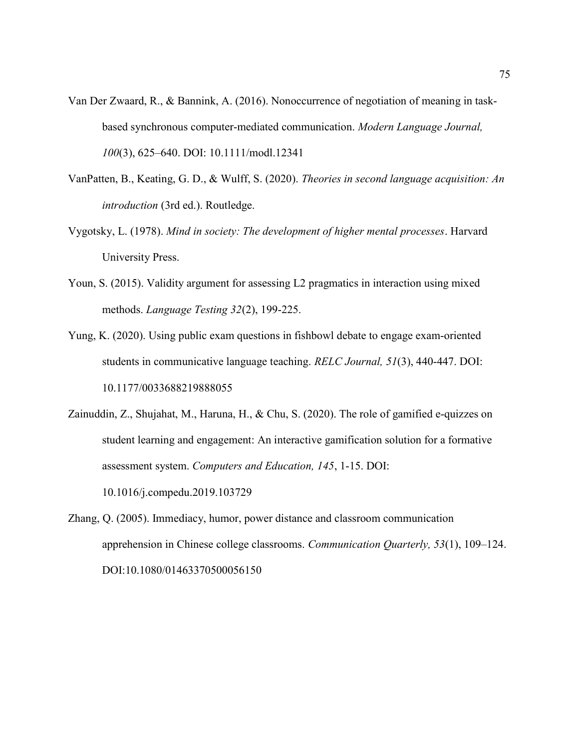- Van Der Zwaard, R., & Bannink, A. (2016). Nonoccurrence of negotiation of meaning in taskbased synchronous computer-mediated communication. Modern Language Journal, 100(3), 625–640. DOI: 10.1111/modl.12341
- VanPatten, B., Keating, G. D., & Wulff, S. (2020). Theories in second language acquisition: An introduction (3rd ed.). Routledge.
- Vygotsky, L. (1978). Mind in society: The development of higher mental processes. Harvard University Press.
- Youn, S. (2015). Validity argument for assessing L2 pragmatics in interaction using mixed methods. Language Testing 32(2), 199-225.
- Yung, K. (2020). Using public exam questions in fishbowl debate to engage exam-oriented students in communicative language teaching. RELC Journal, 51(3), 440-447. DOI: 10.1177/0033688219888055
- Zainuddin, Z., Shujahat, M., Haruna, H., & Chu, S. (2020). The role of gamified e-quizzes on student learning and engagement: An interactive gamification solution for a formative assessment system. Computers and Education, 145, 1-15. DOI: 10.1016/j.compedu.2019.103729
- Zhang, Q. (2005). Immediacy, humor, power distance and classroom communication apprehension in Chinese college classrooms. Communication Quarterly, 53(1), 109–124. DOI:10.1080/01463370500056150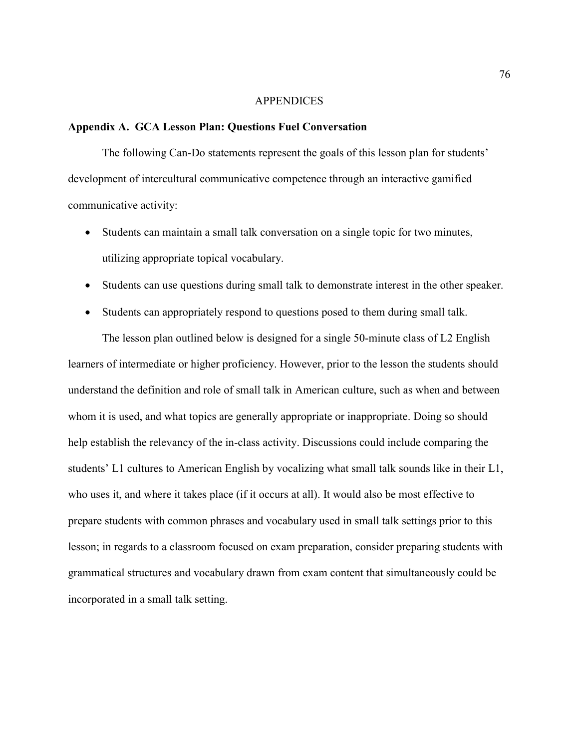#### **APPENDICES**

#### Appendix A. GCA Lesson Plan: Questions Fuel Conversation

The following Can-Do statements represent the goals of this lesson plan for students' development of intercultural communicative competence through an interactive gamified communicative activity:

- Students can maintain a small talk conversation on a single topic for two minutes, utilizing appropriate topical vocabulary.
- Students can use questions during small talk to demonstrate interest in the other speaker.
- Students can appropriately respond to questions posed to them during small talk.

The lesson plan outlined below is designed for a single 50-minute class of L2 English learners of intermediate or higher proficiency. However, prior to the lesson the students should understand the definition and role of small talk in American culture, such as when and between whom it is used, and what topics are generally appropriate or inappropriate. Doing so should help establish the relevancy of the in-class activity. Discussions could include comparing the students' L1 cultures to American English by vocalizing what small talk sounds like in their L1, who uses it, and where it takes place (if it occurs at all). It would also be most effective to prepare students with common phrases and vocabulary used in small talk settings prior to this lesson; in regards to a classroom focused on exam preparation, consider preparing students with grammatical structures and vocabulary drawn from exam content that simultaneously could be incorporated in a small talk setting.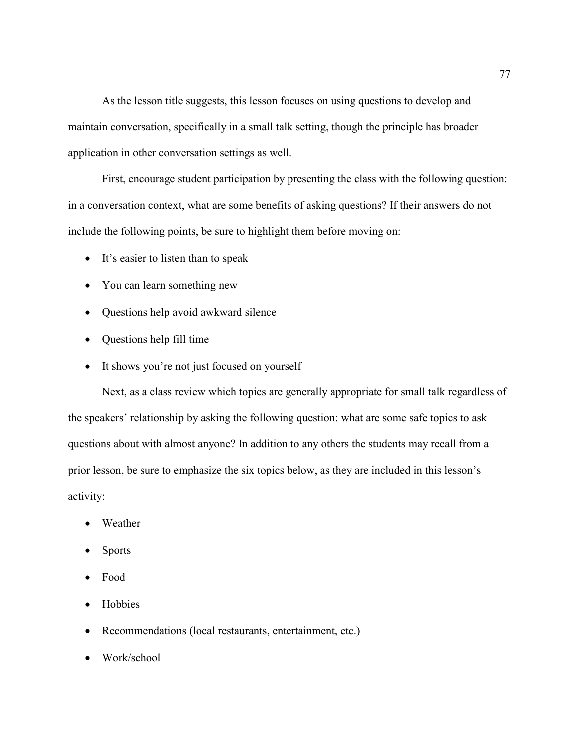As the lesson title suggests, this lesson focuses on using questions to develop and maintain conversation, specifically in a small talk setting, though the principle has broader application in other conversation settings as well.

 First, encourage student participation by presenting the class with the following question: in a conversation context, what are some benefits of asking questions? If their answers do not include the following points, be sure to highlight them before moving on:

- It's easier to listen than to speak
- You can learn something new
- Questions help avoid awkward silence
- Questions help fill time
- It shows you're not just focused on yourself

Next, as a class review which topics are generally appropriate for small talk regardless of the speakers' relationship by asking the following question: what are some safe topics to ask questions about with almost anyone? In addition to any others the students may recall from a prior lesson, be sure to emphasize the six topics below, as they are included in this lesson's activity:

- Weather
- Sports
- Food
- Hobbies
- Recommendations (local restaurants, entertainment, etc.)
- Work/school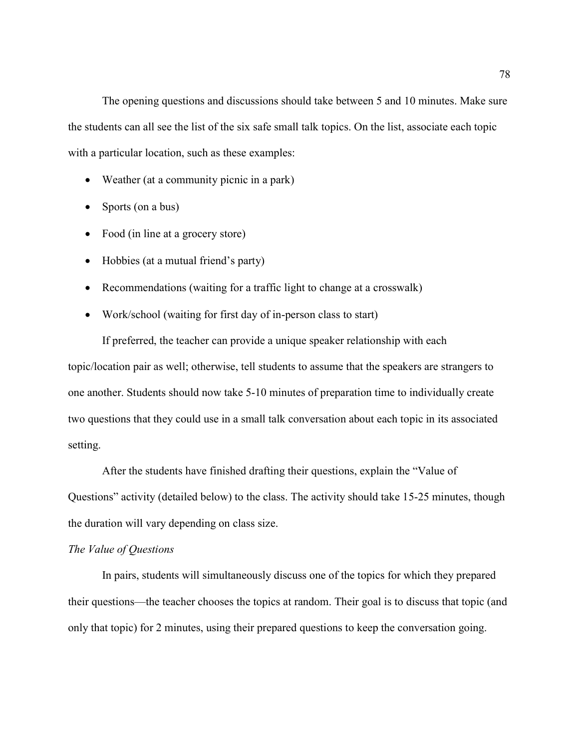The opening questions and discussions should take between 5 and 10 minutes. Make sure the students can all see the list of the six safe small talk topics. On the list, associate each topic with a particular location, such as these examples:

- Weather (at a community picnic in a park)
- Sports (on a bus)
- Food (in line at a grocery store)
- Hobbies (at a mutual friend's party)
- Recommendations (waiting for a traffic light to change at a crosswalk)
- Work/school (waiting for first day of in-person class to start)

If preferred, the teacher can provide a unique speaker relationship with each topic/location pair as well; otherwise, tell students to assume that the speakers are strangers to one another. Students should now take 5-10 minutes of preparation time to individually create two questions that they could use in a small talk conversation about each topic in its associated setting.

After the students have finished drafting their questions, explain the "Value of Questions" activity (detailed below) to the class. The activity should take 15-25 minutes, though the duration will vary depending on class size.

### The Value of Questions

 In pairs, students will simultaneously discuss one of the topics for which they prepared their questions—the teacher chooses the topics at random. Their goal is to discuss that topic (and only that topic) for 2 minutes, using their prepared questions to keep the conversation going.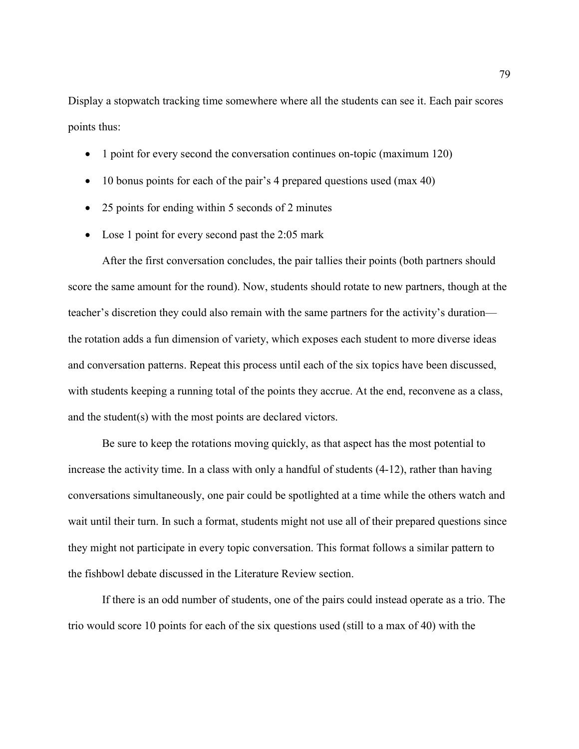Display a stopwatch tracking time somewhere where all the students can see it. Each pair scores points thus:

- 1 point for every second the conversation continues on-topic (maximum 120)
- 10 bonus points for each of the pair's 4 prepared questions used (max 40)
- 25 points for ending within 5 seconds of 2 minutes
- Lose 1 point for every second past the 2:05 mark

After the first conversation concludes, the pair tallies their points (both partners should score the same amount for the round). Now, students should rotate to new partners, though at the teacher's discretion they could also remain with the same partners for the activity's duration the rotation adds a fun dimension of variety, which exposes each student to more diverse ideas and conversation patterns. Repeat this process until each of the six topics have been discussed, with students keeping a running total of the points they accrue. At the end, reconvene as a class, and the student(s) with the most points are declared victors.

Be sure to keep the rotations moving quickly, as that aspect has the most potential to increase the activity time. In a class with only a handful of students (4-12), rather than having conversations simultaneously, one pair could be spotlighted at a time while the others watch and wait until their turn. In such a format, students might not use all of their prepared questions since they might not participate in every topic conversation. This format follows a similar pattern to the fishbowl debate discussed in the Literature Review section.

If there is an odd number of students, one of the pairs could instead operate as a trio. The trio would score 10 points for each of the six questions used (still to a max of 40) with the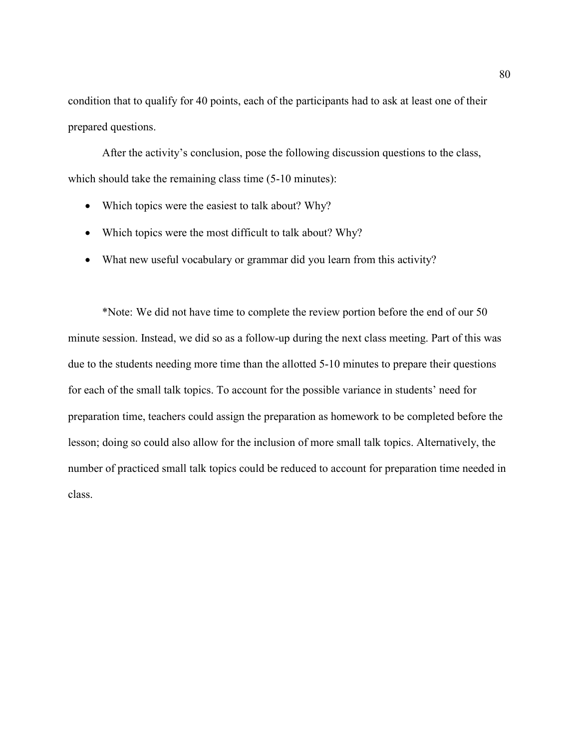condition that to qualify for 40 points, each of the participants had to ask at least one of their prepared questions.

 After the activity's conclusion, pose the following discussion questions to the class, which should take the remaining class time  $(5-10 \text{ minutes})$ :

- Which topics were the easiest to talk about? Why?
- Which topics were the most difficult to talk about? Why?
- What new useful vocabulary or grammar did you learn from this activity?

\*Note: We did not have time to complete the review portion before the end of our 50 minute session. Instead, we did so as a follow-up during the next class meeting. Part of this was due to the students needing more time than the allotted 5-10 minutes to prepare their questions for each of the small talk topics. To account for the possible variance in students' need for preparation time, teachers could assign the preparation as homework to be completed before the lesson; doing so could also allow for the inclusion of more small talk topics. Alternatively, the number of practiced small talk topics could be reduced to account for preparation time needed in class.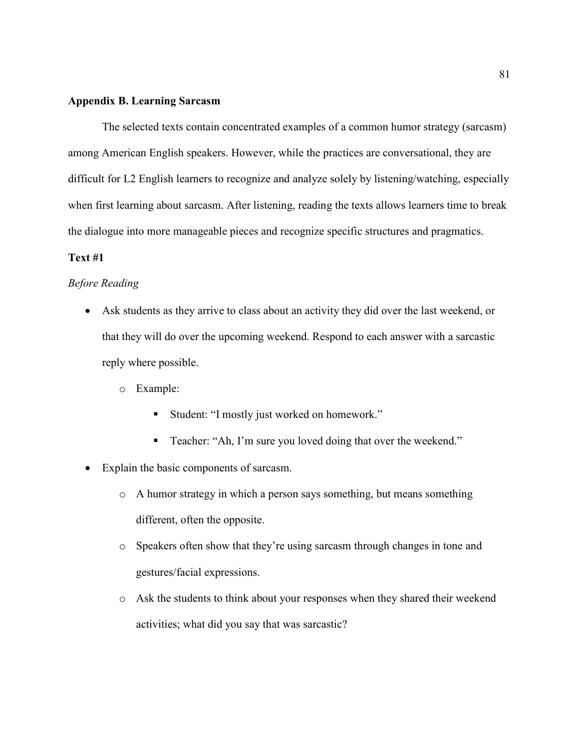### Appendix B. Learning Sarcasm

 The selected texts contain concentrated examples of a common humor strategy (sarcasm) among American English speakers. However, while the practices are conversational, they are difficult for L2 English learners to recognize and analyze solely by listening/watching, especially when first learning about sarcasm. After listening, reading the texts allows learners time to break the dialogue into more manageable pieces and recognize specific structures and pragmatics.

### Text #1

### Before Reading

- Ask students as they arrive to class about an activity they did over the last weekend, or that they will do over the upcoming weekend. Respond to each answer with a sarcastic reply where possible.
	- o Example:
		- Student: "I mostly just worked on homework."
		- Teacher: "Ah, I'm sure you loved doing that over the weekend."
- Explain the basic components of sarcasm.
	- o A humor strategy in which a person says something, but means something different, often the opposite.
	- o Speakers often show that they're using sarcasm through changes in tone and gestures/facial expressions.
	- o Ask the students to think about your responses when they shared their weekend activities; what did you say that was sarcastic?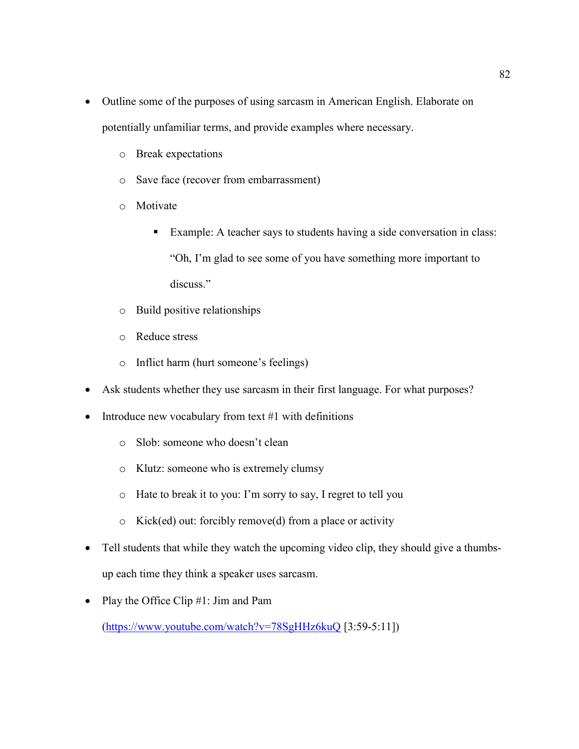- Outline some of the purposes of using sarcasm in American English. Elaborate on potentially unfamiliar terms, and provide examples where necessary.
	- o Break expectations
	- o Save face (recover from embarrassment)
	- o Motivate
		- Example: A teacher says to students having a side conversation in class: "Oh, I'm glad to see some of you have something more important to discuss."
	- o Build positive relationships
	- o Reduce stress
	- o Inflict harm (hurt someone's feelings)
- Ask students whether they use sarcasm in their first language. For what purposes?
- Introduce new vocabulary from text  $#1$  with definitions
	- o Slob: someone who doesn't clean
	- o Klutz: someone who is extremely clumsy
	- o Hate to break it to you: I'm sorry to say, I regret to tell you
	- o Kick(ed) out: forcibly remove(d) from a place or activity
- Tell students that while they watch the upcoming video clip, they should give a thumbsup each time they think a speaker uses sarcasm.
- Play the Office Clip #1: Jim and Pam

(https://www.youtube.com/watch?v=78SgHHz6kuQ [3:59-5:11])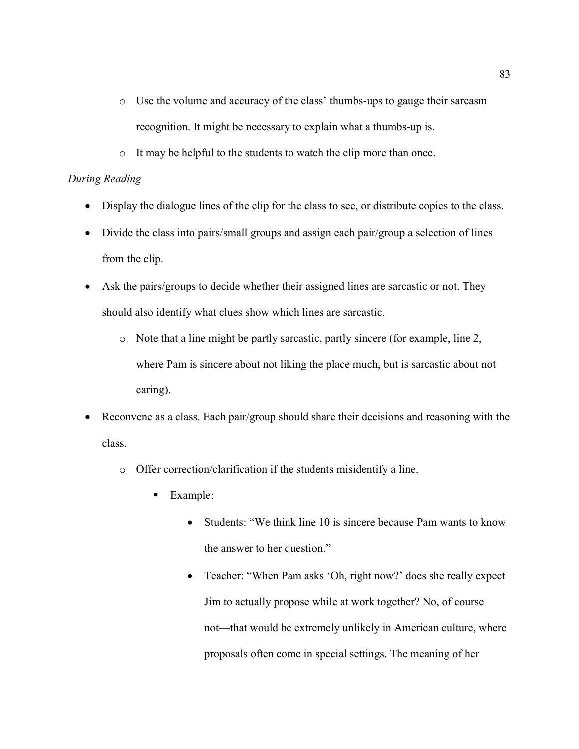- o Use the volume and accuracy of the class' thumbs-ups to gauge their sarcasm recognition. It might be necessary to explain what a thumbs-up is.
- o It may be helpful to the students to watch the clip more than once.

## During Reading

- Display the dialogue lines of the clip for the class to see, or distribute copies to the class.
- Divide the class into pairs/small groups and assign each pair/group a selection of lines from the clip.
- Ask the pairs/groups to decide whether their assigned lines are sarcastic or not. They should also identify what clues show which lines are sarcastic.
	- o Note that a line might be partly sarcastic, partly sincere (for example, line 2, where Pam is sincere about not liking the place much, but is sarcastic about not caring).
- Reconvene as a class. Each pair/group should share their decisions and reasoning with the class.
	- o Offer correction/clarification if the students misidentify a line.
		- Example:
			- Students: "We think line 10 is sincere because Pam wants to know the answer to her question."
			- Teacher: "When Pam asks 'Oh, right now?' does she really expect Jim to actually propose while at work together? No, of course not—that would be extremely unlikely in American culture, where proposals often come in special settings. The meaning of her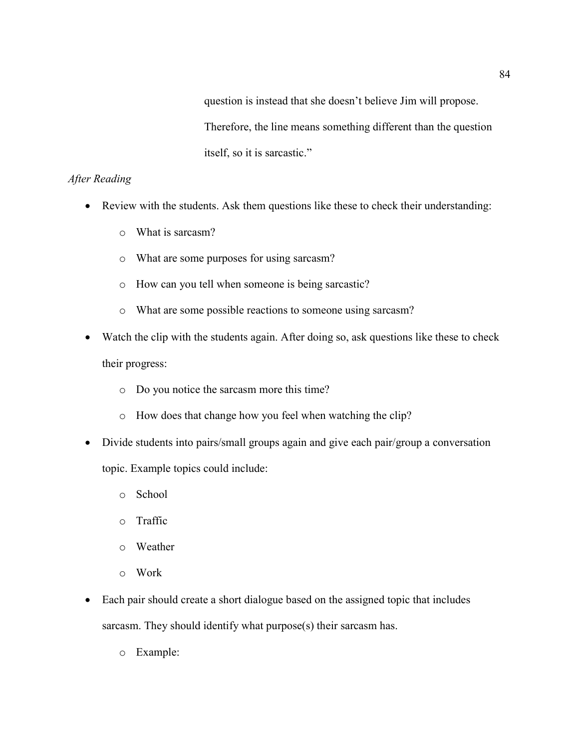question is instead that she doesn't believe Jim will propose. Therefore, the line means something different than the question itself, so it is sarcastic."

## After Reading

- Review with the students. Ask them questions like these to check their understanding:
	- o What is sarcasm?
	- o What are some purposes for using sarcasm?
	- o How can you tell when someone is being sarcastic?
	- o What are some possible reactions to someone using sarcasm?
- Watch the clip with the students again. After doing so, ask questions like these to check their progress:
	- o Do you notice the sarcasm more this time?
	- o How does that change how you feel when watching the clip?
- Divide students into pairs/small groups again and give each pair/group a conversation

topic. Example topics could include:

- o School
- o Traffic
- o Weather
- o Work
- Each pair should create a short dialogue based on the assigned topic that includes sarcasm. They should identify what purpose(s) their sarcasm has.
	- o Example: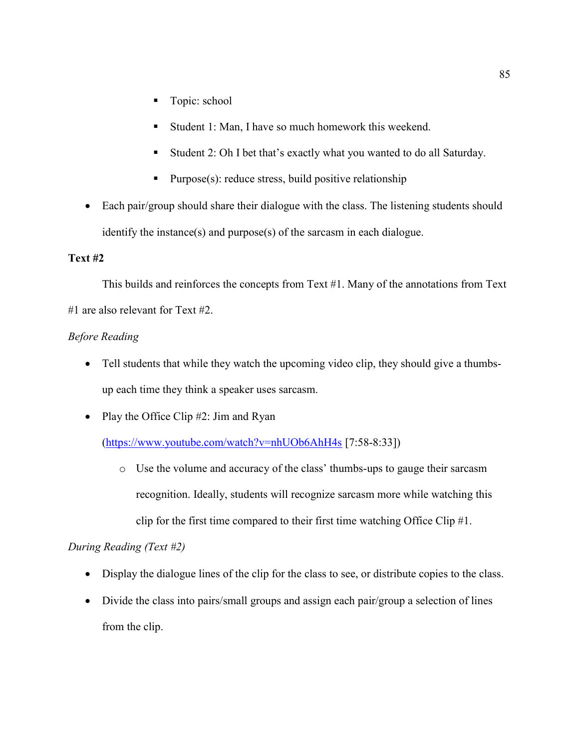- Topic: school
- Student 1: Man, I have so much homework this weekend.
- Student 2: Oh I bet that's exactly what you wanted to do all Saturday.
- Purpose(s): reduce stress, build positive relationship
- Each pair/group should share their dialogue with the class. The listening students should identify the instance(s) and purpose(s) of the sarcasm in each dialogue.

## Text #2

 This builds and reinforces the concepts from Text #1. Many of the annotations from Text #1 are also relevant for Text #2.

## Before Reading

- Tell students that while they watch the upcoming video clip, they should give a thumbsup each time they think a speaker uses sarcasm.
- Play the Office Clip  $#2$ : Jim and Ryan

## (https://www.youtube.com/watch?v=nhUOb6AhH4s [7:58-8:33])

o Use the volume and accuracy of the class' thumbs-ups to gauge their sarcasm recognition. Ideally, students will recognize sarcasm more while watching this clip for the first time compared to their first time watching Office Clip #1.

## During Reading (Text #2)

- Display the dialogue lines of the clip for the class to see, or distribute copies to the class.
- Divide the class into pairs/small groups and assign each pair/group a selection of lines from the clip.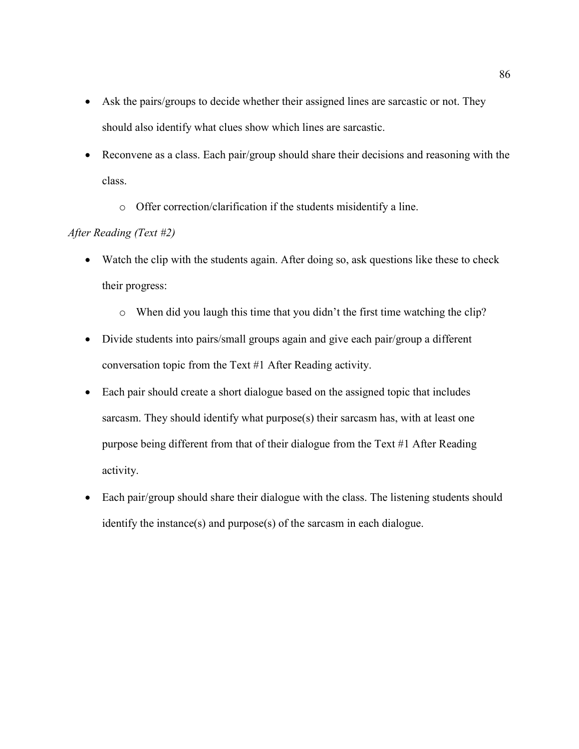- Ask the pairs/groups to decide whether their assigned lines are sarcastic or not. They should also identify what clues show which lines are sarcastic.
- Reconvene as a class. Each pair/group should share their decisions and reasoning with the class.
	- o Offer correction/clarification if the students misidentify a line.

### After Reading (Text #2)

- Watch the clip with the students again. After doing so, ask questions like these to check their progress:
	- o When did you laugh this time that you didn't the first time watching the clip?
- Divide students into pairs/small groups again and give each pair/group a different conversation topic from the Text #1 After Reading activity.
- Each pair should create a short dialogue based on the assigned topic that includes sarcasm. They should identify what purpose(s) their sarcasm has, with at least one purpose being different from that of their dialogue from the Text #1 After Reading activity.
- Each pair/group should share their dialogue with the class. The listening students should identify the instance(s) and purpose(s) of the sarcasm in each dialogue.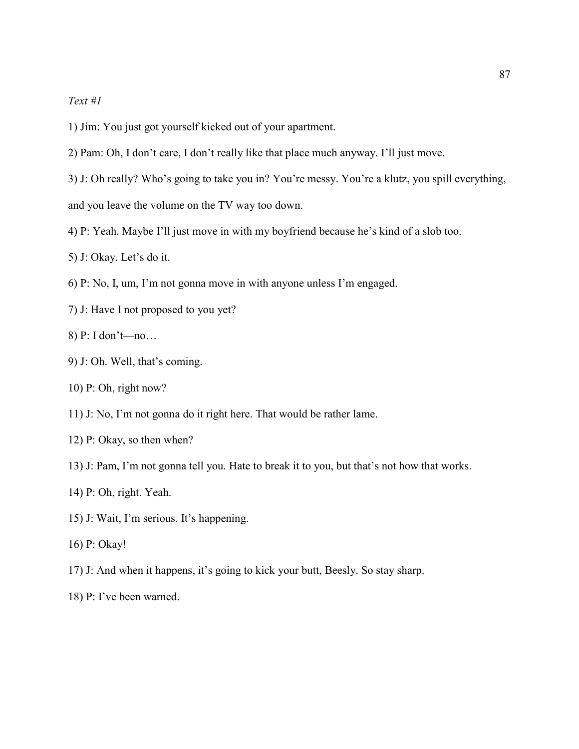## Text #1

- 1) Jim: You just got yourself kicked out of your apartment.
- 2) Pam: Oh, I don't care, I don't really like that place much anyway. I'll just move.
- 3) J: Oh really? Who's going to take you in? You're messy. You're a klutz, you spill everything, and you leave the volume on the TV way too down.
- 4) P: Yeah. Maybe I'll just move in with my boyfriend because he's kind of a slob too.
- 5) J: Okay. Let's do it.
- 6) P: No, I, um, I'm not gonna move in with anyone unless I'm engaged.
- 7) J: Have I not proposed to you yet?
- 8) P: I don't—no…
- 9) J: Oh. Well, that's coming.
- 10) P: Oh, right now?
- 11) J: No, I'm not gonna do it right here. That would be rather lame.
- 12) P: Okay, so then when?
- 13) J: Pam, I'm not gonna tell you. Hate to break it to you, but that's not how that works.
- 14) P: Oh, right. Yeah.
- 15) J: Wait, I'm serious. It's happening.
- 16) P: Okay!
- 17) J: And when it happens, it's going to kick your butt, Beesly. So stay sharp.
- 18) P: I've been warned.